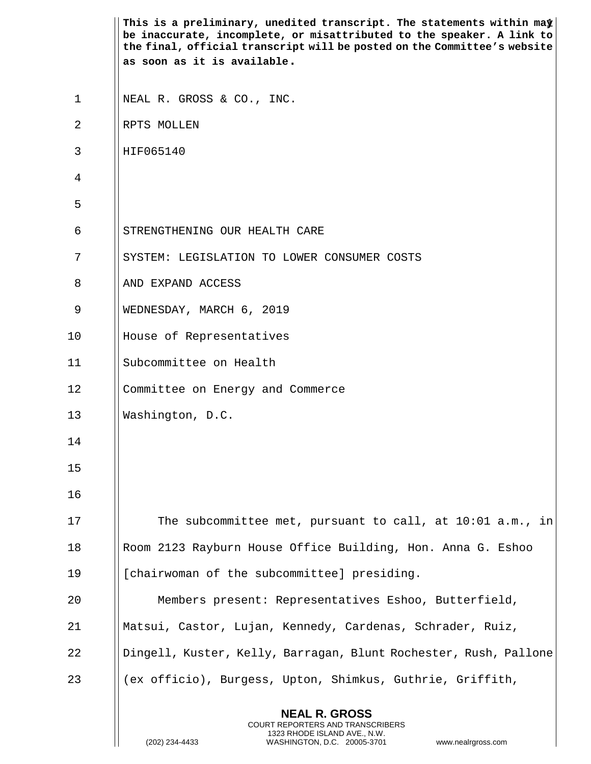|             | This is a preliminary, unedited transcript. The statements within may<br>be inaccurate, incomplete, or misattributed to the speaker. A link to<br>the final, official transcript will be posted on the Committee's website |
|-------------|----------------------------------------------------------------------------------------------------------------------------------------------------------------------------------------------------------------------------|
|             | as soon as it is available.                                                                                                                                                                                                |
| $\mathbf 1$ | NEAL R. GROSS & CO., INC.                                                                                                                                                                                                  |
| 2           | RPTS MOLLEN                                                                                                                                                                                                                |
| 3           | HIF065140                                                                                                                                                                                                                  |
| 4           |                                                                                                                                                                                                                            |
| 5           |                                                                                                                                                                                                                            |
| 6           | STRENGTHENING OUR HEALTH CARE                                                                                                                                                                                              |
| 7           | SYSTEM: LEGISLATION TO LOWER CONSUMER COSTS                                                                                                                                                                                |
| 8           | AND EXPAND ACCESS                                                                                                                                                                                                          |
| 9           | WEDNESDAY, MARCH 6, 2019                                                                                                                                                                                                   |
| 10          | House of Representatives                                                                                                                                                                                                   |
| 11          | Subcommittee on Health                                                                                                                                                                                                     |
| 12          | Committee on Energy and Commerce                                                                                                                                                                                           |
| 13          | Washington, D.C.                                                                                                                                                                                                           |
| 14          |                                                                                                                                                                                                                            |
| 15          |                                                                                                                                                                                                                            |
| 16          |                                                                                                                                                                                                                            |
| 17          | The subcommittee met, pursuant to call, at 10:01 a.m., in                                                                                                                                                                  |
| 18          | Room 2123 Rayburn House Office Building, Hon. Anna G. Eshoo                                                                                                                                                                |
| 19          | [chairwoman of the subcommittee] presiding.                                                                                                                                                                                |
| 20          | Members present: Representatives Eshoo, Butterfield,                                                                                                                                                                       |
| 21          | Matsui, Castor, Lujan, Kennedy, Cardenas, Schrader, Ruiz,                                                                                                                                                                  |
| 22          | Dingell, Kuster, Kelly, Barragan, Blunt Rochester, Rush, Pallone                                                                                                                                                           |
| 23          | (ex officio), Burgess, Upton, Shimkus, Guthrie, Griffith,                                                                                                                                                                  |
|             | <b>NEAL R. GROSS</b><br>COURT REPORTERS AND TRANSCRIBERS<br>1323 RHODE ISLAND AVE., N.W.<br>(202) 234-4433<br>WASHINGTON, D.C. 20005-3701<br>www.nealrgross.com                                                            |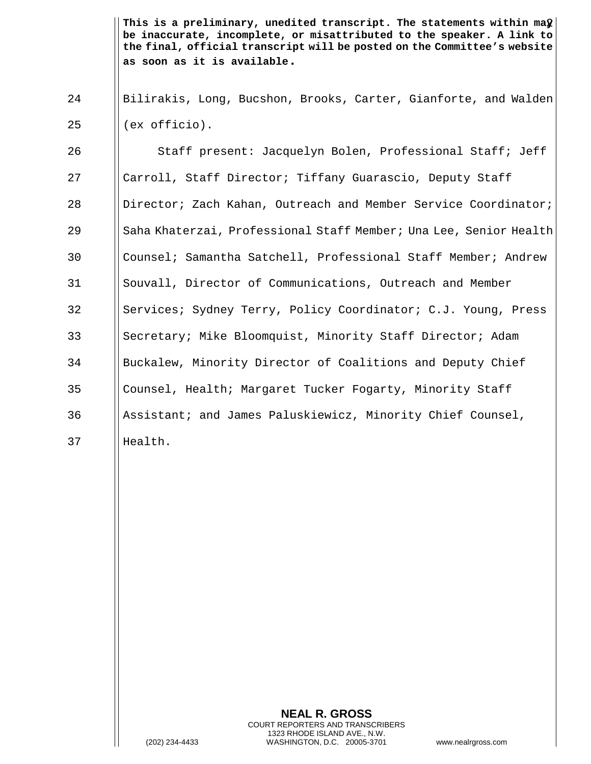This is a preliminary, unedited transcript. The statements within ma $\hat{\bm{y}}\big|\,$ **be inaccurate, incomplete, or misattributed to the speaker. A link to the final, official transcript will be posted on the Committee's website as soon as it is available.**

24 Bilirakis, Long, Bucshon, Brooks, Carter, Gianforte, and Walden  $25$   $\parallel$  (ex officio).

26 | Staff present: Jacquelyn Bolen, Professional Staff; Jeff 27 | Carroll, Staff Director; Tiffany Guarascio, Deputy Staff 28 Director; Zach Kahan, Outreach and Member Service Coordinator; 29 || Saha Khaterzai, Professional Staff Member; Una Lee, Senior Health 30 Counsel; Samantha Satchell, Professional Staff Member; Andrew 31 | Souvall, Director of Communications, Outreach and Member 32 Services; Sydney Terry, Policy Coordinator; C.J. Young, Press 33 Secretary; Mike Bloomquist, Minority Staff Director; Adam 34 Buckalew, Minority Director of Coalitions and Deputy Chief 35 Counsel, Health; Margaret Tucker Fogarty, Minority Staff 36 Assistant; and James Paluskiewicz, Minority Chief Counsel, 37 Health.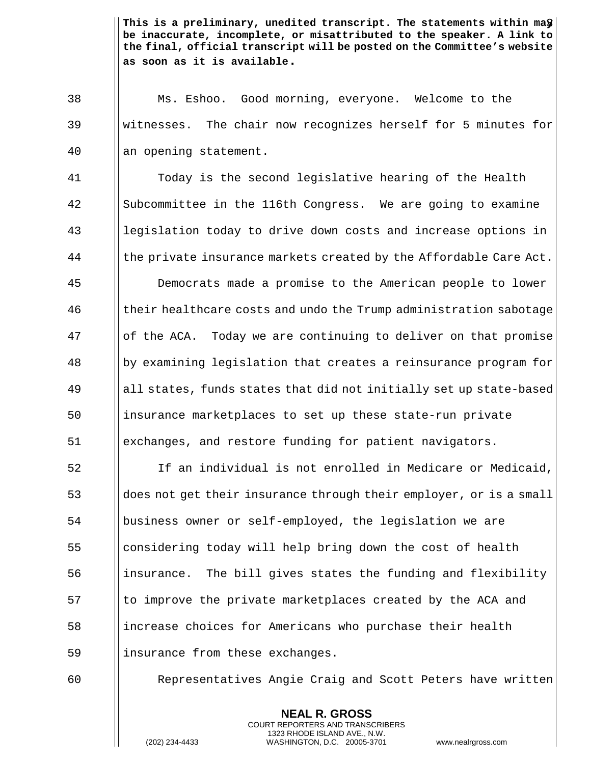This is a preliminary, unedited transcript. The statements within ma $\frac{n}{8}\Big\lfloor$ **be inaccurate, incomplete, or misattributed to the speaker. A link to the final, official transcript will be posted on the Committee's website as soon as it is available.**

 Ms. Eshoo. Good morning, everyone. Welcome to the witnesses. The chair now recognizes herself for 5 minutes for an opening statement.

 Today is the second legislative hearing of the Health Subcommittee in the 116th Congress. We are going to examine legislation today to drive down costs and increase options in  $\parallel$  the private insurance markets created by the Affordable Care Act.

 Democrats made a promise to the American people to lower 46 (their healthcare costs and undo the Trump administration sabotage || of the ACA. Today we are continuing to deliver on that promise by examining legislation that creates a reinsurance program for ||all states, funds states that did not initially set up state-based insurance marketplaces to set up these state-run private exchanges, and restore funding for patient navigators.

 If an individual is not enrolled in Medicare or Medicaid, does not get their insurance through their employer, or is a small business owner or self-employed, the legislation we are considering today will help bring down the cost of health ||insurance. The bill gives states the funding and flexibility || to improve the private marketplaces created by the ACA and increase choices for Americans who purchase their health 59 | insurance from these exchanges.

Representatives Angie Craig and Scott Peters have written

**NEAL R. GROSS** COURT REPORTERS AND TRANSCRIBERS 1323 RHODE ISLAND AVE., N.W.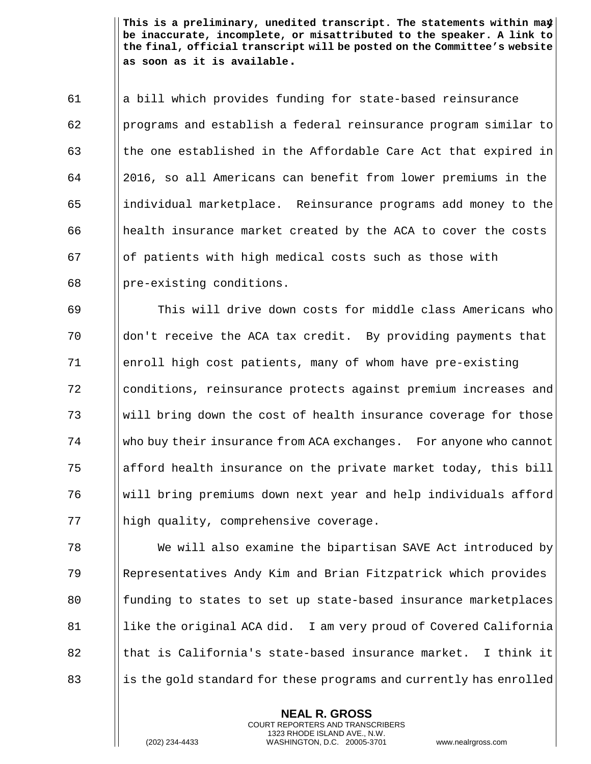This is a preliminary, unedited transcript. The statements within ma $\frac{4}{3}$ **be inaccurate, incomplete, or misattributed to the speaker. A link to the final, official transcript will be posted on the Committee's website as soon as it is available.**

 a bill which provides funding for state-based reinsurance **programs and establish a federal reinsurance program similar to**  $\parallel$  the one established in the Affordable Care Act that expired in 2016, so all Americans can benefit from lower premiums in the individual marketplace. Reinsurance programs add money to the health insurance market created by the ACA to cover the costs || of patients with high medical costs such as those with || pre-existing conditions.

 This will drive down costs for middle class Americans who don't receive the ACA tax credit. By providing payments that 71 | enroll high cost patients, many of whom have pre-existing conditions, reinsurance protects against premium increases and will bring down the cost of health insurance coverage for those who buy their insurance from ACA exchanges. For anyone who cannot 75 and afford health insurance on the private market today, this bill will bring premiums down next year and help individuals afford 77 | high quality, comprehensive coverage.

 We will also examine the bipartisan SAVE Act introduced by Representatives Andy Kim and Brian Fitzpatrick which provides 80 funding to states to set up state-based insurance marketplaces 81 | like the original ACA did. I am very proud of Covered California **that is California's state-based insurance market.** I think it || is the gold standard for these programs and currently has enrolled

> **NEAL R. GROSS** COURT REPORTERS AND TRANSCRIBERS 1323 RHODE ISLAND AVE., N.W.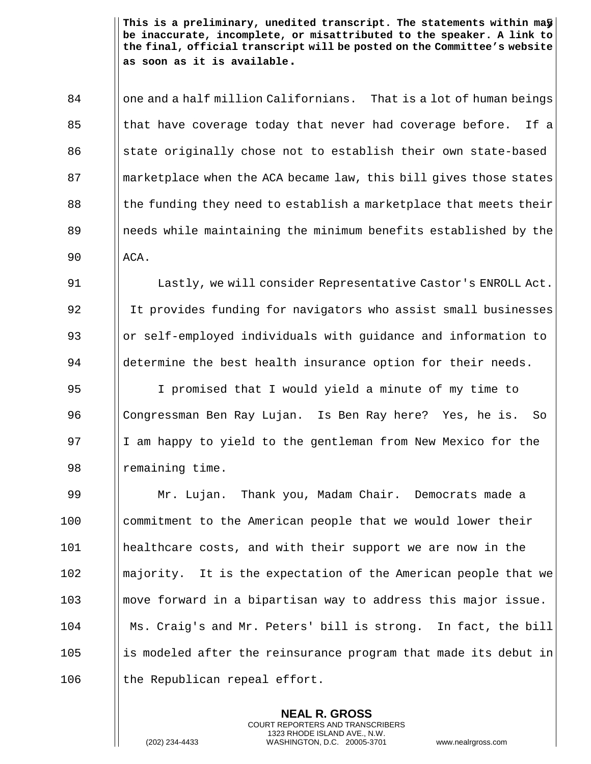This is a preliminary, unedited transcript. The statements within ma $\mathbf{\bar{y}}\big|\,$ **be inaccurate, incomplete, or misattributed to the speaker. A link to the final, official transcript will be posted on the Committee's website as soon as it is available.**

84 | one and a half million Californians. That is a lot of human beings 85 I hat have coverage today that never had coverage before. If a 86 State originally chose not to establish their own state-based 87 Somether I marketplace when the ACA became law, this bill gives those states 88 I the funding they need to establish a marketplace that meets their 89 1.1 || needs while maintaining the minimum benefits established by the  $90$   $\vert$  ACA.

91 **I** Lastly, we will consider Representative Castor's ENROLL Act. 92 I It provides funding for navigators who assist small businesses 93 | or self-employed individuals with guidance and information to  $94$  ||determine the best health insurance option for their needs.

 I promised that I would yield a minute of my time to Congressman Ben Ray Lujan. Is Ben Ray here? Yes, he is. So  $\parallel$  I am happy to yield to the gentleman from New Mexico for the 98 | remaining time.

 Mr. Lujan. Thank you, Madam Chair. Democrats made a 100 commitment to the American people that we would lower their healthcare costs, and with their support we are now in the 102 || majority. It is the expectation of the American people that we move forward in a bipartisan way to address this major issue. Ms. Craig's and Mr. Peters' bill is strong. In fact, the bill || is modeled after the reinsurance program that made its debut in || the Republican repeal effort.

> **NEAL R. GROSS** COURT REPORTERS AND TRANSCRIBERS 1323 RHODE ISLAND AVE., N.W.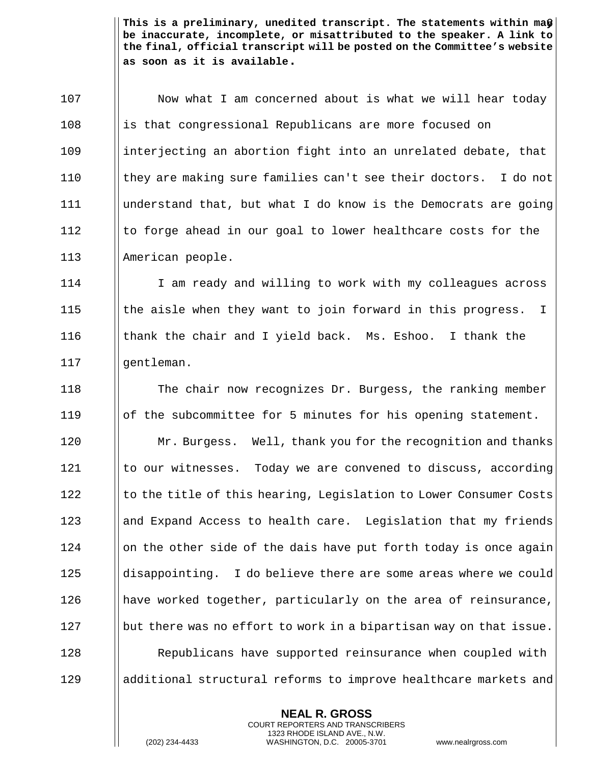This is a preliminary, unedited transcript. The statements within ma $\bigcirc\big\lvert$ **be inaccurate, incomplete, or misattributed to the speaker. A link to the final, official transcript will be posted on the Committee's website as soon as it is available.**

107 | Now what I am concerned about is what we will hear today 108 is that congressional Republicans are more focused on 109 interjecting an abortion fight into an unrelated debate, that 110 || they are making sure families can't see their doctors. I do not 111 understand that, but what I do know is the Democrats are going 112 Ito forge ahead in our goal to lower healthcare costs for the 113 American people.

 I am ready and willing to work with my colleagues across  $\parallel$  the aisle when they want to join forward in this progress. I thank the chair and I yield back. Ms. Eshoo. I thank the 117 || gentleman.

 The chair now recognizes Dr. Burgess, the ranking member of the subcommittee for 5 minutes for his opening statement. **Mr. Burgess.** Well, thank you for the recognition and thanks  $\parallel$  to our witnesses. Today we are convened to discuss, according Is to the title of this hearing, Legislation to Lower Consumer Costs 123 and Expand Access to health care. Legislation that my friends || on the other side of the dais have put forth today is once again disappointing. I do believe there are some areas where we could 126 | have worked together, particularly on the area of reinsurance, || but there was no effort to work in a bipartisan way on that issue. **Republicans have supported reinsurance when coupled with** additional structural reforms to improve healthcare markets and

> **NEAL R. GROSS** COURT REPORTERS AND TRANSCRIBERS 1323 RHODE ISLAND AVE., N.W.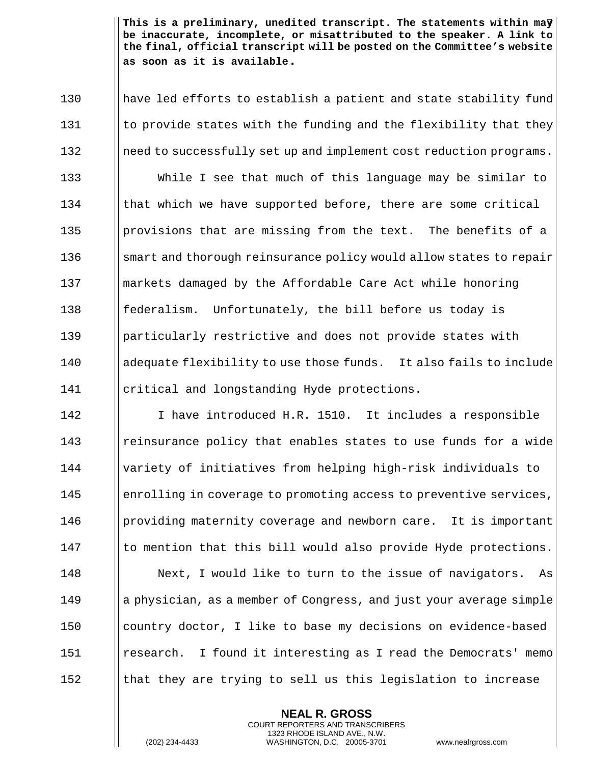7 **This is a preliminary, unedited transcript. The statements within may be inaccurate, incomplete, or misattributed to the speaker. A link to the final, official transcript will be posted on the Committee's website as soon as it is available.**

 have led efforts to establish a patient and state stability fund  $\parallel$  to provide states with the funding and the flexibility that they 132 | need to successfully set up and implement cost reduction programs. While I see that much of this language may be similar to 134 Ichat which we have supported before, there are some critical **provisions that are missing from the text.** The benefits of a smart and thorough reinsurance policy would allow states to repair markets damaged by the Affordable Care Act while honoring **follo federalism.** Unfortunately, the bill before us today is 139 Iparticularly restrictive and does not provide states with 140 adequate flexibility to use those funds. It also fails to include **critical and longstanding Hyde protections.** 

 I have introduced H.R. 1510. It includes a responsible **e** || reinsurance policy that enables states to use funds for a wide variety of initiatives from helping high-risk individuals to 145 | enrolling in coverage to promoting access to preventive services, **providing maternity coverage and newborn care.** It is important I to mention that this bill would also provide Hyde protections. 148 | Next, I would like to turn to the issue of navigators. As a physician, as a member of Congress, and just your average simple 150 | country doctor, I like to base my decisions on evidence-based research. I found it interesting as I read the Democrats' memo 152 that they are trying to sell us this legislation to increase

> **NEAL R. GROSS** COURT REPORTERS AND TRANSCRIBERS 1323 RHODE ISLAND AVE., N.W.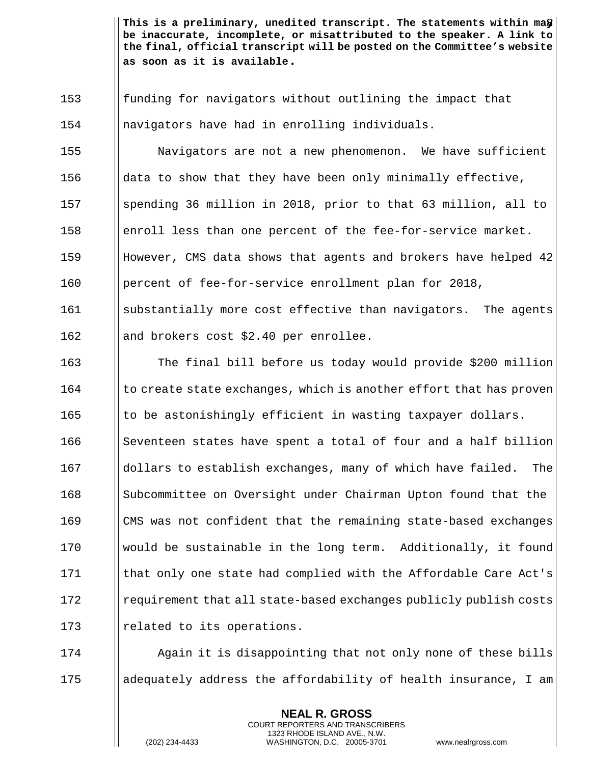This is a preliminary, unedited transcript. The statements within ma $\bigcirc\big\lvert$ **be inaccurate, incomplete, or misattributed to the speaker. A link to the final, official transcript will be posted on the Committee's website as soon as it is available.**

153 funding for navigators without outlining the impact that 154 | navigators have had in enrolling individuals.

 Navigators are not a new phenomenon. We have sufficient  $\parallel$  data to show that they have been only minimally effective, spending 36 million in 2018, prior to that 63 million, all to enroll less than one percent of the fee-for-service market. However, CMS data shows that agents and brokers have helped 42 percent of fee-for-service enrollment plan for 2018, 161 Substantially more cost effective than navigators. The agents

162 || and brokers cost \$2.40 per enrollee.

 The final bill before us today would provide \$200 million  $\parallel$  to create state exchanges, which is another effort that has proven Ito be astonishingly efficient in wasting taxpayer dollars. Seventeen states have spent a total of four and a half billion dollars to establish exchanges, many of which have failed. The 168 Subcommittee on Oversight under Chairman Upton found that the CMS was not confident that the remaining state-based exchanges  $\parallel$  would be sustainable in the long term. Additionally, it found 171 Ichat only one state had complied with the Affordable Care Act's  $\frac{172}{\text{regular}}$  requirement that all state-based exchanges publicly publish costs 173 | related to its operations.

174 **Again it is disappointing that not only none of these bills** 175 adequately address the affordability of health insurance, I am

> **NEAL R. GROSS** COURT REPORTERS AND TRANSCRIBERS 1323 RHODE ISLAND AVE., N.W.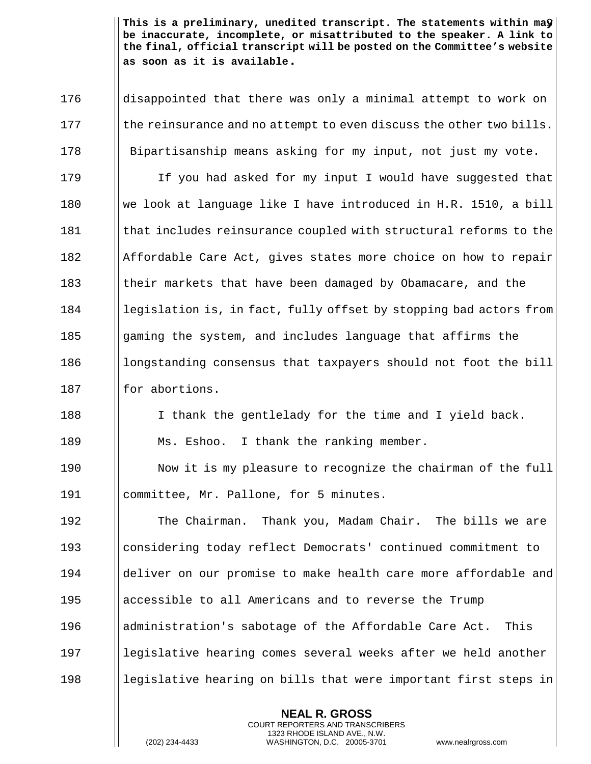This is a preliminary, unedited transcript. The statements within ma $\mathbf{\hat{y}}\big|\,$ **be inaccurate, incomplete, or misattributed to the speaker. A link to the final, official transcript will be posted on the Committee's website as soon as it is available.**

176 | disappointed that there was only a minimal attempt to work on  $177$  || the reinsurance and no attempt to even discuss the other two bills. 178 Bipartisanship means asking for my input, not just my vote. 179 I If you had asked for my input I would have suggested that 180 we look at language like I have introduced in H.R. 1510, a bill 181 Ichat includes reinsurance coupled with structural reforms to the 182 Affordable Care Act, gives states more choice on how to repair 183 Icheir markets that have been damaged by Obamacare, and the 184 | legislation is, in fact, fully offset by stopping bad actors from 185 Gaming the system, and includes language that affirms the  $186$  || longstanding consensus that taxpayers should not foot the bill  $187$  || for abortions. 188 I I thank the gentlelady for the time and I yield back. 189 | Ms. Eshoo. I thank the ranking member. 190 | Now it is my pleasure to recognize the chairman of the full 191 | committee, Mr. Pallone, for 5 minutes. 192 The Chairman. Thank you, Madam Chair. The bills we are 193 considering today reflect Democrats' continued commitment to 194 deliver on our promise to make health care more affordable and

196 I administration's sabotage of the Affordable Care Act. This

195 | accessible to all Americans and to reverse the Trump

197 legislative hearing comes several weeks after we held another 198 legislative hearing on bills that were important first steps in

> **NEAL R. GROSS** COURT REPORTERS AND TRANSCRIBERS 1323 RHODE ISLAND AVE., N.W.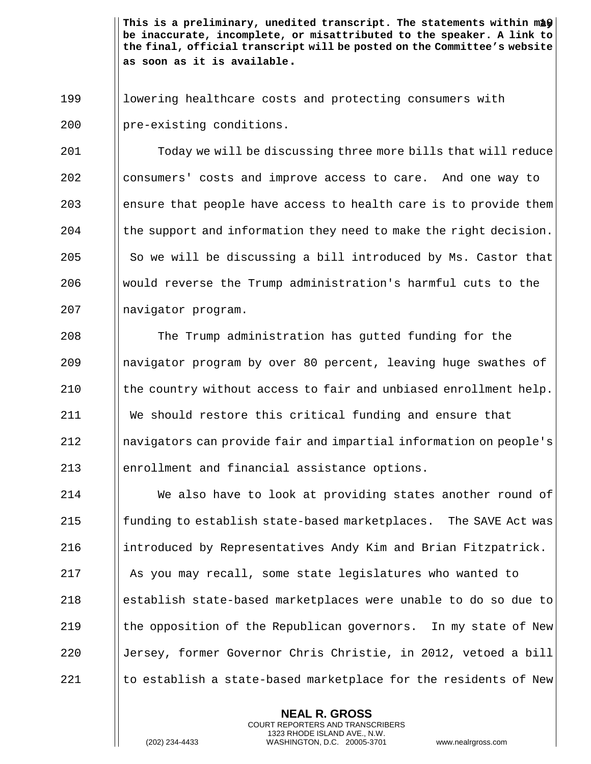This is a preliminary, unedited transcript. The statements within may  $\mid$ **be inaccurate, incomplete, or misattributed to the speaker. A link to the final, official transcript will be posted on the Committee's website as soon as it is available.**

199 | | lowering healthcare costs and protecting consumers with 200 | pre-existing conditions.

201 Today we will be discussing three more bills that will reduce 202 consumers' costs and improve access to care. And one way to 203 end ensure that people have access to health care is to provide them 204  $\parallel$  the support and information they need to make the right decision. 205  $\parallel$  So we will be discussing a bill introduced by Ms. Castor that 206  $\parallel$  would reverse the Trump administration's harmful cuts to the 207 | navigator program.

 The Trump administration has gutted funding for the 209 || navigator program by over 80 percent, leaving huge swathes of  $\parallel$  the country without access to fair and unbiased enrollment help. We should restore this critical funding and ensure that navigators can provide fair and impartial information on people's enrollment and financial assistance options.

 We also have to look at providing states another round of  $\parallel$  funding to establish state-based marketplaces. The SAVE Act was 216 introduced by Representatives Andy Kim and Brian Fitzpatrick. 217 | As you may recall, some state legislatures who wanted to establish state-based marketplaces were unable to do so due to  $\parallel$  the opposition of the Republican governors. In my state of New 220 ||Jersey, former Governor Chris Christie, in 2012, vetoed a bill  $\parallel$  to establish a state-based marketplace for the residents of New

> **NEAL R. GROSS** COURT REPORTERS AND TRANSCRIBERS 1323 RHODE ISLAND AVE., N.W.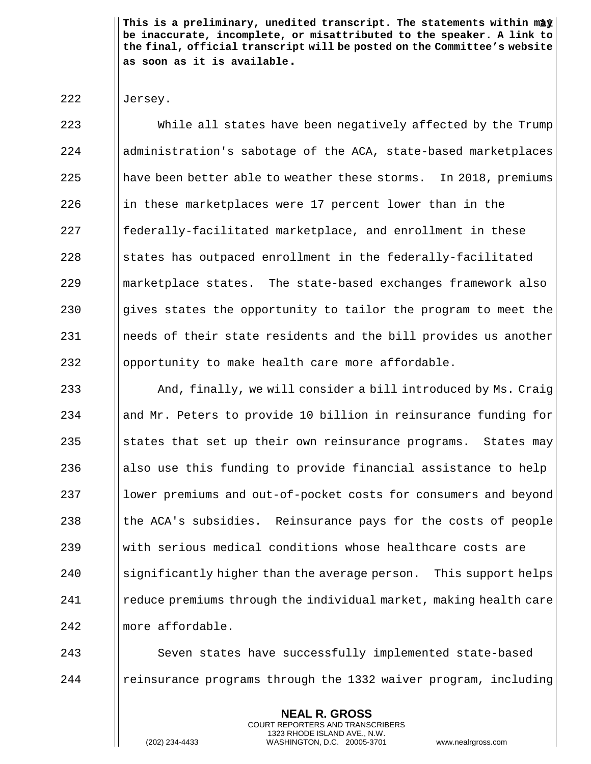This is a preliminary, unedited transcript. The statements within may  $\mid$ **be inaccurate, incomplete, or misattributed to the speaker. A link to the final, official transcript will be posted on the Committee's website as soon as it is available.**

## 222 | Jersey.

 While all states have been negatively affected by the Trump 224 | administration's sabotage of the ACA, state-based marketplaces have been better able to weather these storms. In 2018, premiums ||in these marketplaces were 17 percent lower than in the 227 | federally-facilitated marketplace, and enrollment in these ||states has outpaced enrollment in the federally-facilitated marketplace states. The state-based exchanges framework also  $\parallel$  gives states the opportunity to tailor the program to meet the 231 || needs of their state residents and the bill provides us another  $\Box$  opportunity to make health care more affordable.

233 And, finally, we will consider a bill introduced by Ms. Craig 234 and Mr. Peters to provide 10 billion in reinsurance funding for 235  $\parallel$  states that set up their own reinsurance programs. States may 236 also use this funding to provide financial assistance to help 237 lower premiums and out-of-pocket costs for consumers and beyond 238  $\parallel$  the ACA's subsidies. Reinsurance pays for the costs of people 239 with serious medical conditions whose healthcare costs are  $240$  Significantly higher than the average person. This support helps 241 reduce premiums through the individual market, making health care 242 | more affordable.

243 | Seven states have successfully implemented state-based 244 | reinsurance programs through the 1332 waiver program, including

> **NEAL R. GROSS** COURT REPORTERS AND TRANSCRIBERS 1323 RHODE ISLAND AVE., N.W.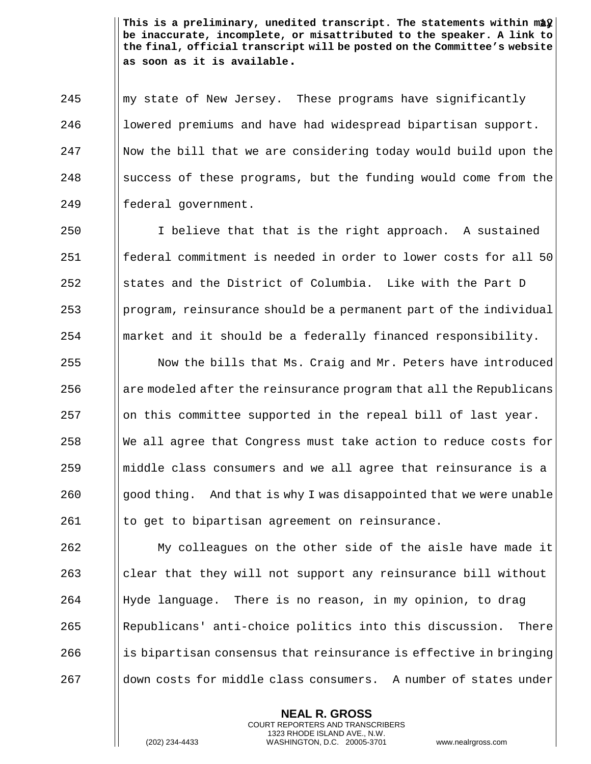This is a preliminary, unedited transcript. The statements within ma $\hat{\bm{y}}\big|\,$ **be inaccurate, incomplete, or misattributed to the speaker. A link to the final, official transcript will be posted on the Committee's website as soon as it is available.**

245 Muny state of New Jersey. These programs have significantly 246 | lowered premiums and have had widespread bipartisan support. Now the bill that we are considering today would build upon the || success of these programs, but the funding would come from the 249 | federal government.

 $\parallel$  I believe that that is the right approach. A sustained federal commitment is needed in order to lower costs for all 50 States and the District of Columbia. Like with the Part D ||program, reinsurance should be a permanent part of the individual ||market and it should be a federally financed responsibility.

 $\blacksquare$  Now the bills that Ms. Craig and Mr. Peters have introduced are modeled after the reinsurance program that all the Republicans || on this committee supported in the repeal bill of last year. We all agree that Congress must take action to reduce costs for  $\parallel$  middle class consumers and we all agree that reinsurance is a || good thing. And that is why I was disappointed that we were unable I to get to bipartisan agreement on reinsurance.

 My colleagues on the other side of the aisle have made it clear that they will not support any reinsurance bill without Hyde language. There is no reason, in my opinion, to drag Republicans' anti-choice politics into this discussion. There || is bipartisan consensus that reinsurance is effective in bringing 267 down costs for middle class consumers. A number of states under

> **NEAL R. GROSS** COURT REPORTERS AND TRANSCRIBERS 1323 RHODE ISLAND AVE., N.W.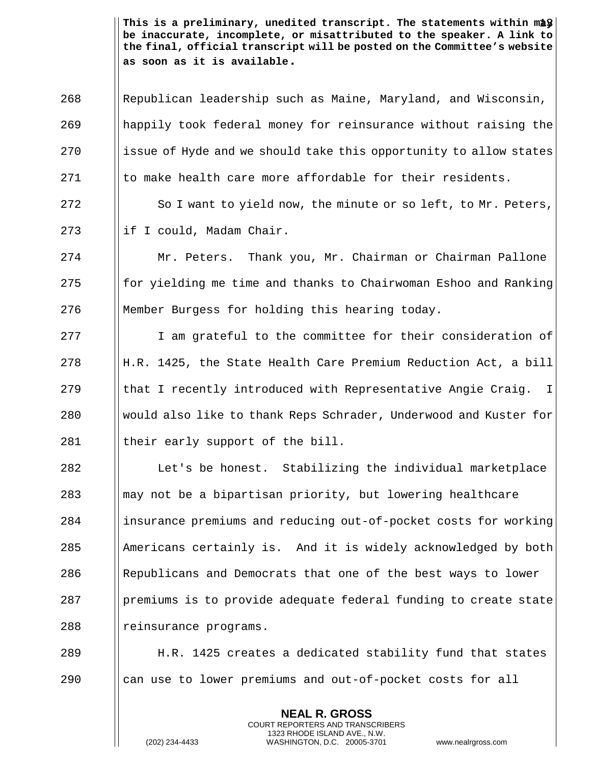This is a preliminary, unedited transcript. The statements within may  $\mid$ **be inaccurate, incomplete, or misattributed to the speaker. A link to the final, official transcript will be posted on the Committee's website as soon as it is available.**

 Republican leadership such as Maine, Maryland, and Wisconsin, happily took federal money for reinsurance without raising the ||issue of Hyde and we should take this opportunity to allow states I to make health care more affordable for their residents.

272 | So I want to yield now, the minute or so left, to Mr. Peters, 273  $\parallel$  if I could, Madam Chair.

274 Mr. Peters. Thank you, Mr. Chairman or Chairman Pallone 275  $\parallel$  for yielding me time and thanks to Chairwoman Eshoo and Ranking 276 Member Burgess for holding this hearing today.

277 I am grateful to the committee for their consideration of 278 H.R. 1425, the State Health Care Premium Reduction Act, a bill 279  $\parallel$  that I recently introduced with Representative Angie Craig. I 280 Would also like to thank Reps Schrader, Underwood and Kuster for  $281$  || their early support of the bill.

282 Let's be honest. Stabilizing the individual marketplace  $283$  ||may not be a bipartisan priority, but lowering healthcare 284 insurance premiums and reducing out-of-pocket costs for working  $285$  || Americans certainly is. And it is widely acknowledged by both 286 | Republicans and Democrats that one of the best ways to lower 287 premiums is to provide adequate federal funding to create state 288 || reinsurance programs.

289 H.R. 1425 creates a dedicated stability fund that states 290 can use to lower premiums and out-of-pocket costs for all

> **NEAL R. GROSS** COURT REPORTERS AND TRANSCRIBERS 1323 RHODE ISLAND AVE., N.W.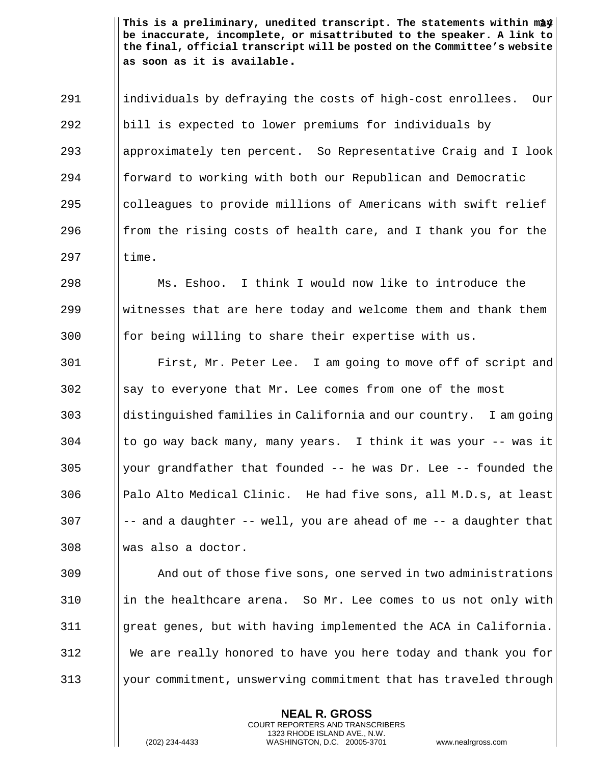14 **This is a preliminary, unedited transcript. The statements within may be inaccurate, incomplete, or misattributed to the speaker. A link to the final, official transcript will be posted on the Committee's website as soon as it is available.**

 individuals by defraying the costs of high-cost enrollees. Our bill is expected to lower premiums for individuals by approximately ten percent. So Representative Craig and I look 294 forward to working with both our Republican and Democratic 295 alcolleagues to provide millions of Americans with swift relief 296 from the rising costs of health care, and I thank you for the Iltime.

 Ms. Eshoo. I think I would now like to introduce the Witnesses that are here today and welcome them and thank them for being willing to share their expertise with us.

**First, Mr. Peter Lee.** I am going to move off of script and Say to everyone that Mr. Lee comes from one of the most distinguished families in California and our country. I am going || to go way back many, many years. I think it was your -- was it || your grandfather that founded -- he was Dr. Lee -- founded the  $\parallel$  Palo Alto Medical Clinic. He had five sons, all M.D.s, at least  $||$  -- and a daughter -- well, you are ahead of me -- a daughter that was also a doctor.

 And out of those five sons, one served in two administrations ||in the healthcare arena. So Mr. Lee comes to us not only with great genes, but with having implemented the ACA in California. We are really honored to have you here today and thank you for 313 Wedget of the state of the state of the commitment that has traveled through

> **NEAL R. GROSS** COURT REPORTERS AND TRANSCRIBERS 1323 RHODE ISLAND AVE., N.W.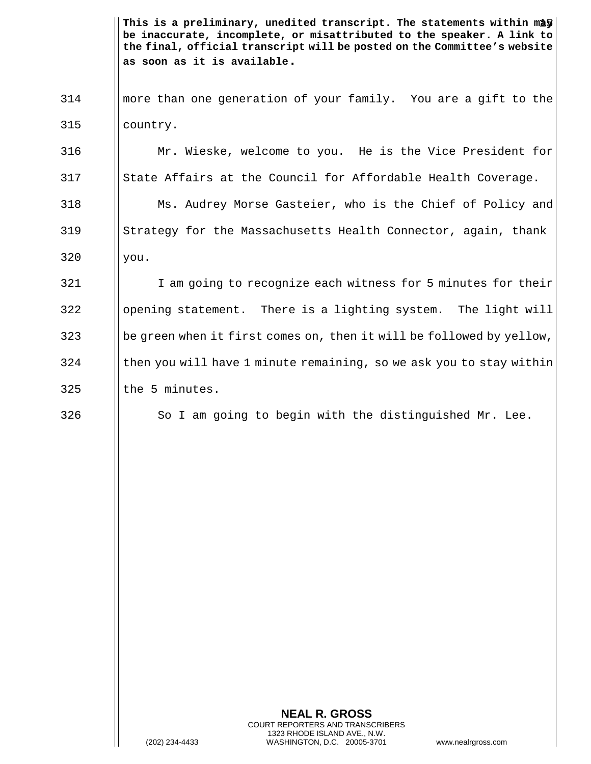This is a preliminary, unedited transcript. The statements within may  $\mid$ **be inaccurate, incomplete, or misattributed to the speaker. A link to the final, official transcript will be posted on the Committee's website as soon as it is available.**

314 more than one generation of your family. You are a gift to the 315 country.

316 Mr. Wieske, welcome to you. He is the Vice President for 317 State Affairs at the Council for Affordable Health Coverage.

318 Ms. Audrey Morse Gasteier, who is the Chief of Policy and 319 Strategy for the Massachusetts Health Connector, again, thank  $320$  ||you.

321 I am going to recognize each witness for 5 minutes for their  $322$  ||opening statement. There is a lighting system. The light will 323 be green when it first comes on, then it will be followed by yellow,  $324$  I then you will have 1 minute remaining, so we ask you to stay within  $325$  Ithe 5 minutes.

 $326$   $\parallel$  So I am going to begin with the distinguished Mr. Lee.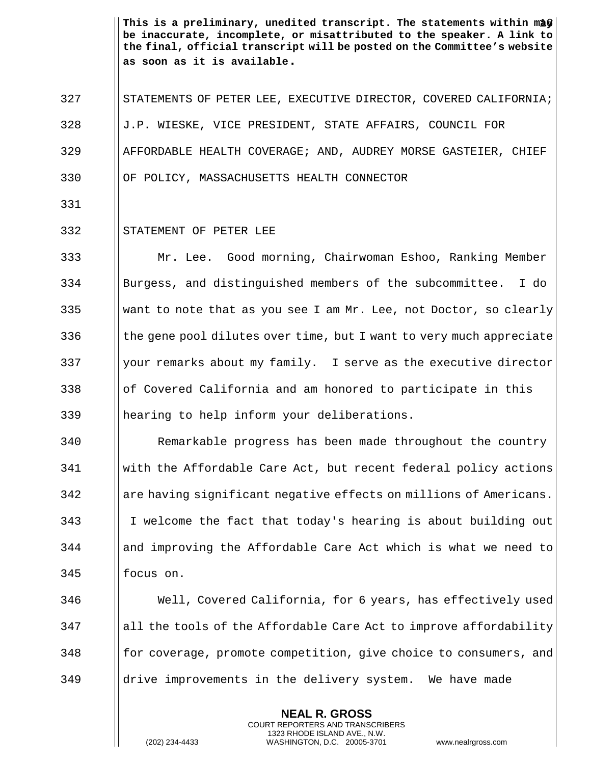This is a preliminary, unedited transcript. The statements within maf*y*| **be inaccurate, incomplete, or misattributed to the speaker. A link to the final, official transcript will be posted on the Committee's website as soon as it is available.**

- 327 STATEMENTS OF PETER LEE, EXECUTIVE DIRECTOR, COVERED CALIFORNIA; 328 | J.P. WIESKE, VICE PRESIDENT, STATE AFFAIRS, COUNCIL FOR 329 AFFORDABLE HEALTH COVERAGE; AND, AUDREY MORSE GASTEIER, CHIEF 330 OF POLICY, MASSACHUSETTS HEALTH CONNECTOR
- 331

## 332 || STATEMENT OF PETER LEE

 Mr. Lee. Good morning, Chairwoman Eshoo, Ranking Member Burgess, and distinguished members of the subcommittee. I do 335 Weight I want to note that as you see I am Mr. Lee, not Doctor, so clearly  $\vert\vert$  the gene pool dilutes over time, but I want to very much appreciate || your remarks about my family. I serve as the executive director || of Covered California and am honored to participate in this hearing to help inform your deliberations.

 Remarkable progress has been made throughout the country with the Affordable Care Act, but recent federal policy actions 342 are having significant negative effects on millions of Americans. I welcome the fact that today's hearing is about building out and improving the Affordable Care Act which is what we need to focus on.

346 Well, Covered California, for 6 years, has effectively used 347 all the tools of the Affordable Care Act to improve affordability 348 for coverage, promote competition, give choice to consumers, and 349 drive improvements in the delivery system. We have made

> **NEAL R. GROSS** COURT REPORTERS AND TRANSCRIBERS 1323 RHODE ISLAND AVE., N.W.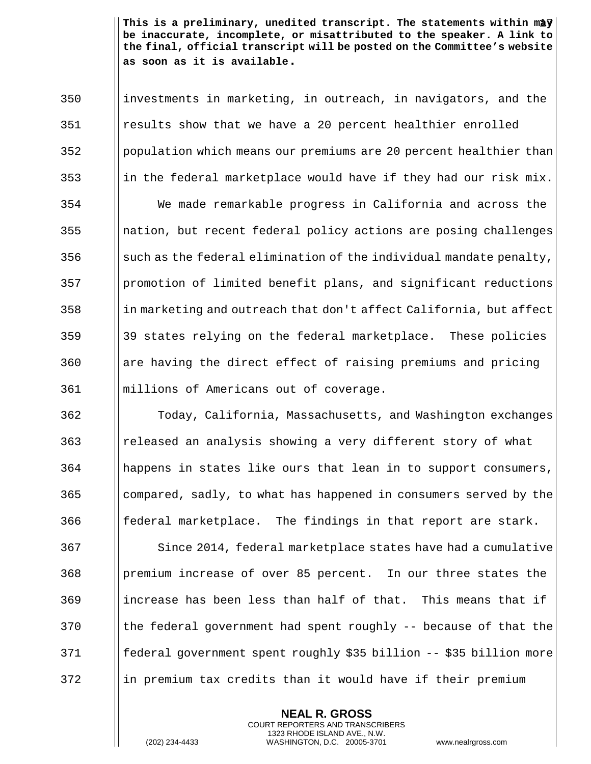This is a preliminary, unedited transcript. The statements within may  $\mid$ **be inaccurate, incomplete, or misattributed to the speaker. A link to the final, official transcript will be posted on the Committee's website as soon as it is available.**

 investments in marketing, in outreach, in navigators, and the results show that we have a 20 percent healthier enrolled population which means our premiums are 20 percent healthier than 353 in the federal marketplace would have if they had our risk mix. We made remarkable progress in California and across the ||nation, but recent federal policy actions are posing challenges  $\|\$  such as the federal elimination of the individual mandate penalty, promotion of limited benefit plans, and significant reductions in marketing and outreach that don't affect California, but affect 39 states relying on the federal marketplace. These policies || are having the direct effect of raising premiums and pricing millions of Americans out of coverage.

 Today, California, Massachusetts, and Washington exchanges released an analysis showing a very different story of what happens in states like ours that lean in to support consumers, compared, sadly, to what has happened in consumers served by the || federal marketplace. The findings in that report are stark.

367 Since 2014, federal marketplace states have had a cumulative premium increase of over 85 percent. In our three states the increase has been less than half of that. This means that if  $\parallel$  the federal government had spent roughly -- because of that the federal government spent roughly \$35 billion -- \$35 billion more 372 in premium tax credits than it would have if their premium

> **NEAL R. GROSS** COURT REPORTERS AND TRANSCRIBERS 1323 RHODE ISLAND AVE., N.W.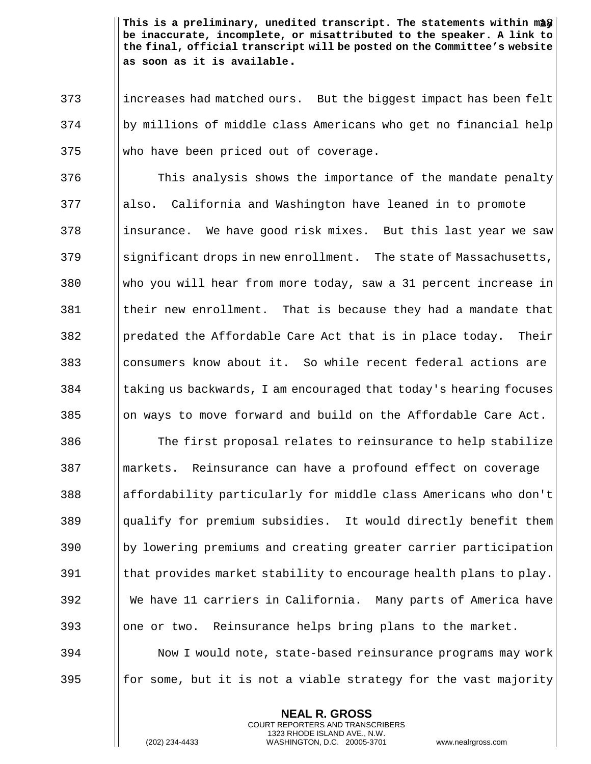This is a preliminary, unedited transcript. The statements within mag  $\big\vert$ **be inaccurate, incomplete, or misattributed to the speaker. A link to the final, official transcript will be posted on the Committee's website as soon as it is available.**

373 increases had matched ours. But the biggest impact has been felt 374 by millions of middle class Americans who get no financial help  $375$  Who have been priced out of coverage.

**This analysis shows the importance of the mandate penalty**  also. California and Washington have leaned in to promote 378 insurance. We have good risk mixes. But this last year we saw Significant drops in new enrollment. The state of Massachusetts, who you will hear from more today, saw a 31 percent increase in Itheir new enrollment. That is because they had a mandate that ||predated the Affordable Care Act that is in place today. Their consumers know about it. So while recent federal actions are I taking us backwards, I am encouraged that today's hearing focuses ||on ways to move forward and build on the Affordable Care Act.

386 The first proposal relates to reinsurance to help stabilize markets. Reinsurance can have a profound effect on coverage affordability particularly for middle class Americans who don't qualify for premium subsidies. It would directly benefit them by lowering premiums and creating greater carrier participation I that provides market stability to encourage health plans to play. We have 11 carriers in California. Many parts of America have 393 | | one or two. Reinsurance helps bring plans to the market. Now I would note, state-based reinsurance programs may work

395 for some, but it is not a viable strategy for the vast majority

**NEAL R. GROSS** COURT REPORTERS AND TRANSCRIBERS 1323 RHODE ISLAND AVE., N.W.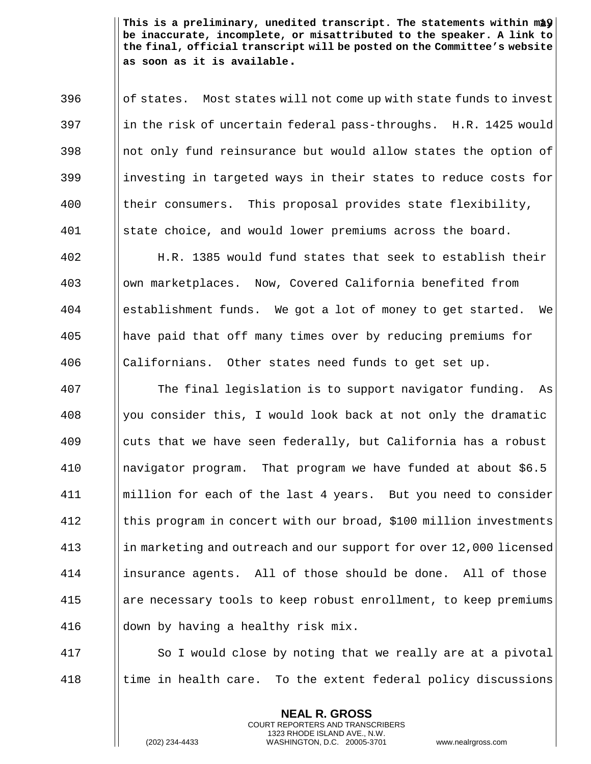This is a preliminary, unedited transcript. The statements within may  $\mid$ **be inaccurate, incomplete, or misattributed to the speaker. A link to the final, official transcript will be posted on the Committee's website as soon as it is available.**

 $\frac{396}{\text{of states.}}$  Most states will not come up with state funds to invest  $397$  ||in the risk of uncertain federal pass-throughs. H.R. 1425 would  $398$  ||not only fund reinsurance but would allow states the option of 399 investing in targeted ways in their states to reduce costs for 400 || their consumers. This proposal provides state flexibility, 401 State choice, and would lower premiums across the board.

 H.R. 1385 would fund states that seek to establish their own marketplaces. Now, Covered California benefited from establishment funds. We got a lot of money to get started. We have paid that off many times over by reducing premiums for 406 || Californians. Other states need funds to get set up.

 The final legislation is to support navigator funding. As ||you consider this, I would look back at not only the dramatic cuts that we have seen federally, but California has a robust navigator program. That program we have funded at about \$6.5 411 | million for each of the last 4 years. But you need to consider this program in concert with our broad, \$100 million investments 413 in marketing and outreach and our support for over 12,000 licensed insurance agents. All of those should be done. All of those are necessary tools to keep robust enrollment, to keep premiums  $\parallel$  down by having a healthy risk mix.

417 | So I would close by noting that we really are at a pivotal  $418$  || time in health care. To the extent federal policy discussions

> **NEAL R. GROSS** COURT REPORTERS AND TRANSCRIBERS 1323 RHODE ISLAND AVE., N.W.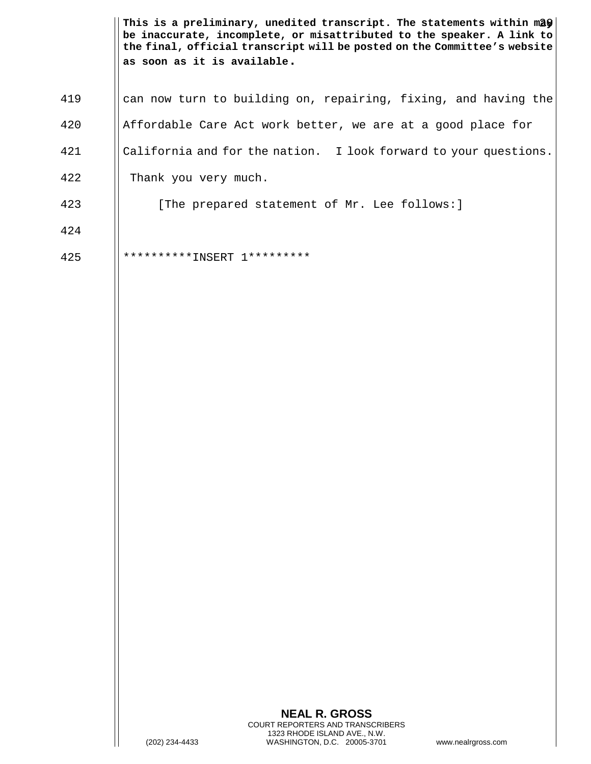This is a preliminary, unedited transcript. The statements within mâ $\boldsymbol{\hat{y}}\big|\,$ **be inaccurate, incomplete, or misattributed to the speaker. A link to the final, official transcript will be posted on the Committee's website as soon as it is available.**

| 419 | can now turn to building on, repairing, fixing, and having the   |
|-----|------------------------------------------------------------------|
| 420 | Affordable Care Act work better, we are at a good place for      |
| 421 | California and for the nation. I look forward to your questions. |
| 422 | Thank you very much.                                             |
| 423 | [The prepared statement of Mr. Lee follows:]                     |
| 424 |                                                                  |
| 425 |                                                                  |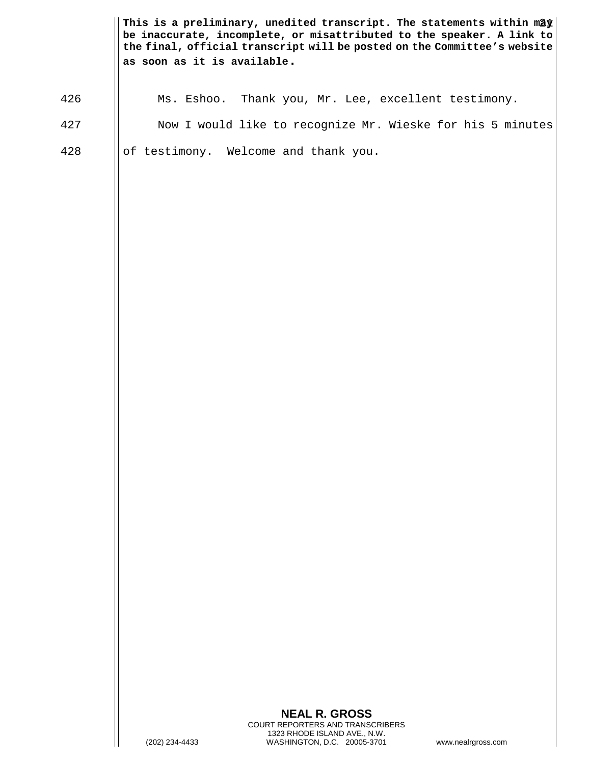|     | as soon as it is available. | This is a preliminary, unedited transcript. The statements within may<br>be inaccurate, incomplete, or misattributed to the speaker. A link to<br>the final, official transcript will be posted on the Committee's website |                    |
|-----|-----------------------------|----------------------------------------------------------------------------------------------------------------------------------------------------------------------------------------------------------------------------|--------------------|
| 426 | Ms. Eshoo.                  | Thank you, Mr. Lee, excellent testimony.                                                                                                                                                                                   |                    |
| 427 |                             | Now I would like to recognize Mr. Wieske for his 5 minutes                                                                                                                                                                 |                    |
| 428 |                             | of testimony. Welcome and thank you.                                                                                                                                                                                       |                    |
|     | (202) 234-4433              | <b>NEAL R. GROSS</b><br>COURT REPORTERS AND TRANSCRIBERS<br>1323 RHODE ISLAND AVE., N.W.<br>WASHINGTON, D.C. 20005-3701                                                                                                    | www.nealrgross.com |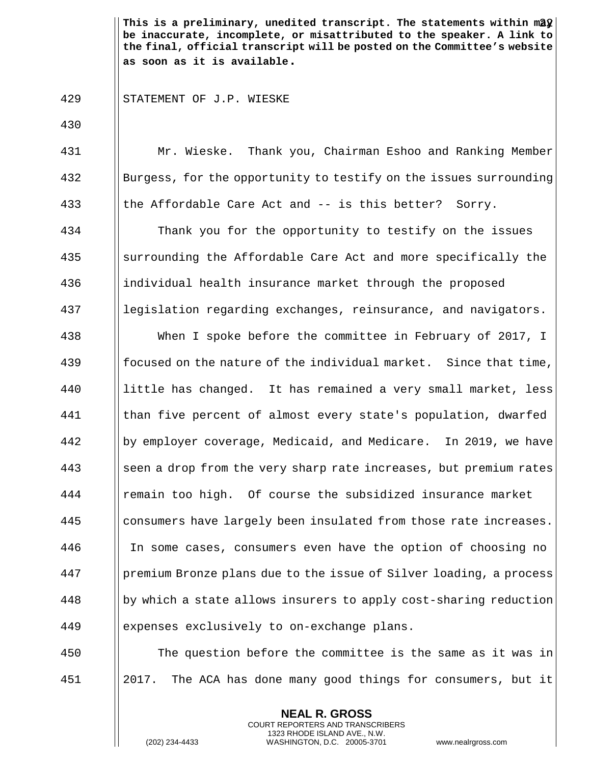This is a preliminary, unedited transcript. The statements within m2 $\mathfrak{L}\big\vert$ **be inaccurate, incomplete, or misattributed to the speaker. A link to the final, official transcript will be posted on the Committee's website as soon as it is available.**

## 429 | STATEMENT OF J.P. WIESKE

430 431 Mr. Wieske. Thank you, Chairman Eshoo and Ranking Member 432 Burgess, for the opportunity to testify on the issues surrounding 433 || the Affordable Care Act and -- is this better? Sorry. 434 **Thank** you for the opportunity to testify on the issues 435 surrounding the Affordable Care Act and more specifically the 436 | individual health insurance market through the proposed 437 | legislation regarding exchanges, reinsurance, and navigators. 438 When I spoke before the committee in February of 2017, I 439 **focused on the nature of the individual market.** Since that time, 440 little has changed. It has remained a very small market, less 441 than five percent of almost every state's population, dwarfed 442 by employer coverage, Medicaid, and Medicare. In 2019, we have  $\frac{443}{156}$  seen a drop from the very sharp rate increases, but premium rates 444 | remain too high. Of course the subsidized insurance market 445 consumers have largely been insulated from those rate increases. 446 In some cases, consumers even have the option of choosing no 447 Supemium Bronze plans due to the issue of Silver loading, a process  $448$  ||by which a state allows insurers to apply cost-sharing reduction 449 expenses exclusively to on-exchange plans. 450 The question before the committee is the same as it was in

451 2017. The ACA has done many good things for consumers, but it

**NEAL R. GROSS** COURT REPORTERS AND TRANSCRIBERS 1323 RHODE ISLAND AVE., N.W.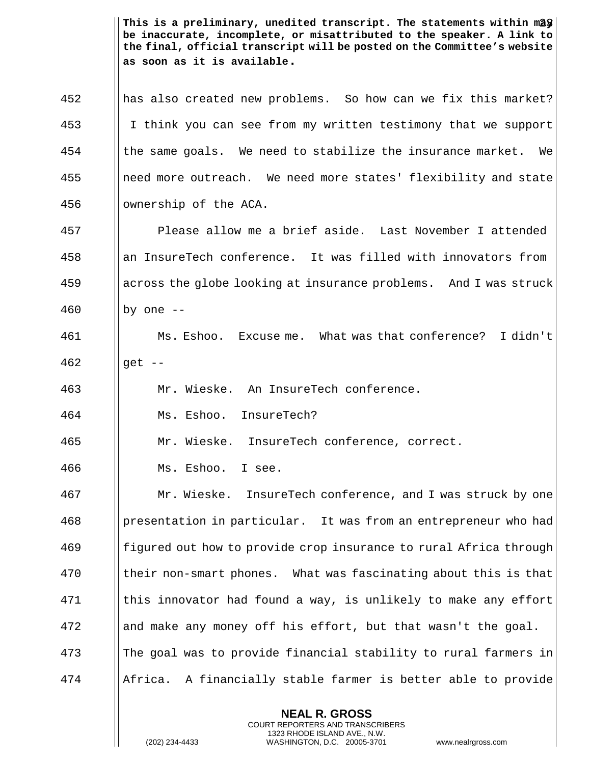This is a preliminary, unedited transcript. The statements within m2 $\frac{3}{8}\Big\lfloor$ **be inaccurate, incomplete, or misattributed to the speaker. A link to the final, official transcript will be posted on the Committee's website as soon as it is available.**

 has also created new problems. So how can we fix this market? I think you can see from my written testimony that we support the same goals. We need to stabilize the insurance market. We need more outreach. We need more states' flexibility and state 456 | | ownership of the ACA.

457 Please allow me a brief aside. Last November I attended 458 || an InsureTech conference. It was filled with innovators from 459 across the globe looking at insurance problems. And I was struck 460  $\vert \vert$  by one --

461 Ms. Eshoo. Excuse me. What was that conference? I didn't  $462$  || qet --

463 Mr. Wieske. An InsureTech conference.

464 Ms. Eshoo. InsureTech?

465 Mr. Wieske. InsureTech conference, correct.

466 Ms. Eshoo. I see.

 Mr. Wieske. InsureTech conference, and I was struck by one presentation in particular. It was from an entrepreneur who had figured out how to provide crop insurance to rural Africa through 470 I their non-smart phones. What was fascinating about this is that || this innovator had found a way, is unlikely to make any effort || and make any money off his effort, but that wasn't the goal. 473 The goal was to provide financial stability to rural farmers in Africa. A financially stable farmer is better able to provide

> **NEAL R. GROSS** COURT REPORTERS AND TRANSCRIBERS 1323 RHODE ISLAND AVE., N.W.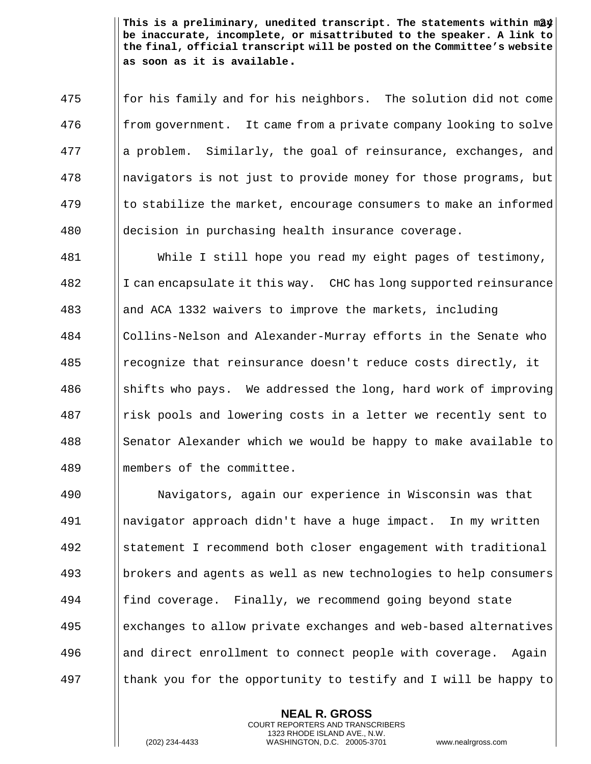This is a preliminary, unedited transcript. The statements within m2 $\frac{d\mathbf{y}}{d}$ **be inaccurate, incomplete, or misattributed to the speaker. A link to the final, official transcript will be posted on the Committee's website as soon as it is available.**

475 for his family and for his neighbors. The solution did not come 476 from government. It came from a private company looking to solve 477 | || a problem. Similarly, the goal of reinsurance, exchanges, and 478 | navigators is not just to provide money for those programs, but  $479$  || to stabilize the market, encourage consumers to make an informed 480 decision in purchasing health insurance coverage.

 While I still hope you read my eight pages of testimony, 482 I I can encapsulate it this way. CHC has long supported reinsurance and ACA 1332 waivers to improve the markets, including Collins-Nelson and Alexander-Murray efforts in the Senate who recognize that reinsurance doesn't reduce costs directly, it  $\parallel$  shifts who pays. We addressed the long, hard work of improving risk pools and lowering costs in a letter we recently sent to 488 Senator Alexander which we would be happy to make available to members of the committee.

 Navigators, again our experience in Wisconsin was that navigator approach didn't have a huge impact. In my written statement I recommend both closer engagement with traditional brokers and agents as well as new technologies to help consumers **find coverage.** Finally, we recommend going beyond state exchanges to allow private exchanges and web-based alternatives 496 and direct enrollment to connect people with coverage. Again  $\parallel$  thank you for the opportunity to testify and I will be happy to

> **NEAL R. GROSS** COURT REPORTERS AND TRANSCRIBERS 1323 RHODE ISLAND AVE., N.W.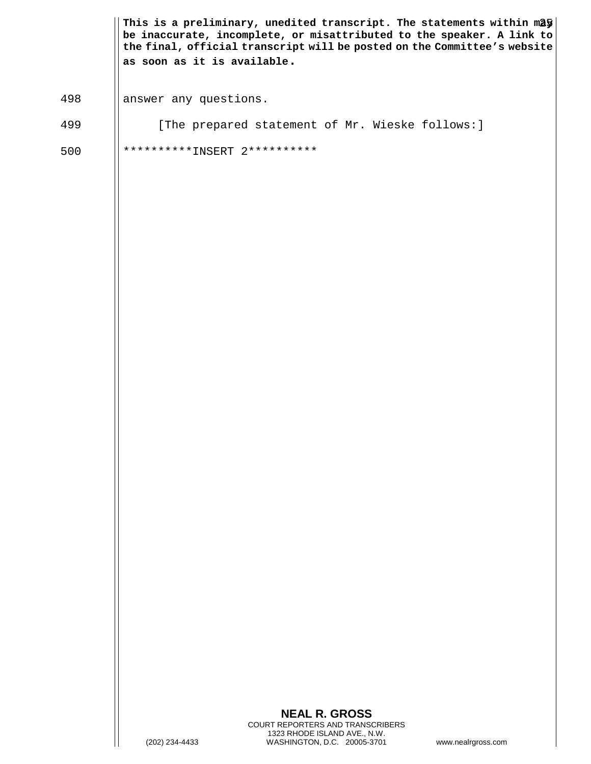|     | as soon as it is available.  | This is a preliminary, unedited transcript. The statements within may<br>be inaccurate, incomplete, or misattributed to the speaker. A link to<br>the final, official transcript will be posted on the Committee's website |                    |
|-----|------------------------------|----------------------------------------------------------------------------------------------------------------------------------------------------------------------------------------------------------------------------|--------------------|
| 498 | answer any questions.        |                                                                                                                                                                                                                            |                    |
| 499 |                              | [The prepared statement of Mr. Wieske follows: ]                                                                                                                                                                           |                    |
| 500 | **********INSERT 2********** |                                                                                                                                                                                                                            |                    |
|     |                              |                                                                                                                                                                                                                            |                    |
|     |                              |                                                                                                                                                                                                                            |                    |
|     |                              |                                                                                                                                                                                                                            |                    |
|     | (202) 234-4433               | <b>NEAL R. GROSS</b><br>COURT REPORTERS AND TRANSCRIBERS<br>1323 RHODE ISLAND AVE., N.W.<br>WASHINGTON, D.C. 20005-3701                                                                                                    | www.nealrgross.com |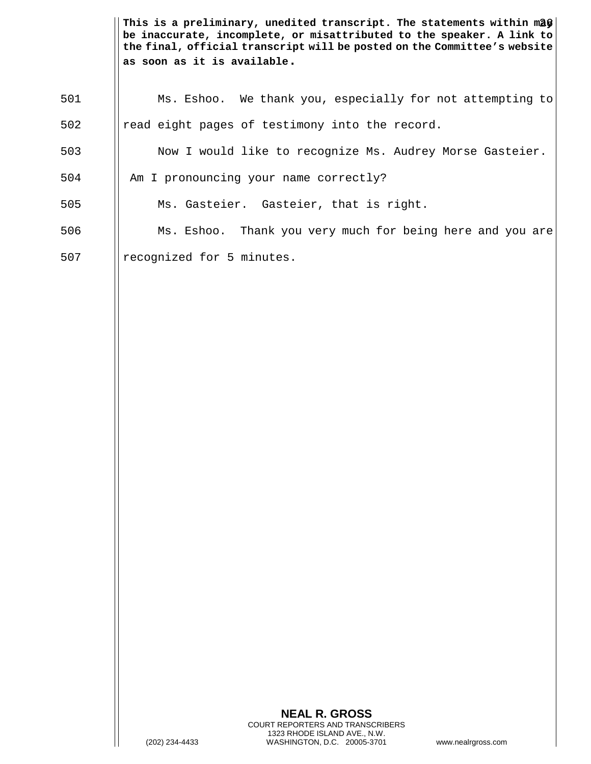This is a preliminary, unedited transcript. The statements within m**2**§ **be inaccurate, incomplete, or misattributed to the speaker. A link to the final, official transcript will be posted on the Committee's website as soon as it is available.**

| 501 | Ms. Eshoo. We thank you, especially for not attempting to |
|-----|-----------------------------------------------------------|
| 502 | read eight pages of testimony into the record.            |
| 503 | Now I would like to recognize Ms. Audrey Morse Gasteier.  |
| 504 | Am I pronouncing your name correctly?                     |
| 505 | Ms. Gasteier. Gasteier, that is right.                    |
| 506 | Ms. Eshoo. Thank you very much for being here and you are |
| 507 | recognized for 5 minutes.                                 |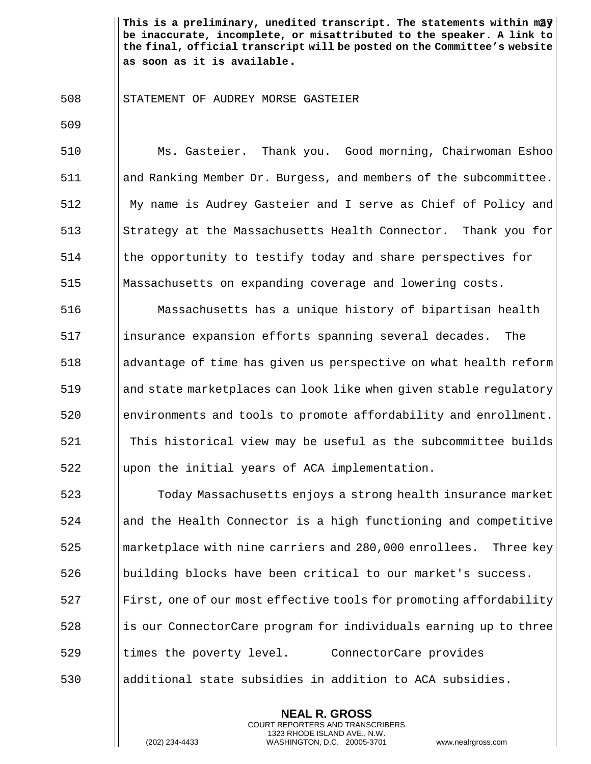This is a preliminary, unedited transcript. The statements within m2 $\frac{\sqrt{3}}{2}$ **be inaccurate, incomplete, or misattributed to the speaker. A link to the final, official transcript will be posted on the Committee's website as soon as it is available.**

STATEMENT OF AUDREY MORSE GASTEIER

 Ms. Gasteier. Thank you. Good morning, Chairwoman Eshoo and Ranking Member Dr. Burgess, and members of the subcommittee. My name is Audrey Gasteier and I serve as Chief of Policy and 513 Strategy at the Massachusetts Health Connector. Thank you for the opportunity to testify today and share perspectives for Massachusetts on expanding coverage and lowering costs.

 Massachusetts has a unique history of bipartisan health insurance expansion efforts spanning several decades. The advantage of time has given us perspective on what health reform and state marketplaces can look like when given stable regulatory environments and tools to promote affordability and enrollment. This historical view may be useful as the subcommittee builds ||upon the initial years of ACA implementation.

 Today Massachusetts enjoys a strong health insurance market and the Health Connector is a high functioning and competitive **marketplace with nine carriers and 280,000 enrollees.** Three key building blocks have been critical to our market's success. First, one of our most effective tools for promoting affordability 528 is our ConnectorCare program for individuals earning up to three 529 I times the poverty level. ConnectorCare provides additional state subsidies in addition to ACA subsidies.

> **NEAL R. GROSS** COURT REPORTERS AND TRANSCRIBERS 1323 RHODE ISLAND AVE., N.W.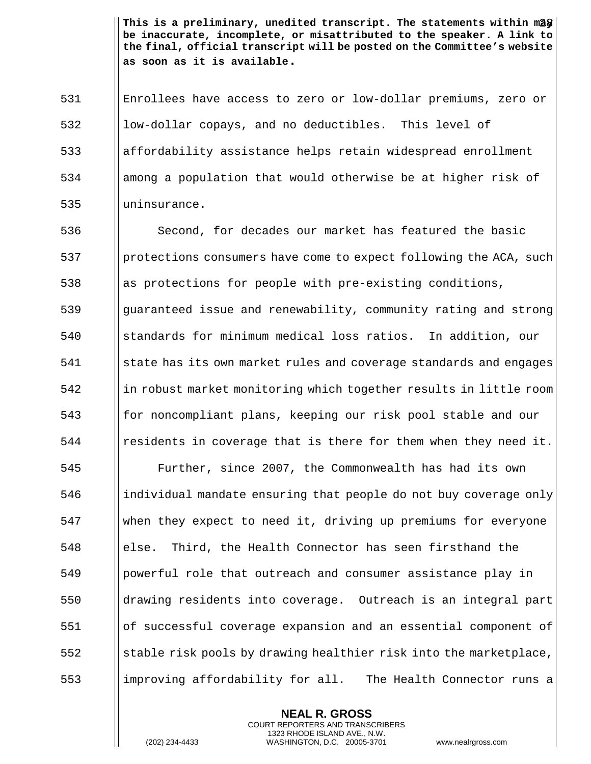This is a preliminary, unedited transcript. The statements within m**2**\$| **be inaccurate, incomplete, or misattributed to the speaker. A link to the final, official transcript will be posted on the Committee's website as soon as it is available.**

531 Enrollees have access to zero or low-dollar premiums, zero or 532 || low-dollar copays, and no deductibles. This level of 533 affordability assistance helps retain widespread enrollment 534 among a population that would otherwise be at higher risk of 535 | uninsurance.

536 Second, for decades our market has featured the basic 537 | protections consumers have come to expect following the ACA, such 538 || as protections for people with pre-existing conditions, 539 guaranteed issue and renewability, community rating and strong 540 standards for minimum medical loss ratios. In addition, our 541 state has its own market rules and coverage standards and engages 542 in robust market monitoring which together results in little room 543 for noncompliant plans, keeping our risk pool stable and our  $\frac{1}{2}$   $\frac{1}{2}$  residents in coverage that is there for them when they need it.

 Further, since 2007, the Commonwealth has had its own ||individual mandate ensuring that people do not buy coverage only when they expect to need it, driving up premiums for everyone else. Third, the Health Connector has seen firsthand the powerful role that outreach and consumer assistance play in drawing residents into coverage. Outreach is an integral part of successful coverage expansion and an essential component of Satism stable risk pools by drawing healthier risk into the marketplace, 553 improving affordability for all. The Health Connector runs a

> **NEAL R. GROSS** COURT REPORTERS AND TRANSCRIBERS 1323 RHODE ISLAND AVE., N.W.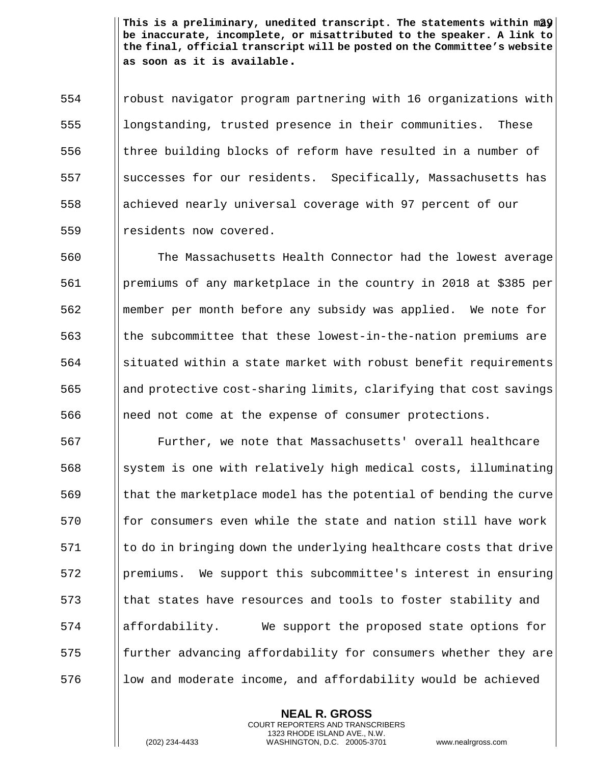This is a preliminary, unedited transcript. The statements within m2 $\mathbf{\hat{y}}\big|\,$ **be inaccurate, incomplete, or misattributed to the speaker. A link to the final, official transcript will be posted on the Committee's website as soon as it is available.**

554 robust navigator program partnering with 16 organizations with 555 || longstanding, trusted presence in their communities. These 556 three building blocks of reform have resulted in a number of 557 successes for our residents. Specifically, Massachusetts has 558 achieved nearly universal coverage with 97 percent of our 559 | residents now covered.

 The Massachusetts Health Connector had the lowest average premiums of any marketplace in the country in 2018 at \$385 per member per month before any subsidy was applied. We note for the subcommittee that these lowest-in-the-nation premiums are Situated within a state market with robust benefit requirements and protective cost-sharing limits, clarifying that cost savings 566 | need not come at the expense of consumer protections.

 Further, we note that Massachusetts' overall healthcare system is one with relatively high medical costs, illuminating  $\frac{1}{10}$  569 that the marketplace model has the potential of bending the curve for consumers even while the state and nation still have work I to do in bringing down the underlying healthcare costs that drive premiums. We support this subcommittee's interest in ensuring that states have resources and tools to foster stability and affordability. We support the proposed state options for 575 further advancing affordability for consumers whether they are || low and moderate income, and affordability would be achieved

> **NEAL R. GROSS** COURT REPORTERS AND TRANSCRIBERS 1323 RHODE ISLAND AVE., N.W.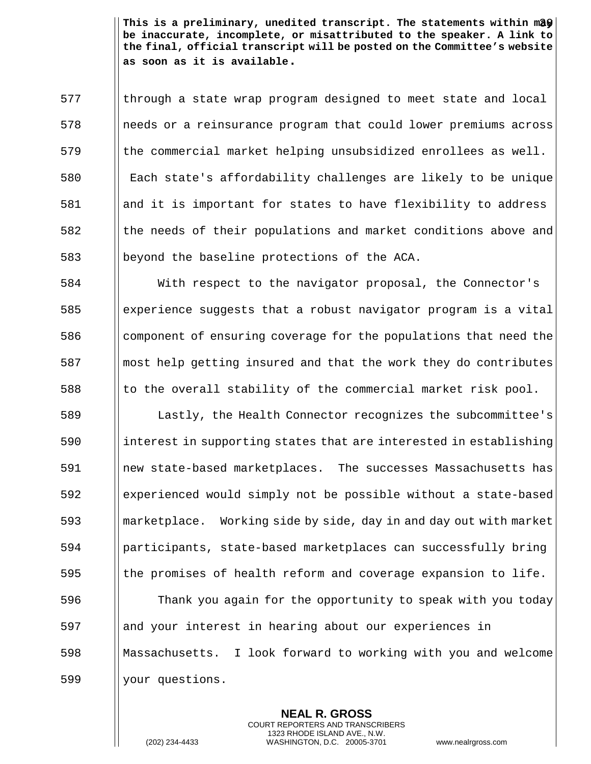This is a preliminary, unedited transcript. The statements within ma $\boldsymbol{\hat{y}}\big|\,$ **be inaccurate, incomplete, or misattributed to the speaker. A link to the final, official transcript will be posted on the Committee's website as soon as it is available.**

 through a state wrap program designed to meet state and local 578 | needs or a reinsurance program that could lower premiums across the commercial market helping unsubsidized enrollees as well. Each state's affordability challenges are likely to be unique and it is important for states to have flexibility to address the needs of their populations and market conditions above and beyond the baseline protections of the ACA.

 With respect to the navigator proposal, the Connector's experience suggests that a robust navigator program is a vital 586 component of ensuring coverage for the populations that need the || most help getting insured and that the work they do contributes  $\parallel$  to the overall stability of the commercial market risk pool.

 Lastly, the Health Connector recognizes the subcommittee's  $\frac{1}{10}$  interest in supporting states that are interested in establishing new state-based marketplaces. The successes Massachusetts has experienced would simply not be possible without a state-based marketplace. Working side by side, day in and day out with market participants, state-based marketplaces can successfully bring  $\parallel$  the promises of health reform and coverage expansion to life. Thank you again for the opportunity to speak with you today

597 and your interest in hearing about our experiences in 598 Massachusetts. I look forward to working with you and welcome 599 | your questions.

> **NEAL R. GROSS** COURT REPORTERS AND TRANSCRIBERS 1323 RHODE ISLAND AVE., N.W.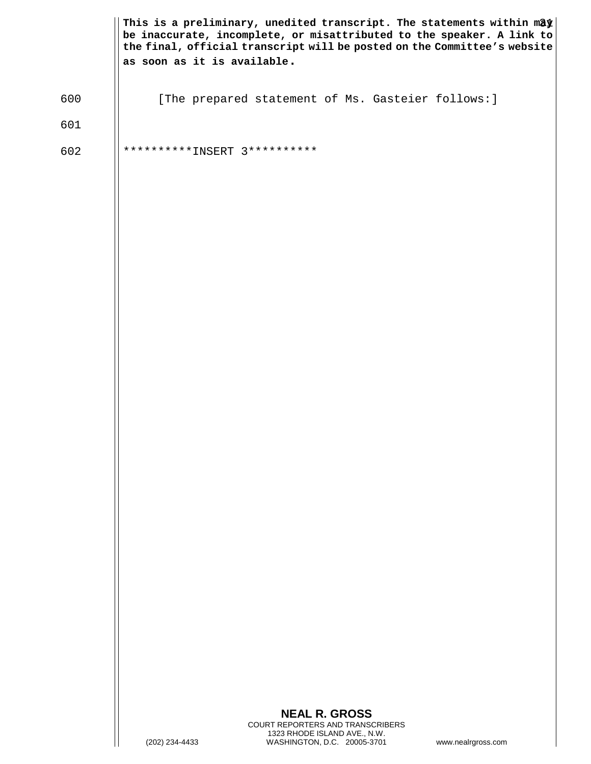|     | This is a preliminary, unedited transcript. The statements within may<br>be inaccurate, incomplete, or misattributed to the speaker. A link to<br>the final, official transcript will be posted on the Committee's website<br>as soon as it is available. |
|-----|-----------------------------------------------------------------------------------------------------------------------------------------------------------------------------------------------------------------------------------------------------------|
| 600 | [The prepared statement of Ms. Gasteier follows: ]                                                                                                                                                                                                        |
| 601 |                                                                                                                                                                                                                                                           |
| 602 | **********INSERT 3**********                                                                                                                                                                                                                              |
|     | <b>NEAL R. GROSS</b><br>COURT REPORTERS AND TRANSCRIBERS<br>1323 RHODE ISLAND AVE., N.W.<br>WASHINGTON, D.C. 20005-3701<br>(202) 234-4433<br>www.nealrgross.com                                                                                           |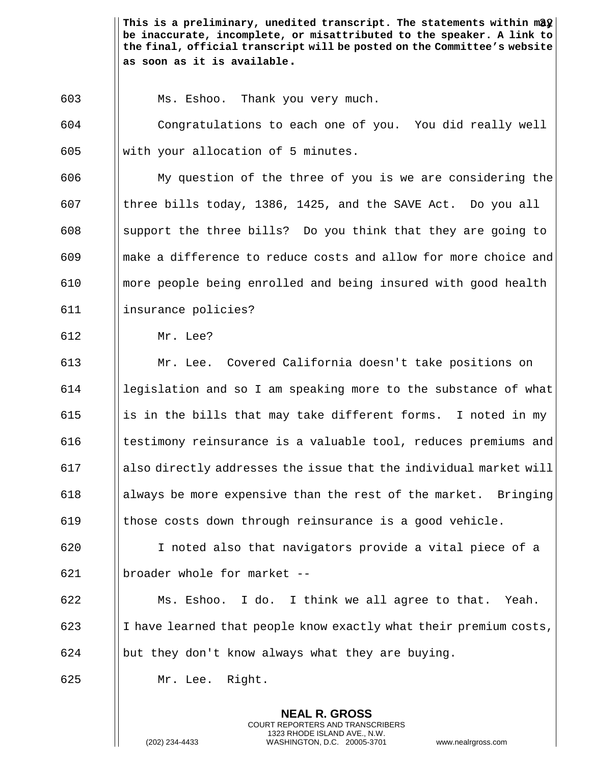This is a preliminary, unedited transcript. The statements within ma $\hat{\bm{y}}$  | **be inaccurate, incomplete, or misattributed to the speaker. A link to the final, official transcript will be posted on the Committee's website as soon as it is available.**

Ms. Eshoo. Thank you very much.

 Congratulations to each one of you. You did really well || with your allocation of 5 minutes.

 My question of the three of you is we are considering the three bills today, 1386, 1425, and the SAVE Act. Do you all 608 Support the three bills? Do you think that they are going to make a difference to reduce costs and allow for more choice and more people being enrolled and being insured with good health insurance policies?

Mr. Lee?

 Mr. Lee. Covered California doesn't take positions on legislation and so I am speaking more to the substance of what 615 is in the bills that may take different forms. I noted in my  $\parallel$  testimony reinsurance is a valuable tool, reduces premiums and ||also directly addresses the issue that the individual market will 618 always be more expensive than the rest of the market. Bringing  $\parallel$  those costs down through reinsurance is a good vehicle.

 I noted also that navigators provide a vital piece of a broader whole for market --

 Ms. Eshoo. I do. I think we all agree to that. Yeah. 623 I  $\parallel$  I have learned that people know exactly what their premium costs, || but they don't know always what they are buying.

> **NEAL R. GROSS** COURT REPORTERS AND TRANSCRIBERS 1323 RHODE ISLAND AVE., N.W.

Mr. Lee. Right.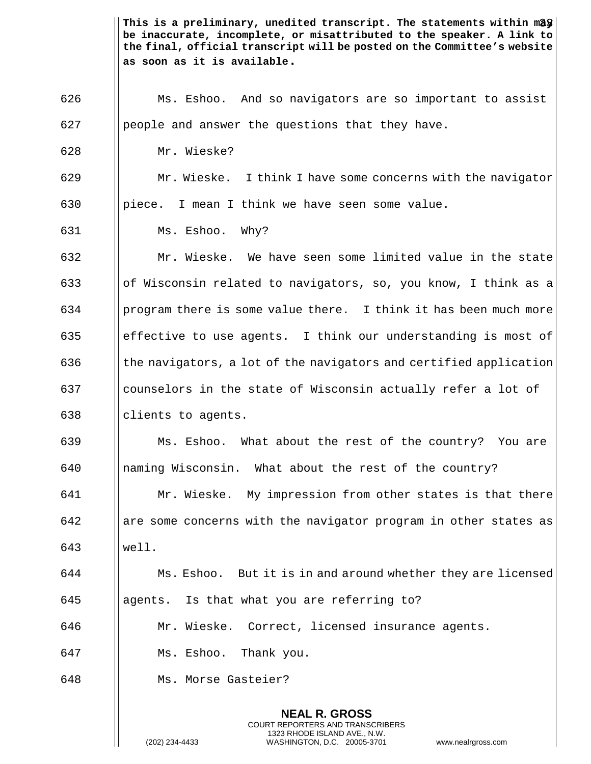This is a preliminary, unedited transcript. The statements within mag  $\big\vert$ **be inaccurate, incomplete, or misattributed to the speaker. A link to the final, official transcript will be posted on the Committee's website as soon as it is available.**

**NEAL R. GROSS** Ms. Eshoo. And so navigators are so important to assist || people and answer the questions that they have. Mr. Wieske?  $\parallel$  Mr. Wieske. I think I have some concerns with the navigator 630 | piece. I mean I think we have seen some value. Ms. Eshoo. Why? Mr. Wieske. We have seen some limited value in the state  $\vert\vert$  of Wisconsin related to navigators, so, you know, I think as a | program there is some value there. I think it has been much more 635 effective to use agents. I think our understanding is most of  $\vert$  the navigators, a lot of the navigators and certified application counselors in the state of Wisconsin actually refer a lot of  $\parallel$  clients to agents. Ms. Eshoo. What about the rest of the country? You are naming Wisconsin. What about the rest of the country? **Mr. Wieske.** My impression from other states is that there are some concerns with the navigator program in other states as well. Ms. Eshoo. But it is in and around whether they are licensed || agents. Is that what you are referring to? Mr. Wieske. Correct, licensed insurance agents. Ms. Eshoo. Thank you. Ms. Morse Gasteier?

COURT REPORTERS AND TRANSCRIBERS 1323 RHODE ISLAND AVE., N.W.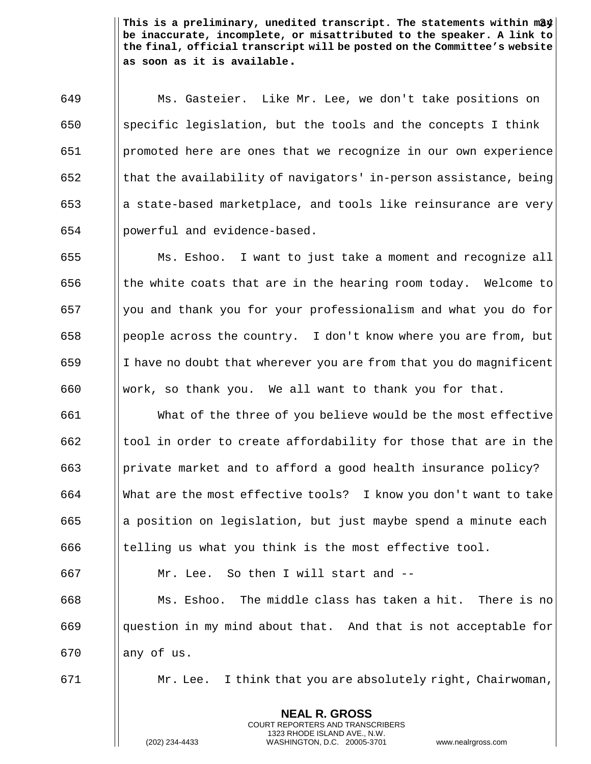This is a preliminary, unedited transcript. The statements within ma $\frac{d\mathbf{y}}{d}$ **be inaccurate, incomplete, or misattributed to the speaker. A link to the final, official transcript will be posted on the Committee's website as soon as it is available.**

 Ms. Gasteier. Like Mr. Lee, we don't take positions on 650 Specific legislation, but the tools and the concepts I think promoted here are ones that we recognize in our own experience  $\parallel$  that the availability of navigators' in-person assistance, being  $\begin{bmatrix} 653 \end{bmatrix}$  a state-based marketplace, and tools like reinsurance are very powerful and evidence-based.

 $\parallel$  Ms. Eshoo. I want to just take a moment and recognize all  $\parallel$  the white coats that are in the hearing room today. Welcome to  $\begin{bmatrix} 657 \\ \end{bmatrix}$  you and thank you for your professionalism and what you do for || people across the country. I don't know where you are from, but || I have no doubt that wherever you are from that you do magnificent 660 Werk, so thank you. We all want to thank you for that.

 What of the three of you believe would be the most effective ||tool in order to create affordability for those that are in the **private market and to afford a good health insurance policy?**  What are the most effective tools? I know you don't want to take  $\parallel$  a position on legislation, but just maybe spend a minute each  $\blacksquare$  telling us what you think is the most effective tool.

 Mr. Lee. So then I will start and -- || Ms. Eshoo. The middle class has taken a hit. There is no ||question in my mind about that. And that is not acceptable for || any of us.

671 Mr. Lee. I think that you are absolutely right, Chairwoman,

**NEAL R. GROSS** COURT REPORTERS AND TRANSCRIBERS 1323 RHODE ISLAND AVE., N.W.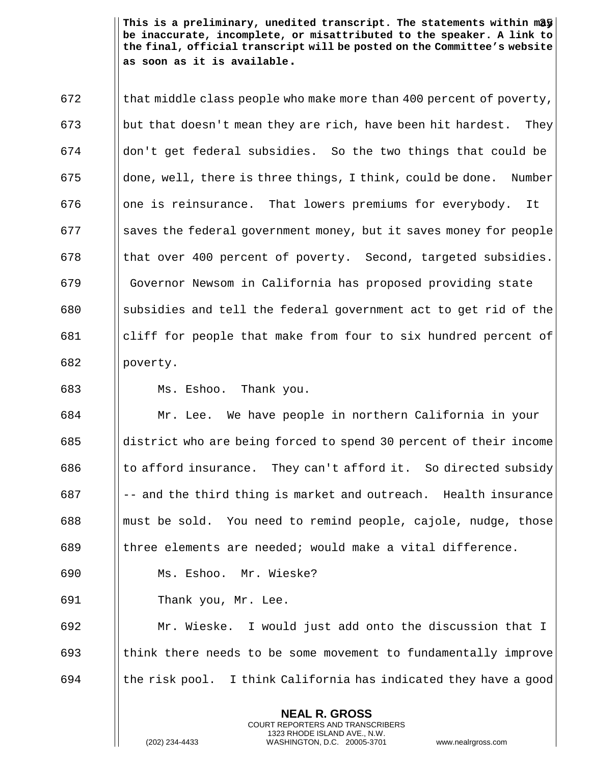This is a preliminary, unedited transcript. The statements within may  $\vert$ **be inaccurate, incomplete, or misattributed to the speaker. A link to the final, official transcript will be posted on the Committee's website as soon as it is available.**

 $\vert$  that middle class people who make more than 400 percent of poverty, 673 but that doesn't mean they are rich, have been hit hardest. They don't get federal subsidies. So the two things that could be  $\parallel$  done, well, there is three things, I think, could be done. Number one is reinsurance. That lowers premiums for everybody. It Saves the federal government money, but it saves money for people  $\parallel$  that over 400 percent of poverty. Second, targeted subsidies. Governor Newsom in California has proposed providing state 680 Subsidies and tell the federal government act to get rid of the cliff for people that make from four to six hundred percent of 682 | poverty.

Ms. Eshoo. Thank you.

 Mr. Lee. We have people in northern California in your district who are being forced to spend 30 percent of their income  $\parallel$  to afford insurance. They can't afford it. So directed subsidy  $||$  -- and the third thing is market and outreach. Health insurance **must be sold.** You need to remind people, cajole, nudge, those 689 the lements are needed; would make a vital difference.

Ms. Eshoo. Mr. Wieske?

Thank you, Mr. Lee.

 Mr. Wieske. I would just add onto the discussion that I think there needs to be some movement to fundamentally improve  $\parallel$  the risk pool. I think California has indicated they have a good

> **NEAL R. GROSS** COURT REPORTERS AND TRANSCRIBERS 1323 RHODE ISLAND AVE., N.W.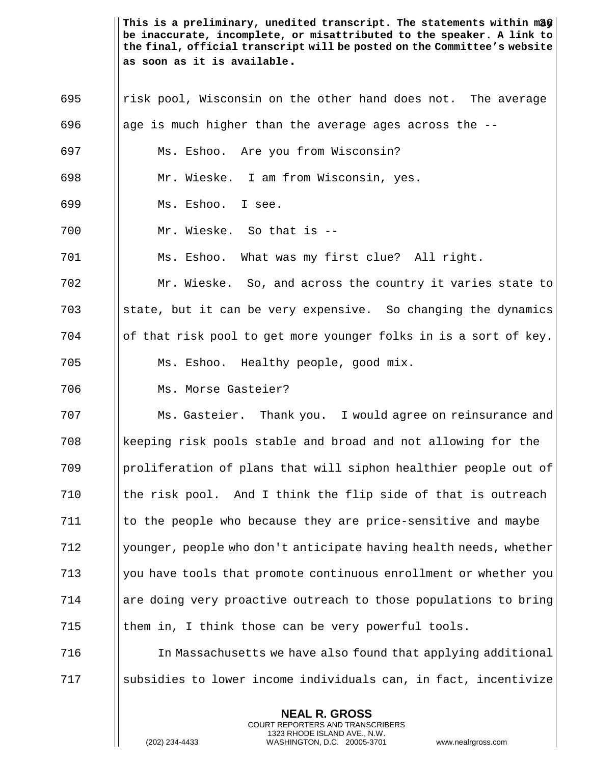This is a preliminary, unedited transcript. The statements within mag*e* **be inaccurate, incomplete, or misattributed to the speaker. A link to the final, official transcript will be posted on the Committee's website as soon as it is available.**

 risk pool, Wisconsin on the other hand does not. The average 696 age is much higher than the average ages across the  $-$ - Ms. Eshoo. Are you from Wisconsin? Mr. Wieske. I am from Wisconsin, yes. Ms. Eshoo. I see. Mr. Wieske. So that is -- Ms. Eshoo. What was my first clue? All right. Mr. Wieske. So, and across the country it varies state to  $\|\$  state, but it can be very expensive. So changing the dynamics | of that risk pool to get more younger folks in is a sort of key. Ms. Eshoo. Healthy people, good mix. Ms. Morse Gasteier? Ms. Gasteier. Thank you. I would agree on reinsurance and keeping risk pools stable and broad and not allowing for the proliferation of plans that will siphon healthier people out of  $\parallel$  the risk pool. And I think the flip side of that is outreach Ito the people who because they are price-sensitive and maybe  $\frac{12}{12}$  || younger, people who don't anticipate having health needs, whether 713 || you have tools that promote continuous enrollment or whether you are doing very proactive outreach to those populations to bring  $\parallel$  them in, I think those can be very powerful tools. **In Massachusetts we have also found that applying additional** subsidies to lower income individuals can, in fact, incentivize

> **NEAL R. GROSS** COURT REPORTERS AND TRANSCRIBERS 1323 RHODE ISLAND AVE., N.W.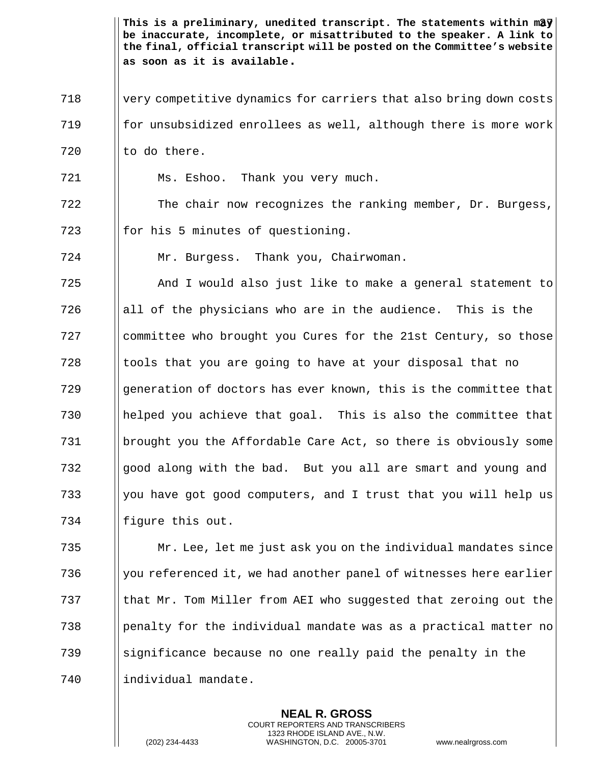718 | very competitive dynamics for carriers that also bring down costs 719 for unsubsidized enrollees as well, although there is more work  $720$  || to do there.

721 Ms. Eshoo. Thank you very much.

722 The chair now recognizes the ranking member, Dr. Burgess,  $723$  || for his 5 minutes of questioning.

724 Mr. Burgess. Thank you, Chairwoman.

 And I would also just like to make a general statement to 726 all of the physicians who are in the audience. This is the **committee who brought you Cures for the 21st Century, so those**  I tools that you are going to have at your disposal that no 729 Generation of doctors has ever known, this is the committee that helped you achieve that goal. This is also the committee that brought you the Affordable Care Act, so there is obviously some good along with the bad. But you all are smart and young and  $\parallel$  you have got good computers, and I trust that you will help us 734 | figure this out.

735 Mr. Lee, let me just ask you on the individual mandates since  $\frac{1}{2}$  736 We referenced it, we had another panel of witnesses here earlier 737 that Mr. Tom Miller from AEI who suggested that zeroing out the  $\frac{1}{238}$  | penalty for the individual mandate was as a practical matter no 739 significance because no one really paid the penalty in the 740 | individual mandate.

> **NEAL R. GROSS** COURT REPORTERS AND TRANSCRIBERS 1323 RHODE ISLAND AVE., N.W.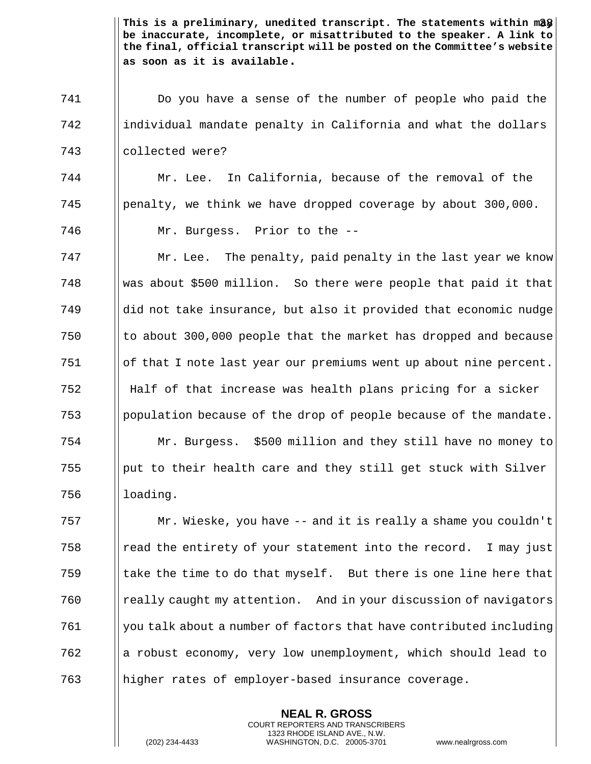Do you have a sense of the number of people who paid the 742 individual mandate penalty in California and what the dollars collected were?

 Mr. Lee. In California, because of the removal of the penalty, we think we have dropped coverage by about 300,000. Mr. Burgess. Prior to the --

  $\parallel$  Mr. Lee. The penalty, paid penalty in the last year we know Was about \$500 million. So there were people that paid it that ||did not take insurance, but also it provided that economic nudge  $\vert$  to about 300,000 people that the market has dropped and because of that I note last year our premiums went up about nine percent. Half of that increase was health plans pricing for a sicker  $\frac{1}{2}$  | population because of the drop of people because of the mandate. Mr. Burgess. \$500 million and they still have no money to ||put to their health care and they still get stuck with Silver | loading.

 Mr. Wieske, you have -- and it is really a shame you couldn't **Follow** read the entirety of your statement into the record. I may just  $\parallel$  take the time to do that myself. But there is one line here that really caught my attention. And in your discussion of navigators you talk about a number of factors that have contributed including a robust economy, very low unemployment, which should lead to higher rates of employer-based insurance coverage.

> **NEAL R. GROSS** COURT REPORTERS AND TRANSCRIBERS 1323 RHODE ISLAND AVE., N.W.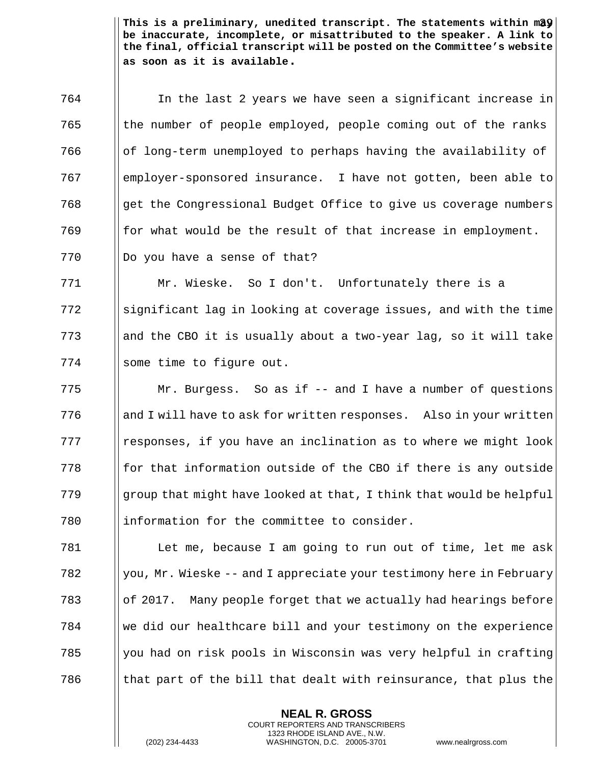In the last 2 years we have seen a significant increase in the number of people employed, people coming out of the ranks of long-term unemployed to perhaps having the availability of employer-sponsored insurance. I have not gotten, been able to  $\sqrt{768}$  || get the Congressional Budget Office to give us coverage numbers || for what would be the result of that increase in employment. ||Do you have a sense of that?

771 Mr. Wieske. So I don't. Unfortunately there is a  $772$  Significant lag in looking at coverage issues, and with the time 773 and the CBO it is usually about a two-year lag, so it will take 774 | some time to figure out.

 Mr. Burgess. So as if -- and I have a number of questions 776 and I will have to ask for written responses. Also in your written || responses, if you have an inclination as to where we might look  $\parallel$  for that information outside of the CBO if there is any outside  $\|\$  qroup that might have looked at that, I think that would be helpful ||information for the committee to consider.

 Let me, because I am going to run out of time, let me ask  $\|\cdot\|$  you, Mr. Wieske -- and I appreciate your testimony here in February  $\vert\vert$  of 2017. Many people forget that we actually had hearings before we did our healthcare bill and your testimony on the experience 785 you had on risk pools in Wisconsin was very helpful in crafting  $\parallel$  that part of the bill that dealt with reinsurance, that plus the

> **NEAL R. GROSS** COURT REPORTERS AND TRANSCRIBERS 1323 RHODE ISLAND AVE., N.W.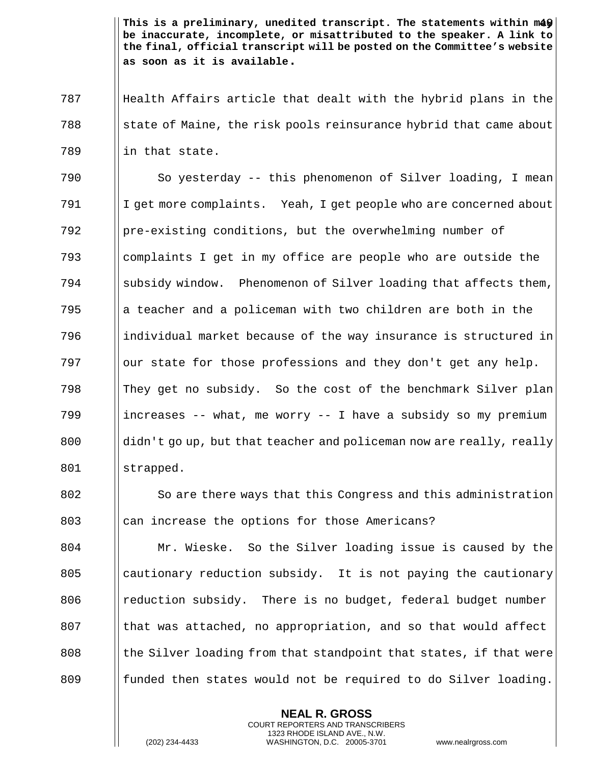787 Health Affairs article that dealt with the hybrid plans in the  $\begin{array}{c|c|c|c|c|c} \hline \end{array}$  state of Maine, the risk pools reinsurance hybrid that came about  $789$  || in that state.

 So yesterday -- this phenomenon of Silver loading, I mean I get more complaints. Yeah, I get people who are concerned about 792 | pre-existing conditions, but the overwhelming number of  $\frac{1}{2}$   $\frac{1}{2}$  complaints I get in my office are people who are outside the  $\parallel$  subsidy window. Phenomenon of Silver loading that affects them, and a policeman with two children are both in the 796 individual market because of the way insurance is structured in || our state for those professions and they don't get any help. They get no subsidy. So the cost of the benchmark Silver plan 799 increases -- what, me worry -- I have a subsidy so my premium didn't go up, but that teacher and policeman now are really, really strapped.

802 So are there ways that this Congress and this administration 803 can increase the options for those Americans?

 Mr. Wieske. So the Silver loading issue is caused by the || cautionary reduction subsidy. It is not paying the cautionary 806 | reduction subsidy. There is no budget, federal budget number **I** that was attached, no appropriation, and so that would affect || the Silver loading from that standpoint that states, if that were 809 funded then states would not be required to do Silver loading.

> **NEAL R. GROSS** COURT REPORTERS AND TRANSCRIBERS 1323 RHODE ISLAND AVE., N.W.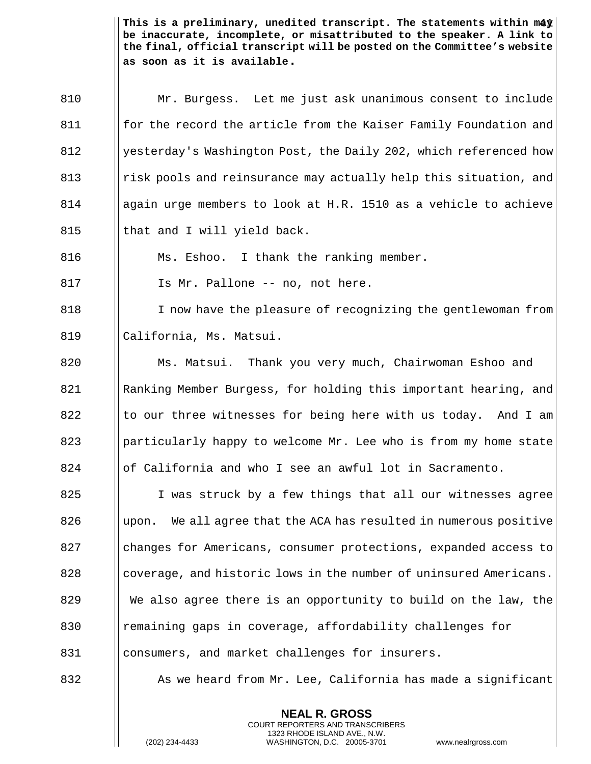Mr. Burgess. Let me just ask unanimous consent to include **for the record the article from the Kaiser Family Foundation and** 812 Solut esterday's Washington Post, the Daily 202, which referenced how 813 || risk pools and reinsurance may actually help this situation, and again urge members to look at H.R. 1510 as a vehicle to achieve  $\parallel$  that and I will yield back.

816 **Ms. Eshoo.** I thank the ranking member.

817 | Is Mr. Pallone -- no, not here.

818 I I now have the pleasure of recognizing the gentlewoman from 819 California, Ms. Matsui.

820 Ms. Matsui. Thank you very much, Chairwoman Eshoo and 821 Ranking Member Burgess, for holding this important hearing, and 822  $\parallel$  to our three witnesses for being here with us today. And I am 823 | particularly happy to welcome Mr. Lee who is from my home state 824 | of California and who I see an awful lot in Sacramento.

825 | I was struck by a few things that all our witnesses agree  $826$  Upon. We all agree that the ACA has resulted in numerous positive 827 **changes for Americans, consumer protections, expanded access to** 828 coverage, and historic lows in the number of uninsured Americans. 829 We also agree there is an opportunity to build on the law, the 830 || remaining gaps in coverage, affordability challenges for 831 | consumers, and market challenges for insurers.

832 As we heard from Mr. Lee, California has made a significant

**NEAL R. GROSS** COURT REPORTERS AND TRANSCRIBERS 1323 RHODE ISLAND AVE., N.W.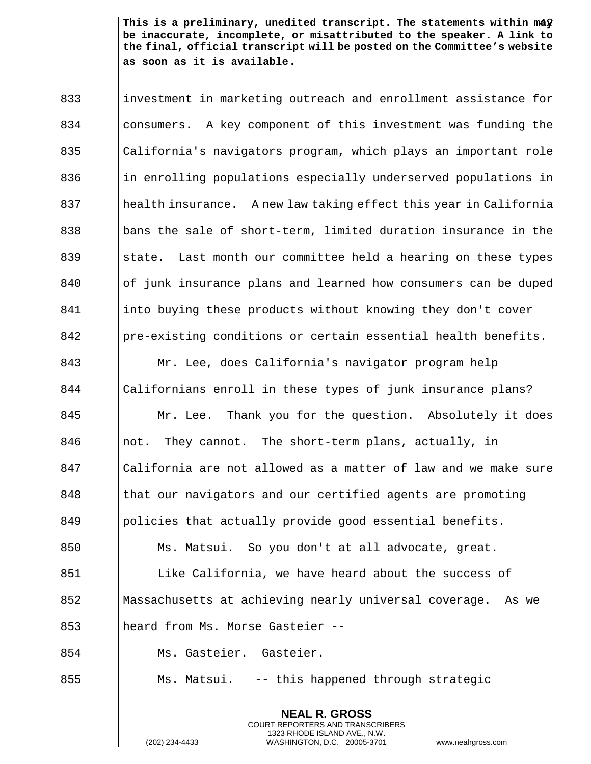**NEAL R. GROSS** 833 investment in marketing outreach and enrollment assistance for 834 consumers. A key component of this investment was funding the 835 || California's navigators program, which plays an important role 836 in enrolling populations especially underserved populations in health insurance. A new law taking effect this year in California  $\parallel$  bans the sale of short-term, limited duration insurance in the  $\parallel$  state. Last month our committee held a hearing on these types of junk insurance plans and learned how consumers can be duped into buying these products without knowing they don't cover | pre-existing conditions or certain essential health benefits. Mr. Lee, does California's navigator program help Californians enroll in these types of junk insurance plans? **Mr.** Lee. Thank you for the question. Absolutely it does  $\parallel$  not. They cannot. The short-term plans, actually, in California are not allowed as a matter of law and we make sure **I** | that our navigators and our certified agents are promoting | policies that actually provide good essential benefits. Ms. Matsui. So you don't at all advocate, great. 851 | Like California, we have heard about the success of Massachusetts at achieving nearly universal coverage. As we 853 || heard from Ms. Morse Gasteier -- Ms. Gasteier. Gasteier. 855 | Ms. Matsui. -- this happened through strategic

COURT REPORTERS AND TRANSCRIBERS 1323 RHODE ISLAND AVE., N.W.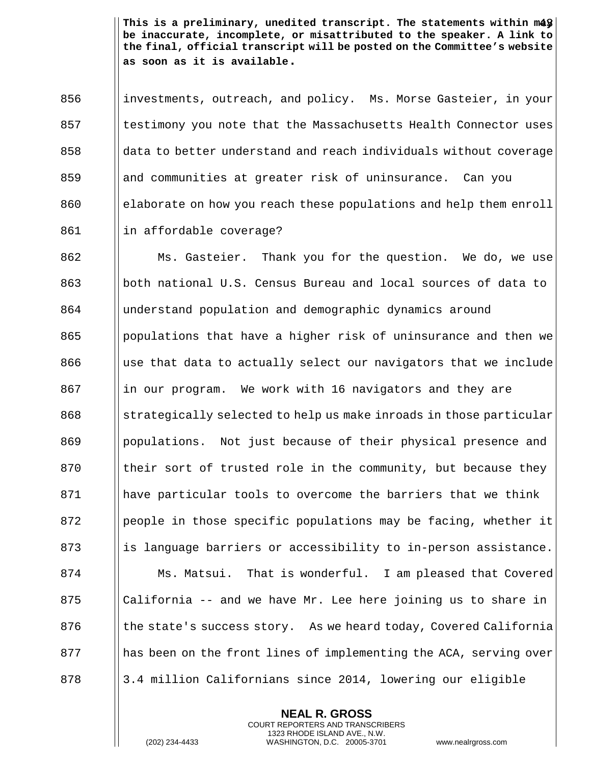856 industments, outreach, and policy. Ms. Morse Gasteier, in your  $857$  || testimony you note that the Massachusetts Health Connector uses  $858$  ||data to better understand and reach individuals without coverage 859 and communities at greater risk of uninsurance. Can you 860 election elaborate on how you reach these populations and help them enroll 861 | | in affordable coverage?

**Ms. Gasteier.** Thank you for the question. We do, we use both national U.S. Census Bureau and local sources of data to understand population and demographic dynamics around populations that have a higher risk of uninsurance and then we ||use that data to actually select our navigators that we include 867 in our program. We work with 16 navigators and they are Selected to help us make inroads in those particular 869 Populations. Not just because of their physical presence and  $\parallel$  their sort of trusted role in the community, but because they have particular tools to overcome the barriers that we think | people in those specific populations may be facing, whether it 873 is language barriers or accessibility to in-person assistance. **Ms. Matsui.** That is wonderful. I am pleased that Covered  $\|\text{California -- and we have Mr. Lee here joining us to share in }\|$ 876 (b) || the state's success story. As we heard today, Covered California 877 has been on the front lines of implementing the ACA, serving over 878 | 3.4 million Californians since 2014, lowering our eligible

> **NEAL R. GROSS** COURT REPORTERS AND TRANSCRIBERS 1323 RHODE ISLAND AVE., N.W.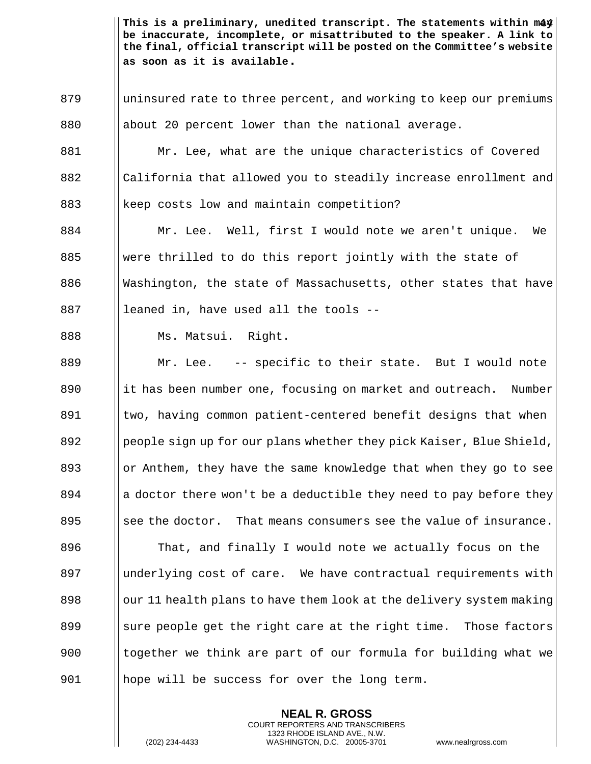879 | uninsured rate to three percent, and working to keep our premiums 880  $\parallel$  about 20 percent lower than the national average. 881 | Mr. Lee, what are the unique characteristics of Covered 882 || California that allowed you to steadily increase enrollment and 883 | keep costs low and maintain competition? 884 Mr. Lee. Well, first I would note we aren't unique. We 885 Were thrilled to do this report jointly with the state of 886  $\blacksquare$  Washington, the state of Massachusetts, other states that have  $887$  || leaned in, have used all the tools --888 | Ms. Matsui. Right. 889 Mr. Lee. -- specific to their state. But I would note 890 it has been number one, focusing on market and outreach. Number 891 | two, having common patient-centered benefit designs that when 892 people sign up for our plans whether they pick Kaiser, Blue Shield, 893  $\parallel$  or Anthem, they have the same knowledge that when they go to see 894 a doctor there won't be a deductible they need to pay before they 895  $\parallel$  see the doctor. That means consumers see the value of insurance. 896 **That, and finally I would note we actually focus on the** 897 | underlying cost of care. We have contractual requirements with  $898$  || our 11 health plans to have them look at the delivery system making 899  $\parallel$  sure people get the right care at the right time. Those factors 900 I together we think are part of our formula for building what we 901 hope will be success for over the long term.

> **NEAL R. GROSS** COURT REPORTERS AND TRANSCRIBERS 1323 RHODE ISLAND AVE., N.W.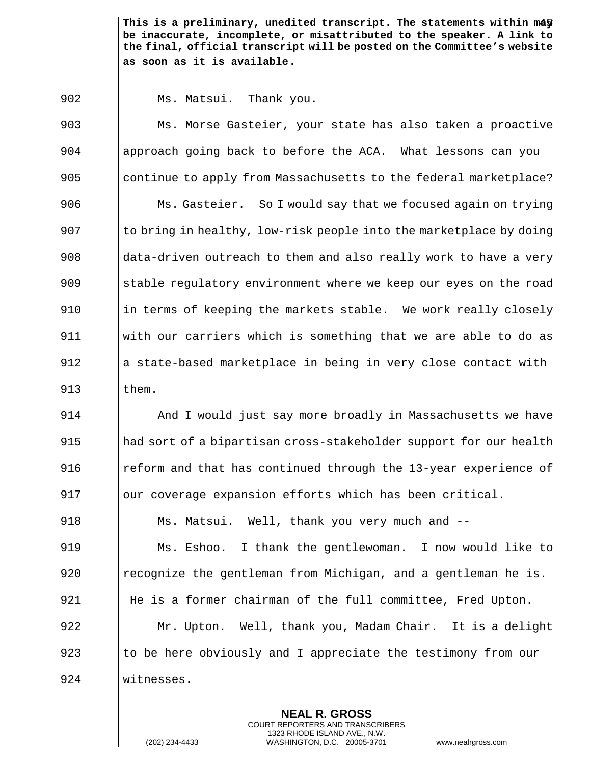902 | Ms. Matsui. Thank you.

903 Ms. Morse Gasteier, your state has also taken a proactive 904 | approach going back to before the ACA. What lessons can you 905 continue to apply from Massachusetts to the federal marketplace? 906 **Ms. Gasteier.** So I would say that we focused again on trying 907  $\vert$  to bring in healthy, low-risk people into the marketplace by doing 908  $\parallel$  data-driven outreach to them and also really work to have a very 909 Stable regulatory environment where we keep our eyes on the road 910  $\parallel$  in terms of keeping the markets stable. We work really closely 911 with our carriers which is something that we are able to do as 912 a state-based marketplace in being in very close contact with 913 them.

**And I** would just say more broadly in Massachusetts we have had sort of a bipartisan cross-stakeholder support for our health **Fig.** The reform and that has continued through the 13-year experience of  $\parallel$   $\parallel$  our coverage expansion efforts which has been critical. **Ms. Matsui.** Well, thank you very much and -- Ms. Eshoo. I thank the gentlewoman. I now would like to  $\parallel$  recognize the gentleman from Michigan, and a gentleman he is. 921 | He is a former chairman of the full committee, Fred Upton. Mr. Upton. Well, thank you, Madam Chair. It is a delight 923 the here obviously and I appreciate the testimony from our witnesses.

> **NEAL R. GROSS** COURT REPORTERS AND TRANSCRIBERS 1323 RHODE ISLAND AVE., N.W.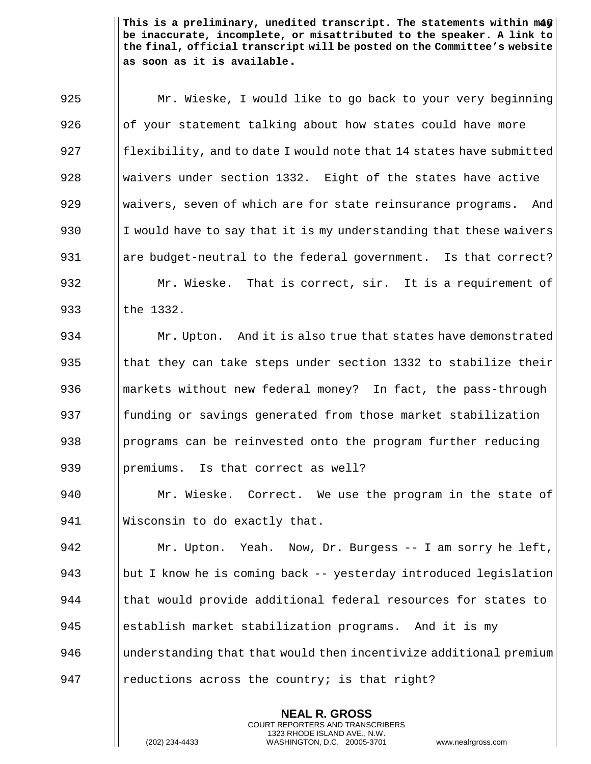925 | Mr. Wieske, I would like to go back to your very beginning  $926$  || of your statement talking about how states could have more 927  $\parallel$  flexibility, and to date I would note that 14 states have submitted 928 We Waivers under section 1332. Eight of the states have active 929 Waivers, seven of which are for state reinsurance programs. And 930 I I would have to say that it is my understanding that these waivers 931  $\parallel$  are budget-neutral to the federal government. Is that correct? 932 | Mr. Wieske. That is correct, sir. It is a requirement of 933 lthe 1332.

934 Mr. Upton. And it is also true that states have demonstrated  $\parallel$  that they can take steps under section 1332 to stabilize their **Markets without new federal money?** In fact, the pass-through 937 funding or savings generated from those market stabilization  $\parallel$  programs can be reinvested onto the program further reducing  $\blacksquare$  | premiums. Is that correct as well?

940 | Mr. Wieske. Correct. We use the program in the state of 941 | Wisconsin to do exactly that.

 Mr. Upton. Yeah. Now, Dr. Burgess -- I am sorry he left,  $\|\$ but I know he is coming back -- yesterday introduced legislation that would provide additional federal resources for states to establish market stabilization programs. And it is my 946 I understanding that that would then incentivize additional premium 947 | reductions across the country; is that right?

> **NEAL R. GROSS** COURT REPORTERS AND TRANSCRIBERS 1323 RHODE ISLAND AVE., N.W.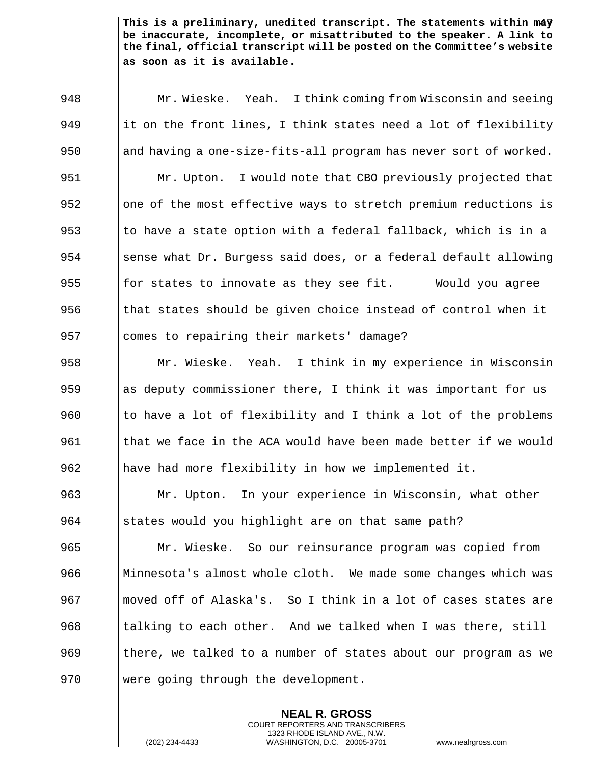**Mr. Wieske.** Yeah. I think coming from Wisconsin and seeing 949 it on the front lines, I think states need a lot of flexibility  $\parallel$  and having a one-size-fits-all program has never sort of worked. **Mr. Upton.** I would note that CBO previously projected that 952 | one of the most effective ways to stretch premium reductions is  $\parallel$  to have a state option with a federal fallback, which is in a sense what Dr. Burgess said does, or a federal default allowing 955 for states to innovate as they see fit. Would you agree  $\parallel$  that states should be given choice instead of control when it 957 | comes to repairing their markets' damage? Mr. Wieske. Yeah. I think in my experience in Wisconsin  $\parallel$  as deputy commissioner there, I think it was important for us  $\parallel$  to have a lot of flexibility and I think a lot of the problems  $\parallel$  that we face in the ACA would have been made better if we would have had more flexibility in how we implemented it. Mr. Upton. In your experience in Wisconsin, what other States would you highlight are on that same path? Mr. Wieske. So our reinsurance program was copied from 966 Minnesota's almost whole cloth. We made some changes which was 967 I moved off of Alaska's. So I think in a lot of cases states are || talking to each other. And we talked when I was there, still  $\parallel$  there, we talked to a number of states about our program as we

> **NEAL R. GROSS** COURT REPORTERS AND TRANSCRIBERS 1323 RHODE ISLAND AVE., N.W.

970 | were going through the development.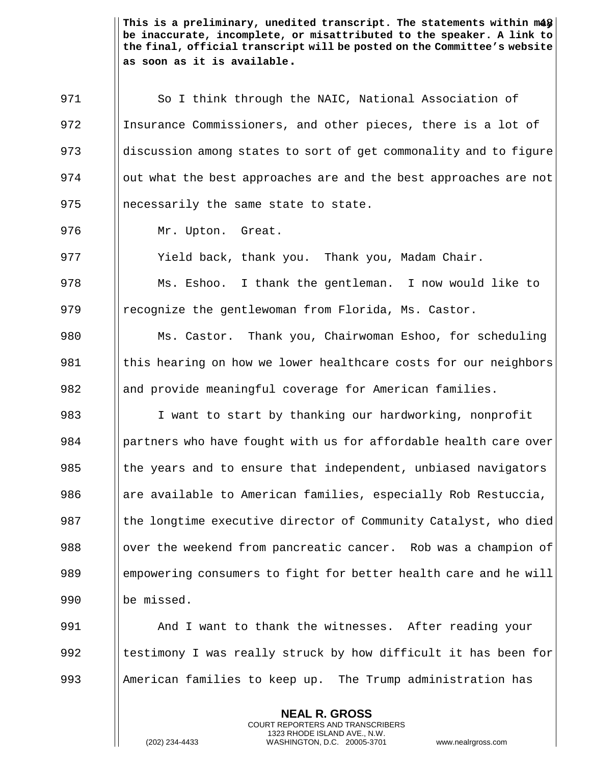971 | So I think through the NAIC, National Association of 972 Insurance Commissioners, and other pieces, there is a lot of 973 dediscussion among states to sort of get commonality and to figure  $974$  || out what the best approaches are and the best approaches are not 975 || necessarily the same state to state.

976 | Mr. Upton. Great.

977 Yield back, thank you. Thank you, Madam Chair.

978 Ms. Eshoo. I thank the gentleman. I now would like to 979  $\parallel$  recognize the gentlewoman from Florida, Ms. Castor.

980 Ms. Castor. Thank you, Chairwoman Eshoo, for scheduling 981 | this hearing on how we lower healthcare costs for our neighbors 982 and provide meaningful coverage for American families.

983 I want to start by thanking our hardworking, nonprofit 984 | partners who have fought with us for affordable health care over 985 The years and to ensure that independent, unbiased navigators 986  $\parallel$  are available to American families, especially Rob Restuccia, 987 The longtime executive director of Community Catalyst, who died 988  $\parallel$  over the weekend from pancreatic cancer. Rob was a champion of 989 empowering consumers to fight for better health care and he will 990 | be missed.

991 And I want to thank the witnesses. After reading your 992  $\parallel$  testimony I was really struck by how difficult it has been for 993 || American families to keep up. The Trump administration has

> **NEAL R. GROSS** COURT REPORTERS AND TRANSCRIBERS 1323 RHODE ISLAND AVE., N.W.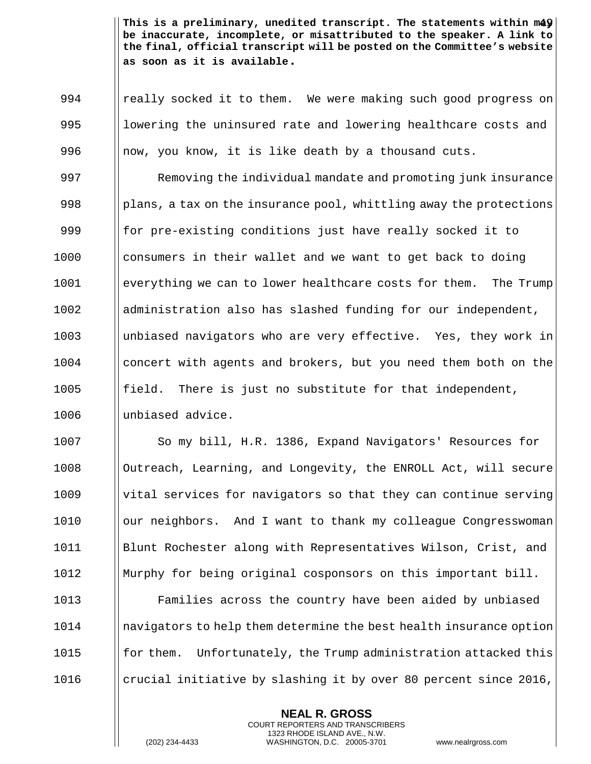994 | really socked it to them. We were making such good progress on 995 I lowering the uninsured rate and lowering healthcare costs and 996  $\parallel$  now, you know, it is like death by a thousand cuts. 997 **Removing the individual mandate and promoting junk insurance** 998 | plans, a tax on the insurance pool, whittling away the protections 999  $\parallel$  for pre-existing conditions just have really socked it to 1000 || consumers in their wallet and we want to get back to doing 1001 | everything we can to lower healthcare costs for them. The Trump 1002 | administration also has slashed funding for our independent, 1003 unbiased navigators who are very effective. Yes, they work in 1004 concert with agents and brokers, but you need them both on the  $1005$  ||field. There is just no substitute for that independent, 1006 I unbiased advice.

1007 | So my bill, H.R. 1386, Expand Navigators' Resources for 1008 | Outreach, Learning, and Longevity, the ENROLL Act, will secure 1009 | vital services for navigators so that they can continue serving 1010 | our neighbors. And I want to thank my colleague Congresswoman 1011 Blunt Rochester along with Representatives Wilson, Crist, and 1012 Murphy for being original cosponsors on this important bill.

 Families across the country have been aided by unbiased 1014 | navigators to help them determine the best health insurance option  $\parallel$  for them. Unfortunately, the Trump administration attacked this  $\Box$  crucial initiative by slashing it by over 80 percent since 2016,

> **NEAL R. GROSS** COURT REPORTERS AND TRANSCRIBERS 1323 RHODE ISLAND AVE., N.W.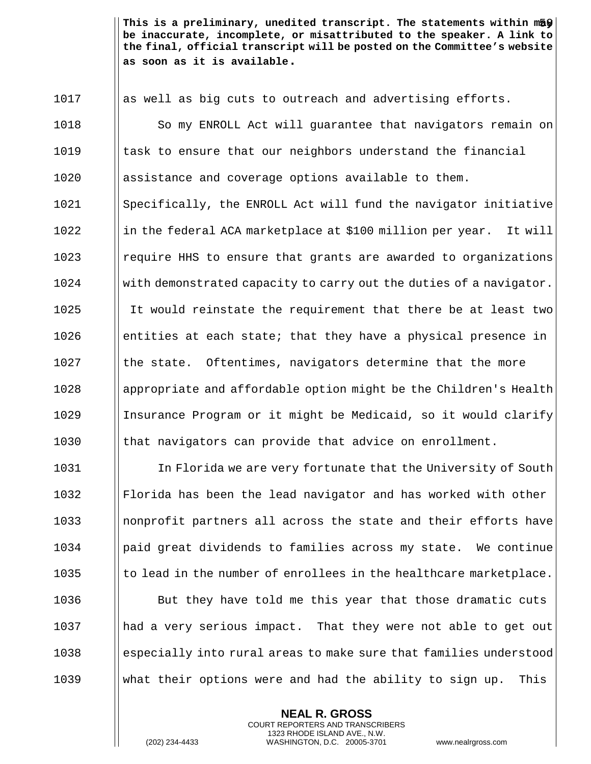1017 || as well as big cuts to outreach and advertising efforts. 1018 | So my ENROLL Act will guarantee that navigators remain on 1019 Is cast to ensure that our neighbors understand the financial assistance and coverage options available to them. Specifically, the ENROLL Act will fund the navigator initiative ||in the federal ACA marketplace at \$100 million per year. It will **I** require HHS to ensure that grants are awarded to organizations with demonstrated capacity to carry out the duties of a navigator. It would reinstate the requirement that there be at least two **endengleral** entities at each state; that they have a physical presence in || the state. Oftentimes, navigators determine that the more 1028 appropriate and affordable option might be the Children's Health Insurance Program or it might be Medicaid, so it would clarify || that navigators can provide that advice on enrollment.

1031 In Florida we are very fortunate that the University of South Florida has been the lead navigator and has worked with other **I** nonprofit partners all across the state and their efforts have | paid great dividends to families across my state. We continue  $\|\cdot\|$  to lead in the number of enrollees in the healthcare marketplace. **But they have told me this year that those dramatic cuts**  had a very serious impact. That they were not able to get out 1038 especially into rural areas to make sure that families understood  $\parallel$  what their options were and had the ability to sign up. This

> **NEAL R. GROSS** COURT REPORTERS AND TRANSCRIBERS 1323 RHODE ISLAND AVE., N.W.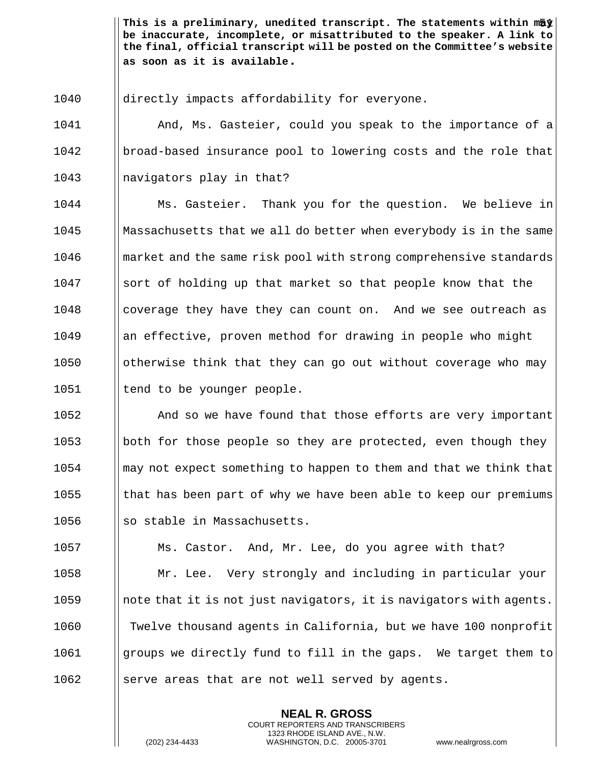directly impacts affordability for everyone.

 And, Ms. Gasteier, could you speak to the importance of a 1042 broad-based insurance pool to lowering costs and the role that || navigators play in that?

 Ms. Gasteier. Thank you for the question. We believe in Massachusetts that we all do better when everybody is in the same **I** market and the same risk pool with strong comprehensive standards 1047 Sort of holding up that market so that people know that the **c** coverage they have they can count on. And we see outreach as an effective, proven method for drawing in people who might **deta** lotherwise think that they can go out without coverage who may | tend to be younger people.

**And so we have found that those efforts are very important**  $\parallel$  both for those people so they are protected, even though they **may not expect something to happen to them and that we think that**  $\parallel$  that has been part of why we have been able to keep our premiums || so stable in Massachusetts.

**Ms. Castor.** And, Mr. Lee, do you agree with that? Mr. Lee. Very strongly and including in particular your ||note that it is not just navigators, it is navigators with agents. 1060 | Twelve thousand agents in California, but we have 100 nonprofit **groups we directly fund to fill in the gaps.** We target them to | serve areas that are not well served by agents.

> **NEAL R. GROSS** COURT REPORTERS AND TRANSCRIBERS 1323 RHODE ISLAND AVE., N.W.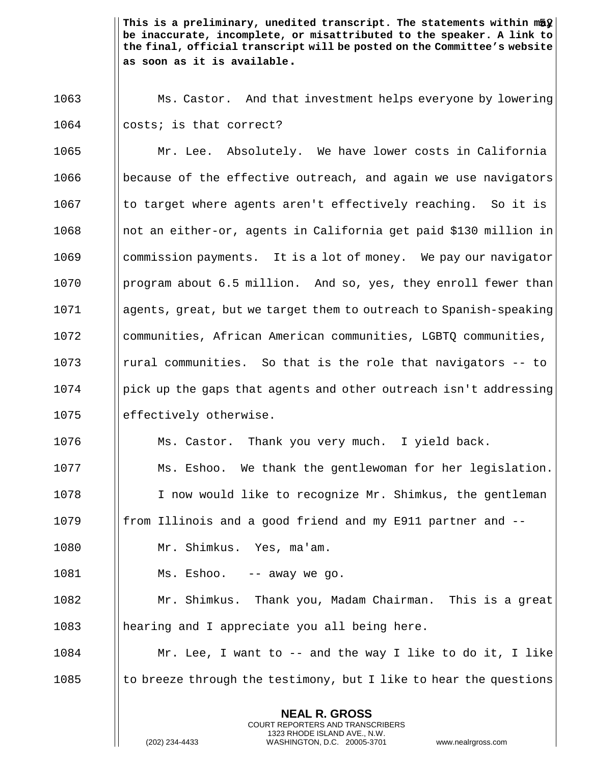1063 Ms. Castor. And that investment helps everyone by lowering 1064 | costs; is that correct?

1065 Mr. Lee. Absolutely. We have lower costs in California 1066 because of the effective outreach, and again we use navigators  $1067$  | to target where agents aren't effectively reaching. So it is 1068 incluited in either-or, agents in California get paid \$130 million in 1069 | commission payments. It is a lot of money. We pay our navigator 1070 **program about 6.5 million.** And so, yes, they enroll fewer than 1071 agents, great, but we target them to outreach to Spanish-speaking 1072 | communities, African American communities, LGBTQ communities,  $1073$  | rural communities. So that is the role that navigators -- to  $1074$  | pick up the gaps that agents and other outreach isn't addressing 1075 | effectively otherwise. 1076 **Ms. Castor.** Thank you very much. I yield back. 1077 | Ms. Eshoo. We thank the gentlewoman for her legislation. 1078 I I now would like to recognize Mr. Shimkus, the gentleman

1079  $\parallel$  from Illinois and a good friend and my E911 partner and  $-$ -

1080 Mr. Shimkus. Yes, ma'am.

1081 | Ms. Eshoo. -- away we go.

1082 Mr. Shimkus. Thank you, Madam Chairman. This is a great 1083 || hearing and I appreciate you all being here.

1084 Mr. Lee, I want to -- and the way I like to do it, I like 1085  $\|\cdot\|$  to breeze through the testimony, but I like to hear the questions

> **NEAL R. GROSS** COURT REPORTERS AND TRANSCRIBERS 1323 RHODE ISLAND AVE., N.W.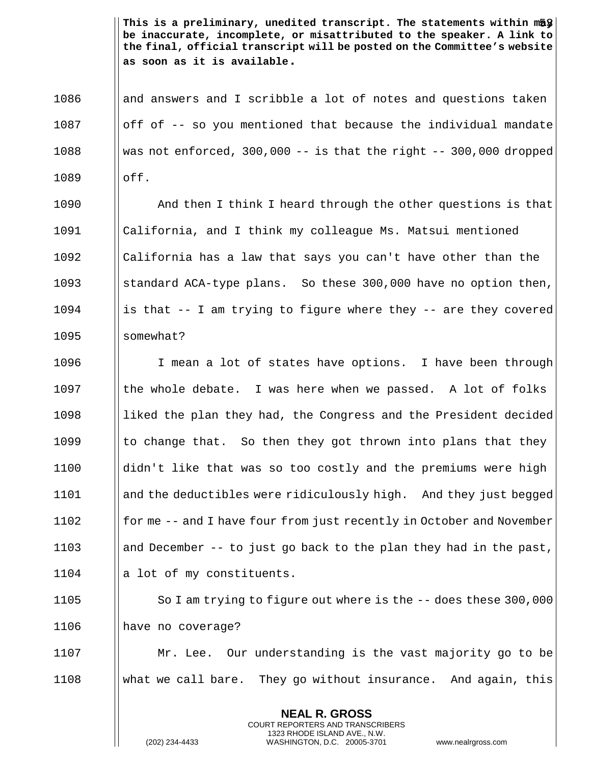1086 and answers and I scribble a lot of notes and questions taken  $1087$  | off of -- so you mentioned that because the individual mandate 1088 Wed || was not enforced, 300,000 -- is that the right  $-$ - 300,000 dropped  $1089$   $\blacksquare$   $\blacksquare$ 

**And then I think I heard through the other questions is that**  California, and I think my colleague Ms. Matsui mentioned California has a law that says you can't have other than the **Solut** standard ACA-type plans. So these 300,000 have no option then, 1094 is that  $-$  I am trying to figure where they  $-$  are they covered  $\blacksquare$  somewhat?

1096 | I mean a lot of states have options. I have been through Is the whole debate. I was here when we passed. A lot of folks 1098 || liked the plan they had, the Congress and the President decided  $\parallel$  to change that. So then they got thrown into plans that they ||didn't like that was so too costly and the premiums were high and the deductibles were ridiculously high. And they just begged  $\parallel$  for me -- and I have four from just recently in October and November 1103 and December -- to just go back to the plan they had in the past,  $\parallel$  a lot of my constituents.

1105 **So I am trying to figure out where is the -- does these 300,000** 1106 | have no coverage?

1107 Mr. Lee. Our understanding is the vast majority go to be 1108 what we call bare. They go without insurance. And again, this

> **NEAL R. GROSS** COURT REPORTERS AND TRANSCRIBERS 1323 RHODE ISLAND AVE., N.W.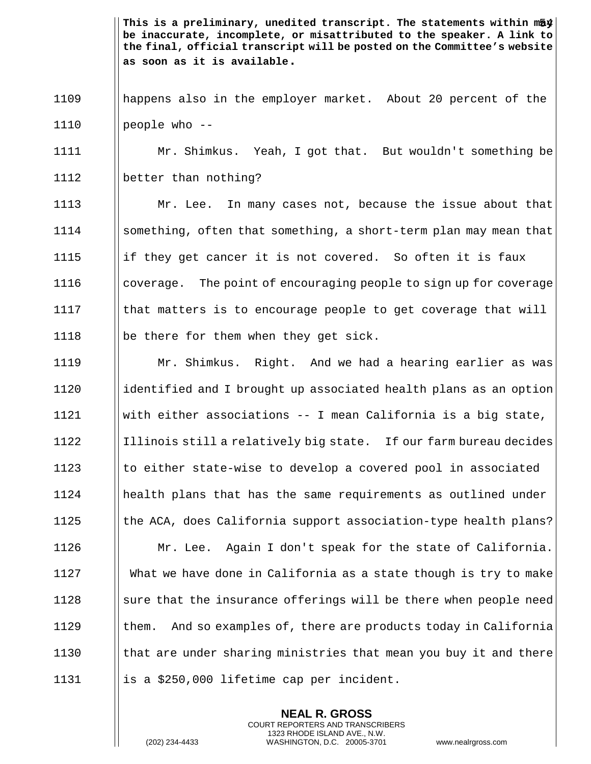1109 happens also in the employer market. About 20 percent of the 1110  $\vert$  people who  $-$ 

1111 Mr. Shimkus. Yeah, I got that. But wouldn't something be 1112 better than nothing?

1113 **Mr.** Lee. In many cases not, because the issue about that 1114 | something, often that something, a short-term plan may mean that 1115 if they get cancer it is not covered. So often it is faux 1116 Is coverage. The point of encouraging people to sign up for coverage 1117  $\parallel$  that matters is to encourage people to get coverage that will 1118 | be there for them when they get sick.

 Mr. Shimkus. Right. And we had a hearing earlier as was identified and I brought up associated health plans as an option  $\parallel$  with either associations -- I mean California is a big state, ||Illinois still a relatively big state. If our farm bureau decides  $\parallel$  to either state-wise to develop a covered pool in associated health plans that has the same requirements as outlined under  $\parallel$  the ACA, does California support association-type health plans? Mr. Lee. Again I don't speak for the state of California. What we have done in California as a state though is try to make || sure that the insurance offerings will be there when people need  $\parallel$  them. And so examples of, there are products today in California  $\parallel$  that are under sharing ministries that mean you buy it and there  $\parallel$  is a \$250,000 lifetime cap per incident.

> **NEAL R. GROSS** COURT REPORTERS AND TRANSCRIBERS 1323 RHODE ISLAND AVE., N.W.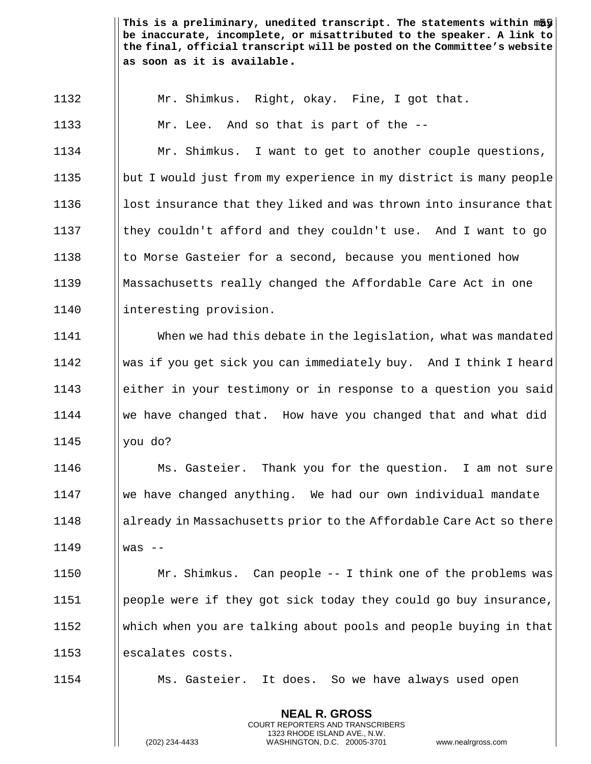Mr. Shimkus. Right, okay. Fine, I got that.

**Mr.** Lee. And so that is part of the --

 Mr. Shimkus. I want to get to another couple questions, but I would just from my experience in my district is many people  $\parallel$  lost insurance that they liked and was thrown into insurance that  $\parallel$  they couldn't afford and they couldn't use. And I want to go 1138 to Morse Gasteier for a second, because you mentioned how Massachusetts really changed the Affordable Care Act in one 1140 | interesting provision.

 When we had this debate in the legislation, what was mandated was if you get sick you can immediately buy. And I think I heard either in your testimony or in response to a question you said We have changed that. How have you changed that and what did you do?

**Ms.** Gasteier. Thank you for the question. I am not sure we have changed anything. We had our own individual mandate 1148 already in Massachusetts prior to the Affordable Care Act so there was --

 Mr. Shimkus. Can people -- I think one of the problems was people were if they got sick today they could go buy insurance, which when you are talking about pools and people buying in that 1153 | escalates costs.

Ms. Gasteier. It does. So we have always used open

**NEAL R. GROSS** COURT REPORTERS AND TRANSCRIBERS 1323 RHODE ISLAND AVE., N.W.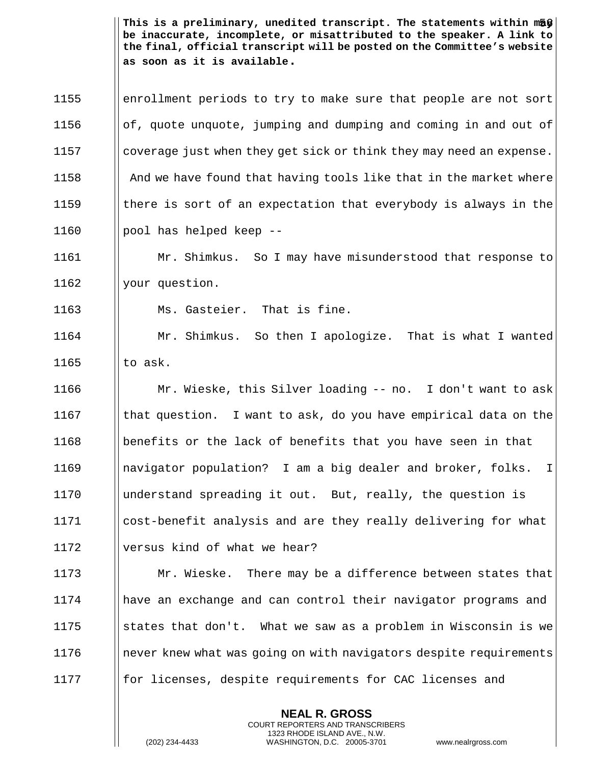1155 enrollment periods to try to make sure that people are not sort  $\|\circ f$ , quote unquote, jumping and dumping and coming in and out of 1157 Is all coverage just when they get sick or think they may need an expense.  $\parallel$  And we have found that having tools like that in the market where  $\parallel$  there is sort of an expectation that everybody is always in the  $\blacksquare$  pool has helped keep --

1161 Mr. Shimkus. So I may have misunderstood that response to 1162 | your question.

1163 **Ms. Gasteier.** That is fine.

1164 Mr. Shimkus. So then I apologize. That is what I wanted 1165  $\parallel$  to ask.

 Mr. Wieske, this Silver loading -- no. I don't want to ask  $\parallel$  that question. I want to ask, do you have empirical data on the benefits or the lack of benefits that you have seen in that navigator population? I am a big dealer and broker, folks. I understand spreading it out. But, really, the question is cost-benefit analysis and are they really delivering for what 1172 Ilversus kind of what we hear?

**Mr. Wieske.** There may be a difference between states that have an exchange and can control their navigator programs and  $\parallel$  states that don't. What we saw as a problem in Wisconsin is we 1176 Inever knew what was going on with navigators despite requirements **for licenses, despite requirements for CAC licenses and** 

> **NEAL R. GROSS** COURT REPORTERS AND TRANSCRIBERS 1323 RHODE ISLAND AVE., N.W.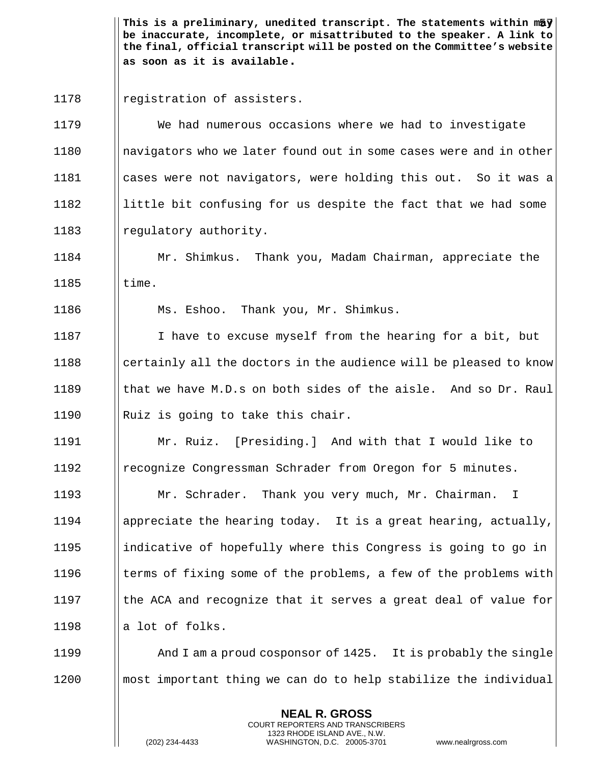1178 | registration of assisters.

 We had numerous occasions where we had to investigate navigators who we later found out in some cases were and in other cases were not navigators, were holding this out. So it was a ||little bit confusing for us despite the fact that we had some 1183 || regulatory authority.

1184 Mr. Shimkus. Thank you, Madam Chairman, appreciate the  $1185$   $\blacksquare$  time.

1186 Ms. Eshoo. Thank you, Mr. Shimkus.

 I have to excuse myself from the hearing for a bit, but || certainly all the doctors in the audience will be pleased to know  $\parallel$  that we have M.D.s on both sides of the aisle. And so Dr. Raul  $\parallel$  Ruiz is going to take this chair.

1191 Mr. Ruiz. [Presiding.] And with that I would like to 1192 **Figure 2** recognize Congressman Schrader from Oregon for 5 minutes.

**Mr. Schrader.** Thank you very much, Mr. Chairman. I  $\blacksquare$  appreciate the hearing today. It is a great hearing, actually,  $\parallel$  indicative of hopefully where this Congress is going to go in  $\parallel$  terms of fixing some of the problems, a few of the problems with  $\parallel$  the ACA and recognize that it serves a great deal of value for  $\parallel$  a lot of folks.

1199 **And I am a proud cosponsor of 1425.** It is probably the single 1200 **I** most important thing we can do to help stabilize the individual

> **NEAL R. GROSS** COURT REPORTERS AND TRANSCRIBERS 1323 RHODE ISLAND AVE., N.W.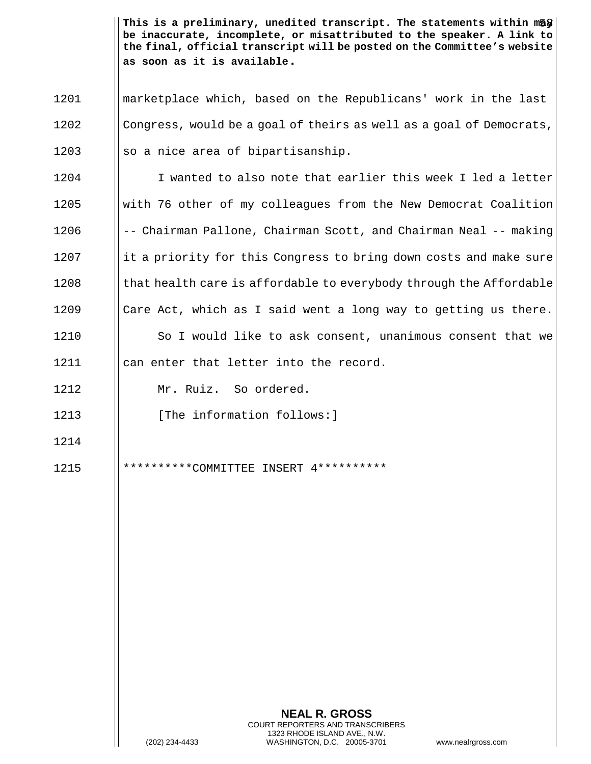1201 marketplace which, based on the Republicans' work in the last 1202 Congress, would be a goal of theirs as well as a goal of Democrats,  $1203$  ||so a nice area of bipartisanship.

1204 I wanted to also note that earlier this week I led a letter with 76 other of my colleagues from the New Democrat Coalition -- Chairman Pallone, Chairman Scott, and Chairman Neal -- making ||it a priority for this Congress to bring down costs and make sure I that health care is affordable to everybody through the Affordable  $\parallel$  Care Act, which as I said went a long way to getting us there. 1210 | So I would like to ask consent, unanimous consent that we 1211 || can enter that letter into the record.

1212 Mr. Ruiz. So ordered.

1214

- 1213 **I** [The information follows:]
- 1215 \*\*\*\*\*\*\*\*\*\*COMMITTEE INSERT 4\*\*\*\*\*\*\*\*\*\*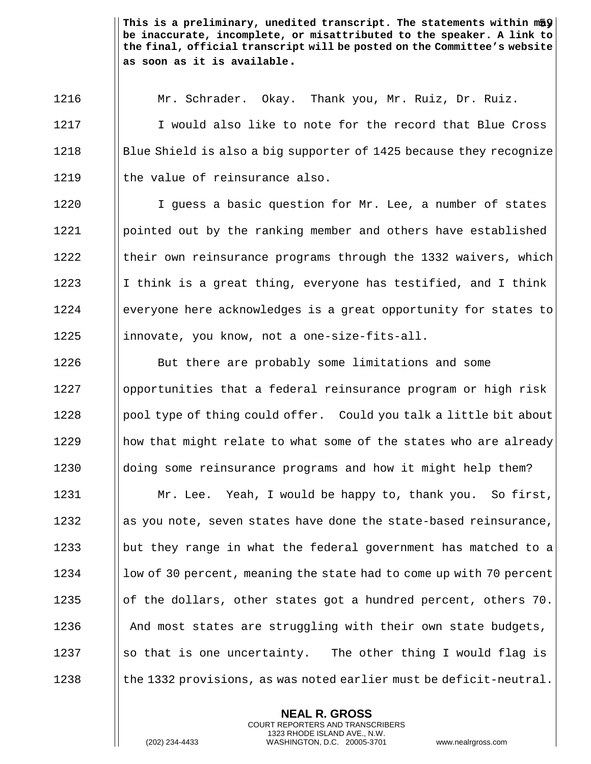1216 Mr. Schrader. Okay. Thank you, Mr. Ruiz, Dr. Ruiz. 1217 I I would also like to note for the record that Blue Cross 1218 Blue Shield is also a big supporter of 1425 because they recognize  $1219$  || the value of reinsurance also.

1220 | I guess a basic question for Mr. Lee, a number of states 1221 | pointed out by the ranking member and others have established  $1222$  Itheir own reinsurance programs through the 1332 waivers, which 1223 I I think is a great thing, everyone has testified, and I think 1224 everyone here acknowledges is a great opportunity for states to  $1225$  ||innovate, you know, not a one-size-fits-all.

**But there are probably some limitations and some**  | | opportunities that a federal reinsurance program or high risk ||pool type of thing could offer. Could you talk a little bit about || how that might relate to what some of the states who are already  $\parallel$  doing some reinsurance programs and how it might help them?

1231 | Mr. Lee. Yeah, I would be happy to, thank you. So first,  $\|\$ as you note, seven states have done the state-based reinsurance, 1233 but they range in what the federal government has matched to a 1234 low of 30 percent, meaning the state had to come up with 70 percent  $\|\circ\|$  the dollars, other states got a hundred percent, others 70.  $\parallel$  And most states are struggling with their own state budgets,  $\|\$  so that is one uncertainty. The other thing I would flag is  $\|\cdot\|$  the 1332 provisions, as was noted earlier must be deficit-neutral.

> **NEAL R. GROSS** COURT REPORTERS AND TRANSCRIBERS 1323 RHODE ISLAND AVE., N.W.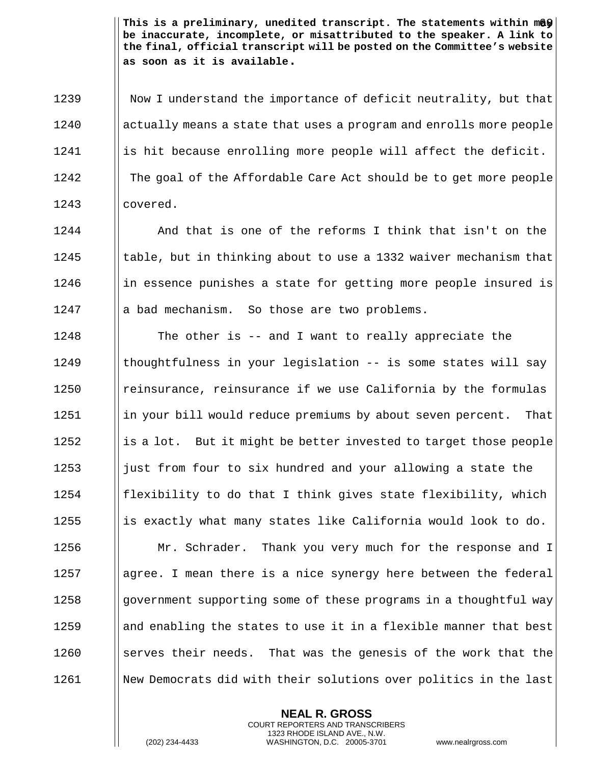1239 | Now I understand the importance of deficit neutrality, but that 1240 actually means a state that uses a program and enrolls more people  $1241$  || is hit because enrolling more people will affect the deficit. 1242 The goal of the Affordable Care Act should be to get more people 1243 covered.

  $\parallel$  And that is one of the reforms I think that isn't on the 1245 thable, but in thinking about to use a 1332 waiver mechanism that || in essence punishes a state for getting more people insured is  $\|\cdot\|$  a bad mechanism. So those are two problems.

**The other is -- and I want to really appreciate the**  $\parallel$  thoughtfulness in your legislation -- is some states will say **I** reinsurance, reinsurance if we use California by the formulas **in** your bill would reduce premiums by about seven percent. That  $\parallel$  is a lot. But it might be better invested to target those people 1253 igust from four to six hundred and your allowing a state the || flexibility to do that I think gives state flexibility, which 1255 is exactly what many states like California would look to do. **Mr.** Schrader. Thank you very much for the response and I || agree. I mean there is a nice synergy here between the federal 1258 government supporting some of these programs in a thoughtful way and enabling the states to use it in a flexible manner that best  $\parallel$  serves their needs. That was the genesis of the work that the 1261 | New Democrats did with their solutions over politics in the last

> **NEAL R. GROSS** COURT REPORTERS AND TRANSCRIBERS 1323 RHODE ISLAND AVE., N.W.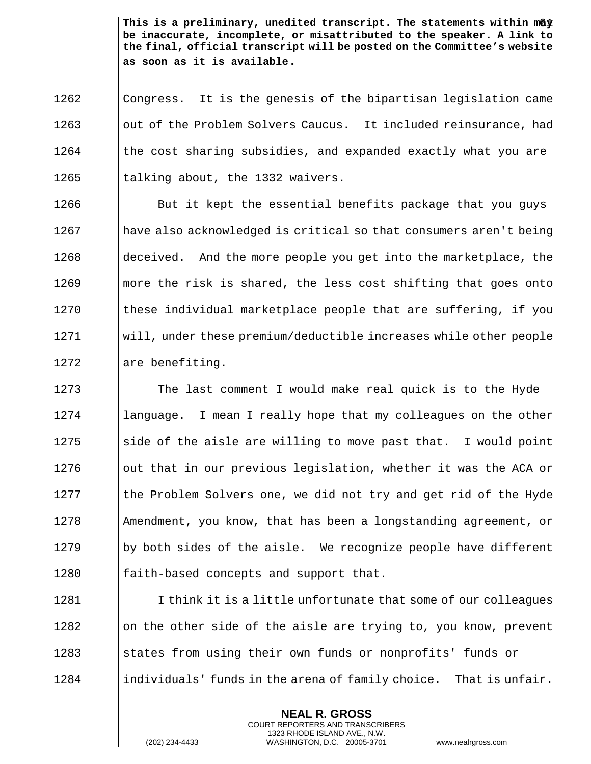1262 I Congress. It is the genesis of the bipartisan legislation came 1263 | out of the Problem Solvers Caucus. It included reinsurance, had  $1264$  || the cost sharing subsidies, and expanded exactly what you are 1265  $\parallel$  talking about, the 1332 waivers.

**But it kept the essential benefits package that you guys** 1267 have also acknowledged is critical so that consumers aren't being 1268 deceived. And the more people you get into the marketplace, the **m** | more the risk is shared, the less cost shifting that goes onto || these individual marketplace people that are suffering, if you will, under these premium/deductible increases while other people || are benefiting.

1273 The last comment I would make real quick is to the Hyde | language. I mean I really hope that my colleagues on the other  $\parallel$  side of the aisle are willing to move past that. I would point  $\Box$  out that in our previous legislation, whether it was the ACA or || the Problem Solvers one, we did not try and get rid of the Hyde Amendment, you know, that has been a longstanding agreement, or  $\parallel$  by both sides of the aisle. We recognize people have different  $\parallel$  faith-based concepts and support that.

1281 I think it is a little unfortunate that some of our colleagues  $1282$  || on the other side of the aisle are trying to, you know, prevent 1283 States from using their own funds or nonprofits' funds or  $1284$  ||individuals' funds in the arena of family choice. That is unfair.

> **NEAL R. GROSS** COURT REPORTERS AND TRANSCRIBERS 1323 RHODE ISLAND AVE., N.W.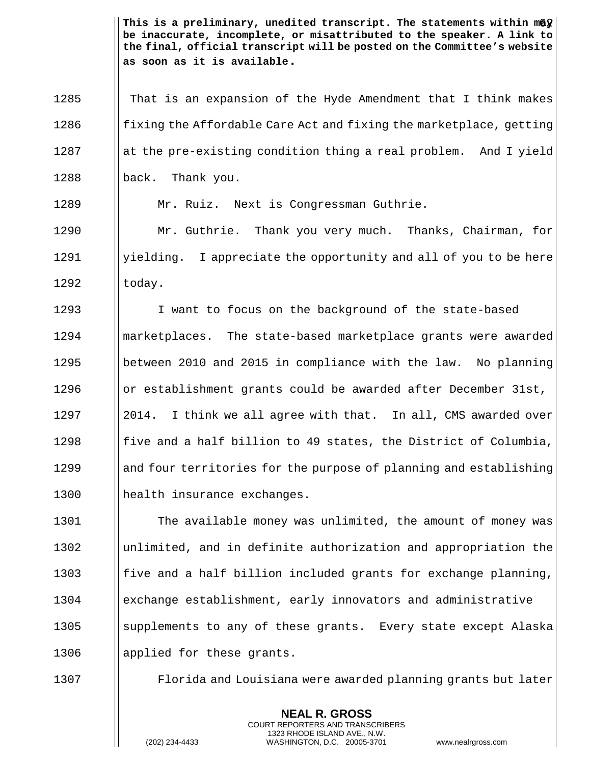1285 That is an expansion of the Hyde Amendment that I think makes 1286  $\parallel$  fixing the Affordable Care Act and fixing the marketplace, getting 1287 at the pre-existing condition thing a real problem. And I yield 1288 || back. Thank you.

1289 | Mr. Ruiz. Next is Congressman Guthrie.

1290 | Mr. Guthrie. Thank you very much. Thanks, Chairman, for 1291 | yielding. I appreciate the opportunity and all of you to be here  $1292$   $\vert$  today.

1293 I I want to focus on the background of the state-based marketplaces. The state-based marketplace grants were awarded between 2010 and 2015 in compliance with the law. No planning  $\parallel$  or establishment grants could be awarded after December 31st,  $\parallel$  2014. I think we all agree with that. In all, CMS awarded over **fixt** five and a half billion to 49 states, the District of Columbia, 1299 and four territories for the purpose of planning and establishing 1300 || health insurance exchanges.

**The available money was unlimited, the amount of money was**  unlimited, and in definite authorization and appropriation the **fixt** five and a half billion included grants for exchange planning, exchange establishment, early innovators and administrative 1305 Supplements to any of these grants. Every state except Alaska 1306 | applied for these grants.

1307 Florida and Louisiana were awarded planning grants but later

**NEAL R. GROSS** COURT REPORTERS AND TRANSCRIBERS 1323 RHODE ISLAND AVE., N.W.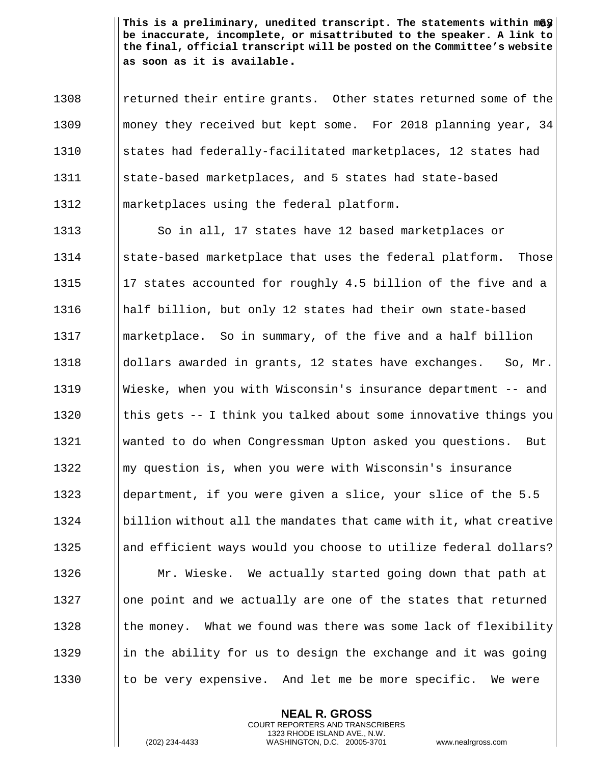1308 I returned their entire grants. Other states returned some of the 1309 money they received but kept some. For 2018 planning year, 34 1310 States had federally-facilitated marketplaces, 12 states had 1311 || state-based marketplaces, and 5 states had state-based 1312 marketplaces using the federal platform.

1313 | So in all, 17 states have 12 based marketplaces or 1314 State-based marketplace that uses the federal platform. Those  $\parallel$  17 states accounted for roughly 4.5 billion of the five and a half billion, but only 12 states had their own state-based marketplace. So in summary, of the five and a half billion dollars awarded in grants, 12 states have exchanges. So, Mr. Wieske, when you with Wisconsin's insurance department -- and  $\parallel$  this gets -- I think you talked about some innovative things you wanted to do when Congressman Upton asked you questions. But my question is, when you were with Wisconsin's insurance 1323 department, if you were given a slice, your slice of the 5.5  $\parallel$  billion without all the mandates that came with it, what creative 1325 and efficient ways would you choose to utilize federal dollars? **Mr. Wieske.** We actually started going down that path at || one point and we actually are one of the states that returned  $\parallel$  the money. What we found was there was some lack of flexibility 1329 in the ability for us to design the exchange and it was going  $\parallel$  to be very expensive. And let me be more specific. We were

> **NEAL R. GROSS** COURT REPORTERS AND TRANSCRIBERS 1323 RHODE ISLAND AVE., N.W.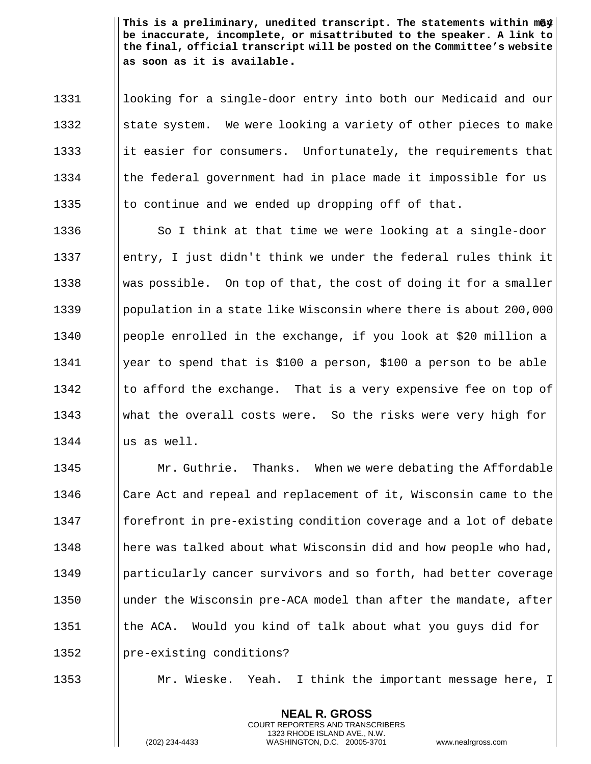1331 | looking for a single-door entry into both our Medicaid and our 1332  $\parallel$  state system. We were looking a variety of other pieces to make 1333 it easier for consumers. Unfortunately, the requirements that 1334 In the federal government had in place made it impossible for us 1335  $\parallel$  to continue and we ended up dropping off of that.

1336  $\parallel$  So I think at that time we were looking at a single-door 1337 entry, I just didn't think we under the federal rules think it 1338 Was possible. On top of that, the cost of doing it for a smaller 1339 Ipopulation in a state like Wisconsin where there is about 200,000 1340 people enrolled in the exchange, if you look at \$20 million a 1341 | year to spend that is \$100 a person, \$100 a person to be able 1342  $\parallel$  to afford the exchange. That is a very expensive fee on top of 1343 what the overall costs were. So the risks were very high for  $1344$   $\parallel$  us as well.

1345 **Mr. Guthrie.** Thanks. When we were debating the Affordable 1346 I Care Act and repeal and replacement of it, Wisconsin came to the 1347 **formulgent** in pre-existing condition coverage and a lot of debate 1348 **here was talked about what Wisconsin did and how people who had,** 1349 **particularly cancer survivors and so forth, had better coverage** 1350 I under the Wisconsin pre-ACA model than after the mandate, after 1351 | the ACA. Would you kind of talk about what you guys did for 1352 | pre-existing conditions?

1353 Mr. Wieske. Yeah. I think the important message here, I

**NEAL R. GROSS** COURT REPORTERS AND TRANSCRIBERS 1323 RHODE ISLAND AVE., N.W.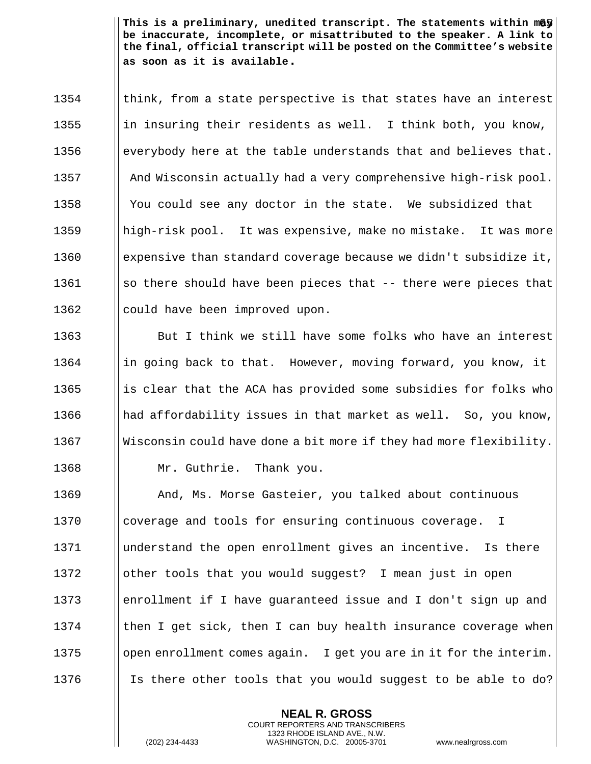$1354$  ||think, from a state perspective is that states have an interest 1355 in insuring their residents as well. I think both, you know, 1356 everybody here at the table understands that and believes that. 1357 **And Wisconsin actually had a very comprehensive high-risk pool.** 1358 | You could see any doctor in the state. We subsidized that 1359 high-risk pool. It was expensive, make no mistake. It was more 1360 expensive than standard coverage because we didn't subsidize it, 1361  $\|\$ so there should have been pieces that -- there were pieces that 1362 | could have been improved upon.

1363 But I think we still have some folks who have an interest 1364  $\parallel$  in going back to that. However, moving forward, you know, it 1365 is clear that the ACA has provided some subsidies for folks who 1366  $\parallel$  had affordability issues in that market as well. So, you know, 1367 Wisconsin could have done a bit more if they had more flexibility. 1368 | Mr. Guthrie. Thank you.

**And, Ms. Morse Gasteier, you talked about continuous** 1370 I coverage and tools for ensuring continuous coverage. I understand the open enrollment gives an incentive. Is there 1372 | other tools that you would suggest? I mean just in open enrollment if I have guaranteed issue and I don't sign up and  $\parallel$  then I get sick, then I can buy health insurance coverage when  $\Box$  open enrollment comes again. I get you are in it for the interim. 1376 Is there other tools that you would suggest to be able to do?

> **NEAL R. GROSS** COURT REPORTERS AND TRANSCRIBERS 1323 RHODE ISLAND AVE., N.W.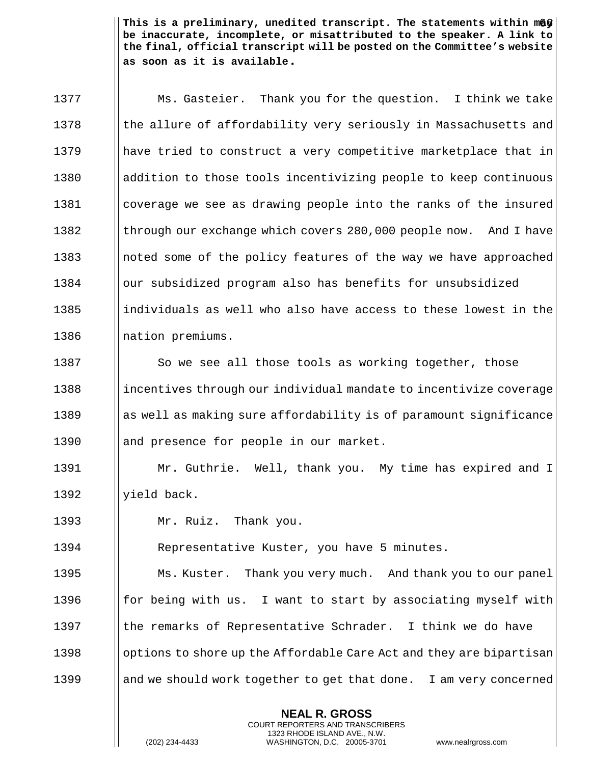1377 **Ms. Gasteier.** Thank you for the question. I think we take 1378 the allure of affordability very seriously in Massachusetts and 1379 have tried to construct a very competitive marketplace that in 1380 addition to those tools incentivizing people to keep continuous 1381 coverage we see as drawing people into the ranks of the insured 1382 Ithrough our exchange which covers 280,000 people now. And I have 1383 1383 || noted some of the policy features of the way we have approached 1384 | our subsidized program also has benefits for unsubsidized 1385 individuals as well who also have access to these lowest in the 1386 || nation premiums. 1387  $\Box$  So we see all those tools as working together, those 1388 incentives through our individual mandate to incentivize coverage  $1389$  as well as making sure affordability is of paramount significance 1390 || and presence for people in our market. 1391 Mr. Guthrie. Well, thank you. My time has expired and I 1392  $\parallel$  yield back. 1393 Mr. Ruiz. Thank you. 1394 | Representative Kuster, you have 5 minutes. 1395 | Ms. Kuster. Thank you very much. And thank you to our panel 1396  $\parallel$  for being with us. I want to start by associating myself with 1397  $\parallel$  the remarks of Representative Schrader. I think we do have 1398 contrarge options to shore up the Affordable Care Act and they are bipartisan

1399 and we should work together to get that done. I am very concerned

**NEAL R. GROSS** COURT REPORTERS AND TRANSCRIBERS 1323 RHODE ISLAND AVE., N.W.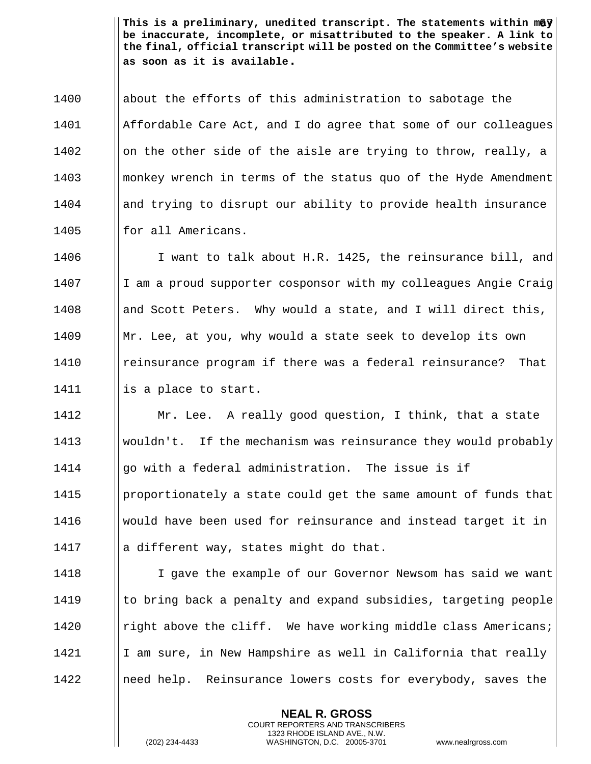1400 || about the efforts of this administration to sabotage the Affordable Care Act, and I do agree that some of our colleagues  $\parallel$  on the other side of the aisle are trying to throw, really, a monkey wrench in terms of the status quo of the Hyde Amendment 1404 || and trying to disrupt our ability to provide health insurance || for all Americans.

1406 I I want to talk about H.R. 1425, the reinsurance bill, and 1407 I I am a proud supporter cosponsor with my colleagues Angie Craig 1408  $\parallel$  and Scott Peters. Why would a state, and I will direct this, 1409 Mr. Lee, at you, why would a state seek to develop its own 1410 reinsurance program if there was a federal reinsurance? That 1411 is a place to start.

 Mr. Lee. A really good question, I think, that a state 1413 Wouldn't. If the mechanism was reinsurance they would probably  $\parallel$  qo with a federal administration. The issue is if **proportionately a state could get the same amount of funds that**  would have been used for reinsurance and instead target it in  $\|\cdot\|$  a different way, states might do that.

1418 I Gave the example of our Governor Newsom has said we want  $\parallel$  to bring back a penalty and expand subsidies, targeting people **I** right above the cliff. We have working middle class Americans;  $\parallel$  I am sure, in New Hampshire as well in California that really **Indeed help.** Reinsurance lowers costs for everybody, saves the

> **NEAL R. GROSS** COURT REPORTERS AND TRANSCRIBERS 1323 RHODE ISLAND AVE., N.W.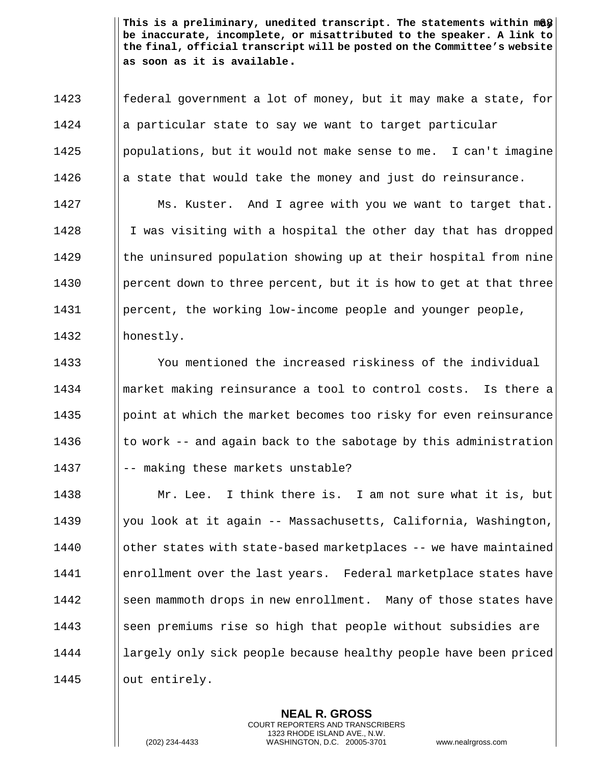**follog federal government a lot of money, but it may make a state, for**  || a particular state to say we want to target particular | populations, but it would not make sense to me. I can't imagine  $\parallel$  a state that would take the money and just do reinsurance. 1427 | Ms. Kuster. And I agree with you we want to target that. 1428 I I was visiting with a hospital the other day that has dropped **the uninsured population showing up at their hospital from nine percent down to three percent, but it is how to get at that three percent, the working low-income people and younger people,** 

1432 | honestly.

 You mentioned the increased riskiness of the individual market making reinsurance a tool to control costs. Is there a **pound** point at which the market becomes too risky for even reinsurance  $\parallel$  to work -- and again back to the sabotage by this administration  $|| - -$  making these markets unstable?

1438 **Mr.** Lee. I think there is. I am not sure what it is, but 1439 | you look at it again -- Massachusetts, California, Washington, 1440 **deta algebi-based marketplaces -- we have maintained** 1441 **enrollment over the last years.** Federal marketplace states have 1442 Seen mammoth drops in new enrollment. Many of those states have 1443 Seen premiums rise so high that people without subsidies are 1444 largely only sick people because healthy people have been priced 1445 ||out entirely.

> **NEAL R. GROSS** COURT REPORTERS AND TRANSCRIBERS 1323 RHODE ISLAND AVE., N.W.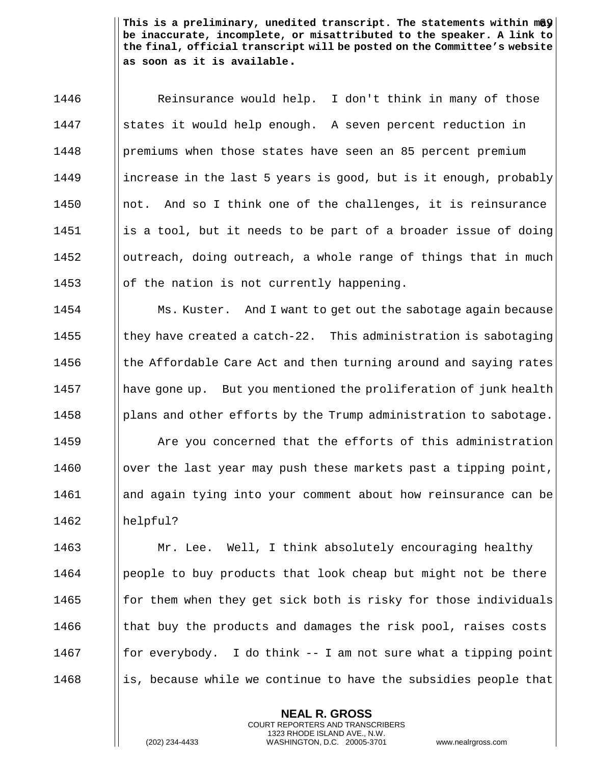1446 | Reinsurance would help. I don't think in many of those 1447 States it would help enough. A seven percent reduction in 1448 | premiums when those states have seen an 85 percent premium 1449 increase in the last 5 years is good, but is it enough, probably 1450  $\parallel$  not. And so I think one of the challenges, it is reinsurance  $1451$  || is a tool, but it needs to be part of a broader issue of doing 1452  $\Box$  outreach, doing outreach, a whole range of things that in much 1453  $\|\circ\|$  the nation is not currently happening.

**Ms. Kuster.** And I want to get out the sabotage again because  $\parallel$  they have created a catch-22. This administration is sabotaging  $\parallel$  the Affordable Care Act and then turning around and saying rates 1457 have gone up. But you mentioned the proliferation of junk health **plans and other efforts by the Trump administration to sabotage. Are you concerned that the efforts of this administration**  $\Box$  over the last year may push these markets past a tipping point, and again tying into your comment about how reinsurance can be 1462 helpful?

**Mr. Lee.** Well, I think absolutely encouraging healthy **people to buy products that look cheap but might not be there for them when they get sick both is risky for those individuals**  $\parallel$  that buy the products and damages the risk pool, raises costs **for everybody.** I do think  $-$  I am not sure what a tipping point is, because while we continue to have the subsidies people that

> **NEAL R. GROSS** COURT REPORTERS AND TRANSCRIBERS 1323 RHODE ISLAND AVE., N.W.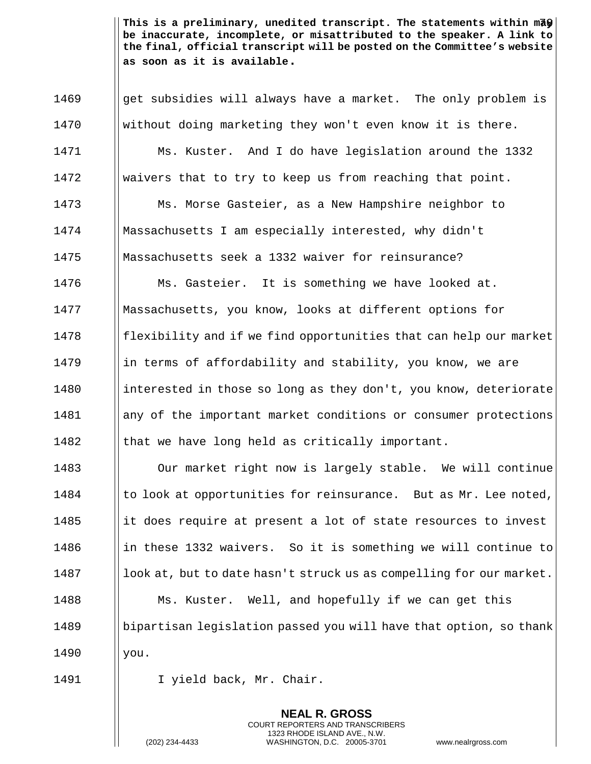**get subsidies will always have a market.** The only problem is without doing marketing they won't even know it is there. Ms. Kuster. And I do have legislation around the 1332 1472 | waivers that to try to keep us from reaching that point. Ms. Morse Gasteier, as a New Hampshire neighbor to Massachusetts I am especially interested, why didn't Massachusetts seek a 1332 waiver for reinsurance? **Ms. Gasteier.** It is something we have looked at. 1477 | Massachusetts, you know, looks at different options for || flexibility and if we find opportunities that can help our market 1479 in terms of affordability and stability, you know, we are 1480 interested in those so long as they don't, you know, deteriorate **any of the important market conditions or consumer protections**  $\parallel$  that we have long held as critically important.

1483 | Our market right now is largely stable. We will continue 1484  $\parallel$  to look at opportunities for reinsurance. But as Mr. Lee noted, 1485 it does require at present a lot of state resources to invest 1486 in these 1332 waivers. So it is something we will continue to 1487 **look at, but to date hasn't struck us as compelling for our market.** 1488 **Mus. Kuster.** Well, and hopefully if we can get this 1489 bipartisan legislation passed you will have that option, so thank 1490 | you.

> **NEAL R. GROSS** COURT REPORTERS AND TRANSCRIBERS 1323 RHODE ISLAND AVE., N.W.

1491 | I yield back, Mr. Chair.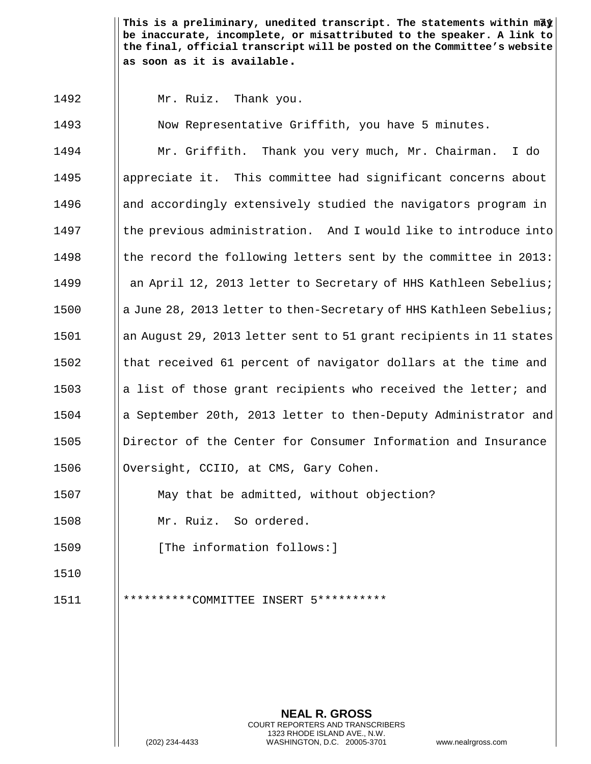1492 Mr. Ruiz. Thank you.

1493 | Now Representative Griffith, you have 5 minutes. Mr. Griffith. Thank you very much, Mr. Chairman. I do appreciate it. This committee had significant concerns about **and accordingly extensively studied the navigators program in**  I the previous administration. And I would like to introduce into  $\parallel$  the record the following letters sent by the committee in 2013: **and April 12, 2013 letter to Secretary of HHS Kathleen Sebelius;** 1500 a June 28, 2013 letter to then-Secretary of HHS Kathleen Sebelius; an August 29, 2013 letter sent to 51 grant recipients in 11 states  $\parallel$  that received 61 percent of navigator dollars at the time and 1503 a lacktriangleright in the cipients who received the letter; and a September 20th, 2013 letter to then-Deputy Administrator and Director of the Center for Consumer Information and Insurance 1506 | Oversight, CCIIO, at CMS, Gary Cohen.

1507 May that be admitted, without objection?

1508 Mr. Ruiz. So ordered.

1509 **I** [The information follows:]

1510

1511 \*\*\*\*\*\*\*\*\*\*COMMITTEE INSERT 5\*\*\*\*\*\*\*\*\*\*

**NEAL R. GROSS** COURT REPORTERS AND TRANSCRIBERS 1323 RHODE ISLAND AVE., N.W. (202) 234-4433 WASHINGTON, D.C. 20005-3701 www.nealrgross.com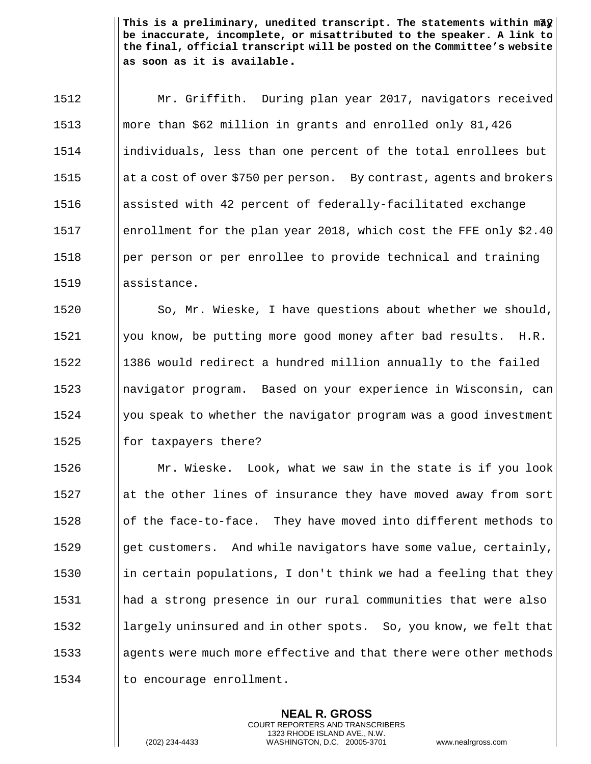Mr. Griffith. During plan year 2017, navigators received more than \$62 million in grants and enrolled only 81,426 individuals, less than one percent of the total enrollees but 1515 at a cost of over \$750 per person. By contrast, agents and brokers assisted with 42 percent of federally-facilitated exchange 1517 | enrollment for the plan year 2018, which cost the FFE only \$2.40 | per person or per enrollee to provide technical and training 1519 Ilassistance.

 $\parallel$  So, Mr. Wieske, I have questions about whether we should, 1521 | you know, be putting more good money after bad results.  $H.R.$  1386 would redirect a hundred million annually to the failed navigator program. Based on your experience in Wisconsin, can | you speak to whether the navigator program was a good investment  $\parallel$  for taxpayers there?

 $\parallel$  Mr. Wieske. Look, what we saw in the state is if you look at the other lines of insurance they have moved away from sort  $\parallel$  of the face-to-face. They have moved into different methods to  $\parallel$  qet customers. And while navigators have some value, certainly, 1530 in certain populations, I don't think we had a feeling that they had a strong presence in our rural communities that were also **largely uninsured and in other spots.** So, you know, we felt that 1533 agents were much more effective and that there were other methods | to encourage enrollment.

> **NEAL R. GROSS** COURT REPORTERS AND TRANSCRIBERS 1323 RHODE ISLAND AVE., N.W.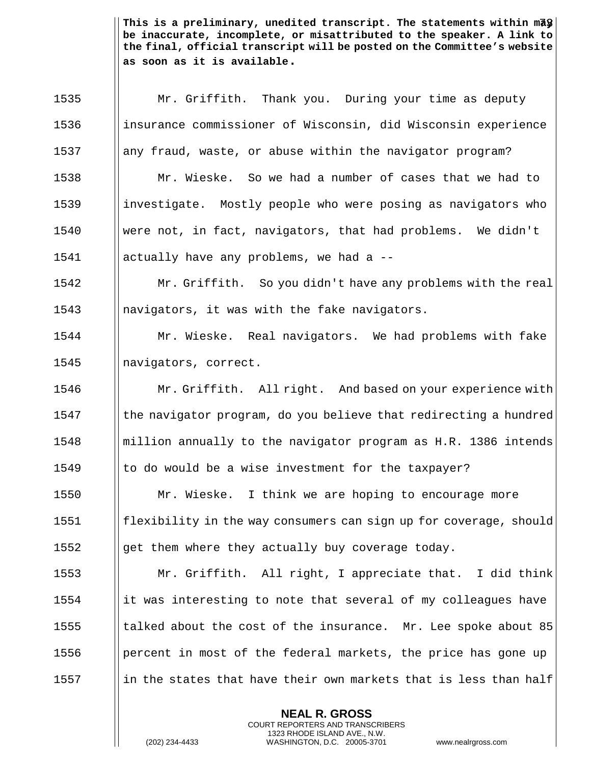This is a preliminary, unedited transcript. The statements within m<del>a</del>y $\big\vert$ **be inaccurate, incomplete, or misattributed to the speaker. A link to the final, official transcript will be posted on the Committee's website as soon as it is available.**

**NEAL R. GROSS** 1535 | Mr. Griffith. Thank you. During your time as deputy 1536 insurance commissioner of Wisconsin, did Wisconsin experience 1537 any fraud, waste, or abuse within the navigator program? Mr. Wieske. So we had a number of cases that we had to 1539 investigate. Mostly people who were posing as navigators who were not, in fact, navigators, that had problems. We didn't actually have any problems, we had a -- Mr. Griffith. So you didn't have any problems with the real  $\parallel$  navigators, it was with the fake navigators. Mr. Wieske. Real navigators. We had problems with fake 1545 | navigators, correct. **Mr. Griffith.** All right. And based on your experience with the navigator program, do you believe that redirecting a hundred **million annually to the navigator program as H.R. 1386 intends**  $\parallel$  to do would be a wise investment for the taxpayer? 1550 | Mr. Wieske. I think we are hoping to encourage more  $\parallel$  flexibility in the way consumers can sign up for coverage, should  $\|\$ qet them where they actually buy coverage today. Mr. Griffith. All right, I appreciate that. I did think ||it was interesting to note that several of my colleagues have  $\parallel$  talked about the cost of the insurance. Mr. Lee spoke about 85 **percent in most of the federal markets, the price has gone up** 1557 in the states that have their own markets that is less than half

COURT REPORTERS AND TRANSCRIBERS 1323 RHODE ISLAND AVE., N.W.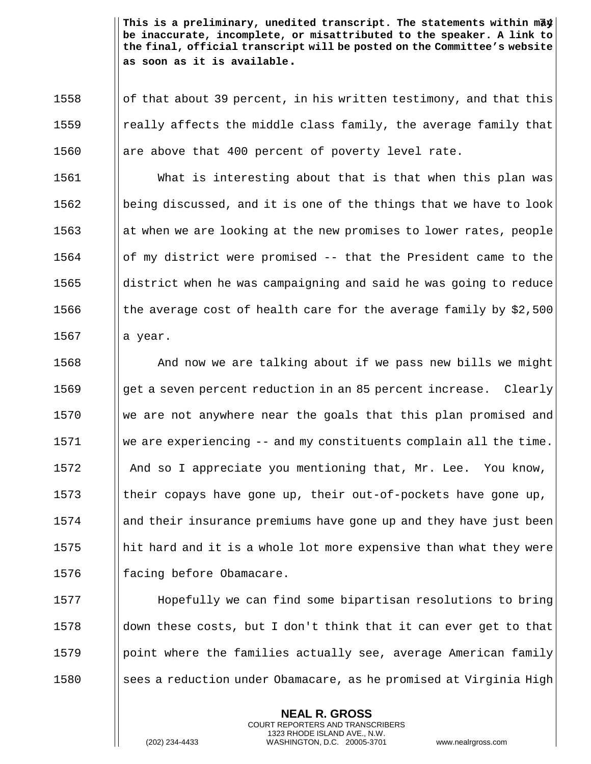74 **This is a preliminary, unedited transcript. The statements within may be inaccurate, incomplete, or misattributed to the speaker. A link to the final, official transcript will be posted on the Committee's website as soon as it is available.**

1558  $\Box$  of that about 39 percent, in his written testimony, and that this 1559 **I** really affects the middle class family, the average family that 1560  $\parallel$  are above that 400 percent of poverty level rate.

 What is interesting about that is that when this plan was || being discussed, and it is one of the things that we have to look 1563 at when we are looking at the new promises to lower rates, people of my district were promised -- that the President came to the ||district when he was campaigning and said he was going to reduce  $\parallel$  the average cost of health care for the average family by \$2,500  $\parallel$  a year.

**And now we are talking about if we pass new bills we might** 1569 get a seven percent reduction in an 85 percent increase. Clearly  $\parallel$  we are not anywhere near the goals that this plan promised and we are experiencing -- and my constituents complain all the time. **And so I appreciate you mentioning that, Mr. Lee.** You know,  $\parallel$  their copays have gone up, their out-of-pockets have gone up, and their insurance premiums have gone up and they have just been 1575 hit hard and it is a whole lot more expensive than what they were || facing before Obamacare.

1577 H Hopefully we can find some bipartisan resolutions to bring 1578  $\Box$  down these costs, but I don't think that it can ever get to that  $1579$  || point where the families actually see, average American family 1580 Sees a reduction under Obamacare, as he promised at Virginia High

> **NEAL R. GROSS** COURT REPORTERS AND TRANSCRIBERS 1323 RHODE ISLAND AVE., N.W.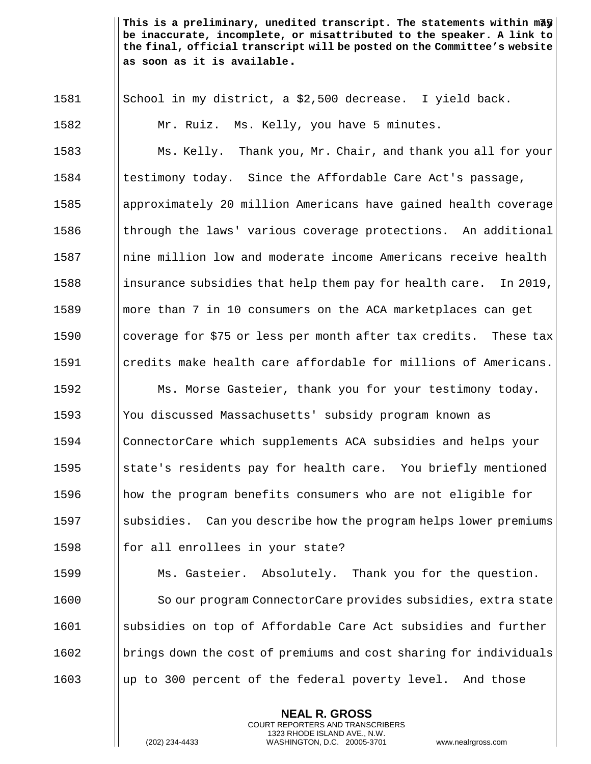This is a preliminary, unedited transcript. The statements within mā $\frac{1}{9}\left| \right.$ **be inaccurate, incomplete, or misattributed to the speaker. A link to the final, official transcript will be posted on the Committee's website as soon as it is available.**

 $\parallel$  School in my district, a \$2,500 decrease. I yield back. Mr. Ruiz. Ms. Kelly, you have 5 minutes. Ms. Kelly. Thank you, Mr. Chair, and thank you all for your 1584 Istestimony today. Since the Affordable Care Act's passage, approximately 20 million Americans have gained health coverage **the Indee of through thank** various coverage protections. An additional nine million low and moderate income Americans receive health 1588 insurance subsidies that help them pay for health care. In 2019, **more than 7 in 10 consumers on the ACA marketplaces can get** 1590 I coverage for \$75 or less per month after tax credits. These tax credits make health care affordable for millions of Americans. **Ms. Morse Gasteier, thank you for your testimony today.**  You discussed Massachusetts' subsidy program known as ConnectorCare which supplements ACA subsidies and helps your  $\parallel$  state's residents pay for health care. You briefly mentioned **how** the program benefits consumers who are not eligible for 1597 Subsidies. Can you describe how the program helps lower premiums  $\parallel$  for all enrollees in your state? **Ms. Gasteier.** Absolutely. Thank you for the question. 1600 | So our program ConnectorCare provides subsidies, extra state 1601 Subsidies on top of Affordable Care Act subsidies and further **beight in the cost of premiums and cost sharing for individuals** up to 300 percent of the federal poverty level. And those

> **NEAL R. GROSS** COURT REPORTERS AND TRANSCRIBERS 1323 RHODE ISLAND AVE., N.W.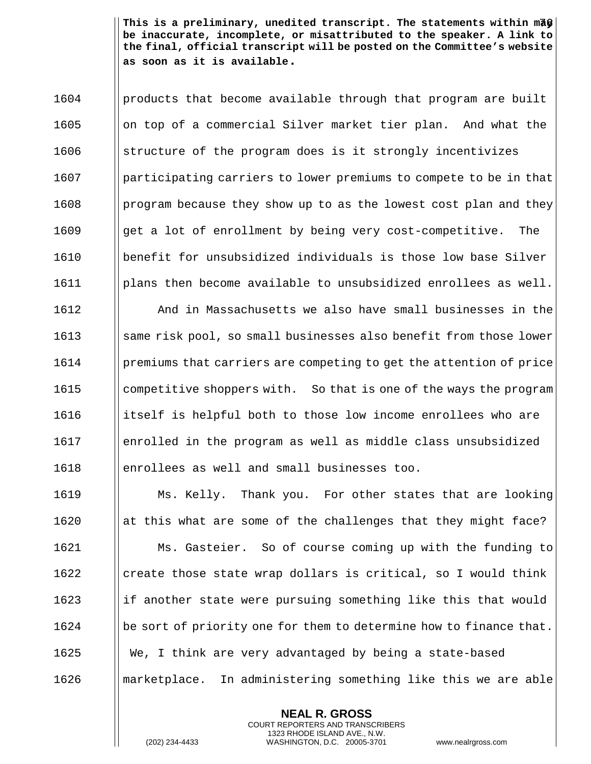This is a preliminary, unedited transcript. The statements within māf | **be inaccurate, incomplete, or misattributed to the speaker. A link to the final, official transcript will be posted on the Committee's website as soon as it is available.**

 | products that become available through that program are built 1605 | on top of a commercial Silver market tier plan. And what the 1606 Solut is electrice of the program does is it strongly incentivizes participating carriers to lower premiums to compete to be in that | program because they show up to as the lowest cost plan and they  $\parallel$  qet a lot of enrollment by being very cost-competitive. The benefit for unsubsidized individuals is those low base Silver  $\lvert \cdot \rvert$  1611  $\lvert \cdot \rvert$  plans then become available to unsubsidized enrollees as well. And in Massachusetts we also have small businesses in the 1613 September 1613 September 1613 same risk pool, so small businesses also benefit from those lower **premiums that carriers are competing to get the attention of price competitive shoppers with.** So that is one of the ways the program 1616 itself is helpful both to those low income enrollees who are enrolled in the program as well as middle class unsubsidized enrollees as well and small businesses too.

 Ms. Kelly. Thank you. For other states that are looking  $\parallel$  at this what are some of the challenges that they might face? Ms. Gasteier. So of course coming up with the funding to create those state wrap dollars is critical, so I would think if another state were pursuing something like this that would  $\|\$ be sort of priority one for them to determine how to finance that. 1625 We, I think are very advantaged by being a state-based marketplace. In administering something like this we are able

> **NEAL R. GROSS** COURT REPORTERS AND TRANSCRIBERS 1323 RHODE ISLAND AVE., N.W.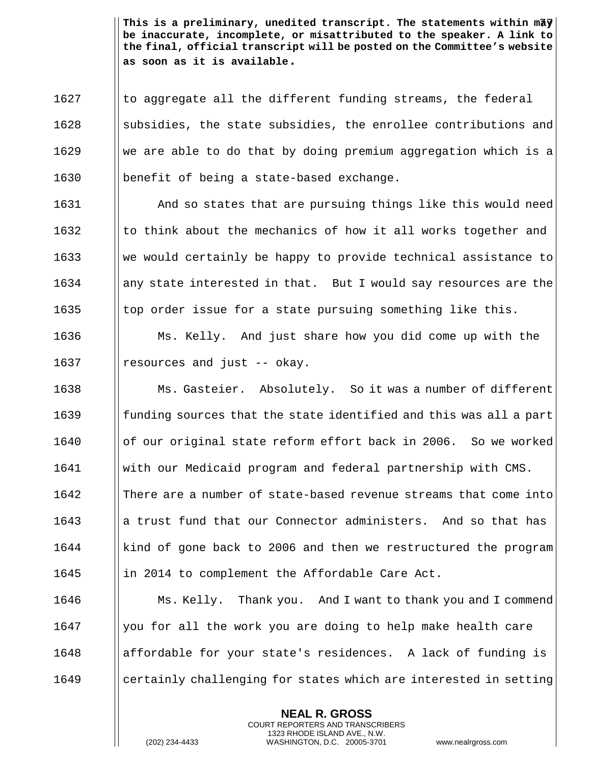This is a preliminary, unedited transcript. The statements within mā $\sqrt q$ **be inaccurate, incomplete, or misattributed to the speaker. A link to the final, official transcript will be posted on the Committee's website as soon as it is available.**

 || to aggregate all the different funding streams, the federal 1628 Subsidies, the state subsidies, the enrollee contributions and we are able to do that by doing premium aggregation which is a benefit of being a state-based exchange.

**And so states that are pursuing things like this would need**  $\parallel$  to think about the mechanics of how it all works together and We would certainly be happy to provide technical assistance to ||any state interested in that. But I would say resources are the  $\parallel$  top order issue for a state pursuing something like this.

1636 Ms. Kelly. And just share how you did come up with the 1637  $\parallel$  resources and just -- okay.

1638 Ms. Gasteier. Absolutely. So it was a number of different 1639 **funding sources that the state identified and this was all a part** 1640 | of our original state reform effort back in 2006. So we worked 1641 with our Medicaid program and federal partnership with CMS. 1642 | There are a number of state-based revenue streams that come into 1643 a a trust fund that our Connector administers. And so that has 1644 | kind of gone back to 2006 and then we restructured the program 1645 **in 2014** to complement the Affordable Care Act.

**Ms. Kelly.** Thank you. And I want to thank you and I commend | you for all the work you are doing to help make health care affordable for your state's residences. A lack of funding is **call anglerious Challenging for states which are interested in setting** 

> **NEAL R. GROSS** COURT REPORTERS AND TRANSCRIBERS 1323 RHODE ISLAND AVE., N.W.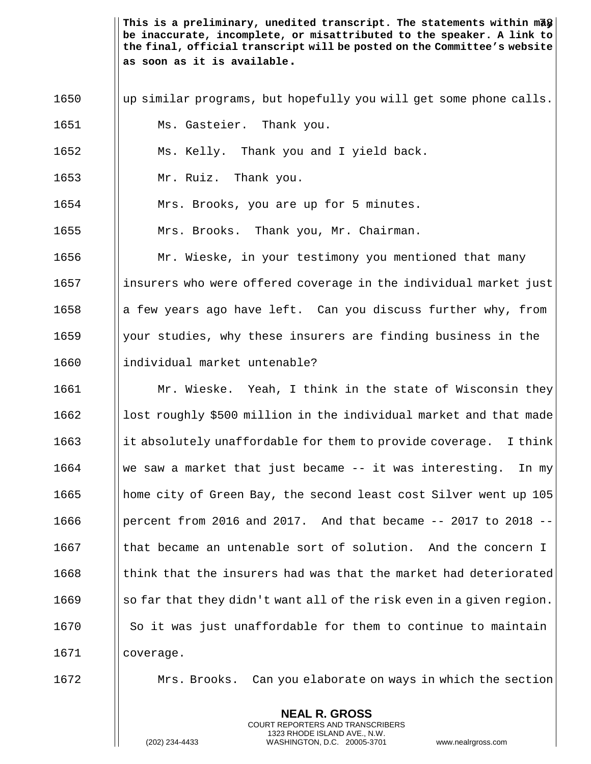This is a preliminary, unedited transcript. The statements within mā $\bigcirc\big\vert$ **be inaccurate, incomplete, or misattributed to the speaker. A link to the final, official transcript will be posted on the Committee's website as soon as it is available.**

- 1650 | up similar programs, but hopefully you will get some phone calls.
- 1651 | Ms. Gasteier. Thank you.
- 1652 Ms. Kelly. Thank you and I yield back.
- 1653 Mr. Ruiz. Thank you.

1654 | Mrs. Brooks, you are up for 5 minutes.

1655 | Mrs. Brooks. Thank you, Mr. Chairman.

1656 **Mr.** Wieske, in your testimony you mentioned that many 1657 insurers who were offered coverage in the individual market just 1658  $\parallel$  a few years ago have left. Can you discuss further why, from 1659  $\parallel$  your studies, why these insurers are finding business in the 1660 Ilindividual market untenable?

**Mr. Wieske.** Yeah, I think in the state of Wisconsin they lost roughly \$500 million in the individual market and that made it absolutely unaffordable for them to provide coverage. I think We saw a market that just became  $-$  it was interesting. In my 1665 home city of Green Bay, the second least cost Silver went up 105 **parameter** From 2016 and 2017. And that became  $-$ - 2017 to 2018  $\blacksquare$  that became an untenable sort of solution. And the concern I Ithink that the insurers had was that the market had deteriorated so far that they didn't want all of the risk even in a given region. || So it was just unaffordable for them to continue to maintain coverage.

1672 **Mrs. Brooks.** Can you elaborate on ways in which the section

**NEAL R. GROSS** COURT REPORTERS AND TRANSCRIBERS 1323 RHODE ISLAND AVE., N.W.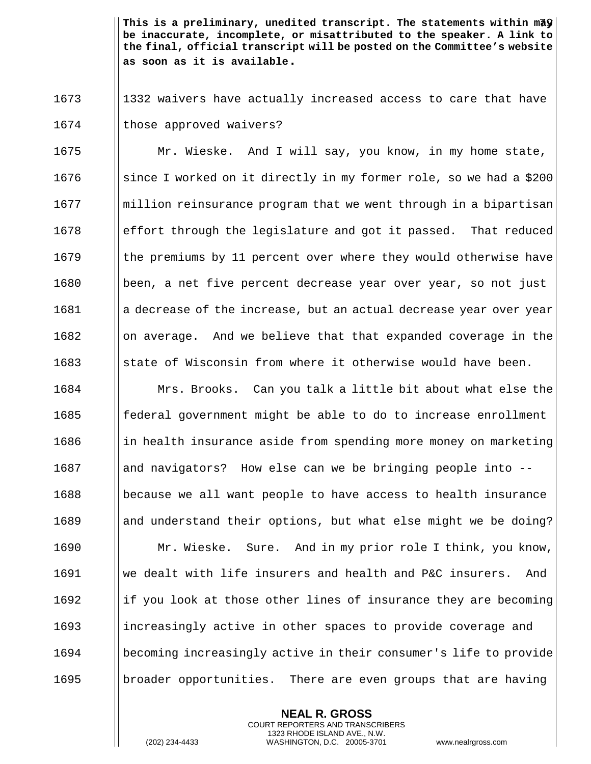This is a preliminary, unedited transcript. The statements within m<del>a</del>y **be inaccurate, incomplete, or misattributed to the speaker. A link to the final, official transcript will be posted on the Committee's website as soon as it is available.**

1673 1332 waivers have actually increased access to care that have 1674 | those approved waivers?

 Mr. Wieske. And I will say, you know, in my home state,  $\parallel$  since I worked on it directly in my former role, so we had a \$200 ||million reinsurance program that we went through in a bipartisan effort through the legislature and got it passed. That reduced I the premiums by 11 percent over where they would otherwise have 1680 been, a net five percent decrease year over year, so not just 1681 a decrease of the increase, but an actual decrease year over year || on average. And we believe that that expanded coverage in the State of Wisconsin from where it otherwise would have been.

 Mrs. Brooks. Can you talk a little bit about what else the || federal government might be able to do to increase enrollment in health insurance aside from spending more money on marketing 1687 and navigators? How else can we be bringing people into --1688 because we all want people to have access to health insurance and understand their options, but what else might we be doing? **Mr. Wieske.** Sure. And in my prior role I think, you know, we dealt with life insurers and health and P&C insurers. And if you look at those other lines of insurance they are becoming 1693 increasingly active in other spaces to provide coverage and becoming increasingly active in their consumer's life to provide **b** broader opportunities. There are even groups that are having

> **NEAL R. GROSS** COURT REPORTERS AND TRANSCRIBERS 1323 RHODE ISLAND AVE., N.W.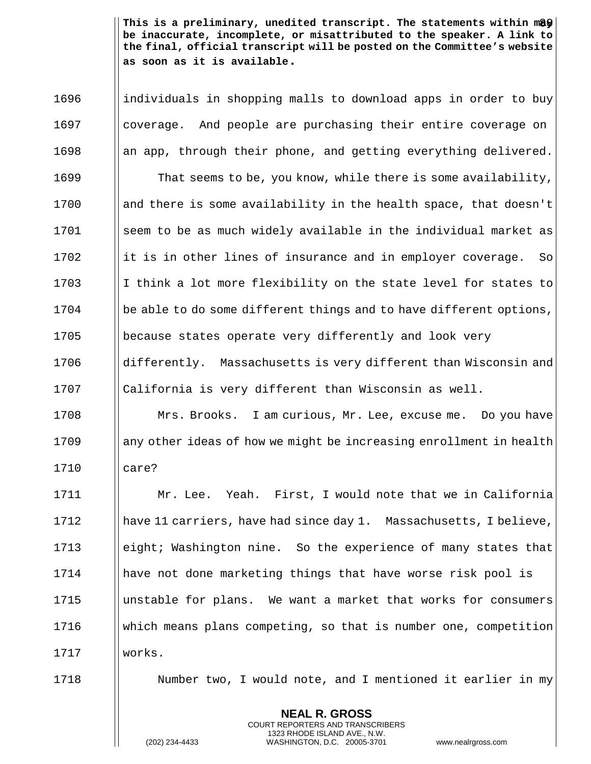This is a preliminary, unedited transcript. The statements within m**a**y | **be inaccurate, incomplete, or misattributed to the speaker. A link to the final, official transcript will be posted on the Committee's website as soon as it is available.**

1696 individuals in shopping malls to download apps in order to buy 1697 | coverage. And people are purchasing their entire coverage on ||an app, through their phone, and getting everything delivered. **That seems to be, you know, while there is some availability, and there is some availability in the health space, that doesn't** 1701 | seem to be as much widely available in the individual market as ||it is in other lines of insurance and in employer coverage. So 1703 I I think a lot more flexibility on the state level for states to | be able to do some different things and to have different options, **because states operate very differently and look very differently.** Massachusetts is very different than Wisconsin and  $\Box$  California is very different than Wisconsin as well. Mrs. Brooks. I am curious, Mr. Lee, excuse me. Do you have

 $1709$  any other ideas of how we might be increasing enrollment in health 1710 care?

 Mr. Lee. Yeah. First, I would note that we in California have 11 carriers, have had since day 1. Massachusetts, I believe, **e** eight; Washington nine. So the experience of many states that have not done marketing things that have worse risk pool is unstable for plans. We want a market that works for consumers which means plans competing, so that is number one, competition 1717 works.

1718 **Number two, I would note, and I mentioned it earlier in my** 

**NEAL R. GROSS** COURT REPORTERS AND TRANSCRIBERS 1323 RHODE ISLAND AVE., N.W.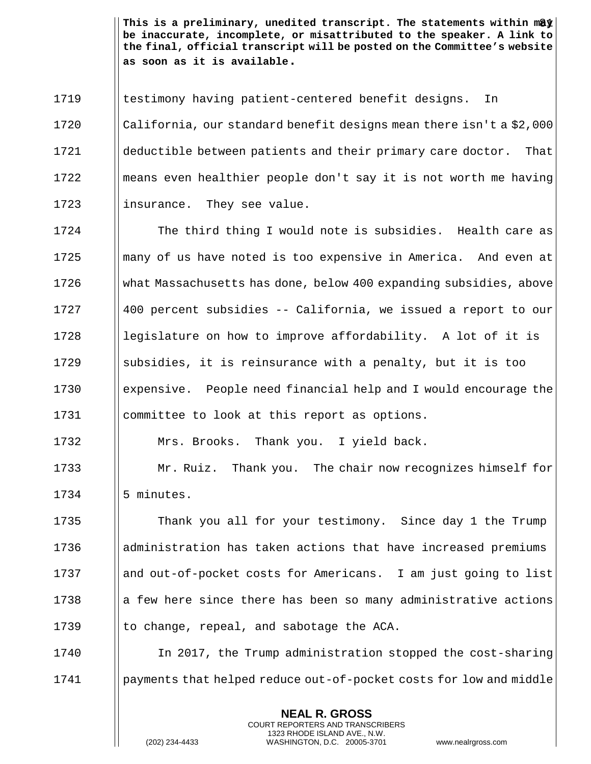This is a preliminary, unedited transcript. The statements within m**a**y **be inaccurate, incomplete, or misattributed to the speaker. A link to the final, official transcript will be posted on the Committee's website as soon as it is available.**

1719 Is destimony having patient-centered benefit designs. In 1720 California, our standard benefit designs mean there isn't a \$2,000 1721 deductible between patients and their primary care doctor. That 1722 means even healthier people don't say it is not worth me having 1723 | insurance. They see value.

**The third thing I would note is subsidies.** Health care as || many of us have noted is too expensive in America. And even at what Massachusetts has done, below 400 expanding subsidies, above 400 percent subsidies -- California, we issued a report to our || legislature on how to improve affordability. A lot of it is **Some Subsidies, it is reinsurance with a penalty, but it is too** 1730 expensive. People need financial help and I would encourage the 1731 | committee to look at this report as options.

1732 | Mrs. Brooks. Thank you. I yield back.

1733 **Mr. Ruiz.** Thank you. The chair now recognizes himself for  $1734$   $|| 5$  minutes.

1735 Thank you all for your testimony. Since day 1 the Trump 1736 administration has taken actions that have increased premiums 1737 | and out-of-pocket costs for Americans. I am just going to list  $1738$  || a few here since there has been so many administrative actions 1739  $\parallel$  to change, repeal, and sabotage the ACA.

1740 In 2017, the Trump administration stopped the cost-sharing 1741 **payments that helped reduce out-of-pocket costs for low and middle** 

> **NEAL R. GROSS** COURT REPORTERS AND TRANSCRIBERS 1323 RHODE ISLAND AVE., N.W.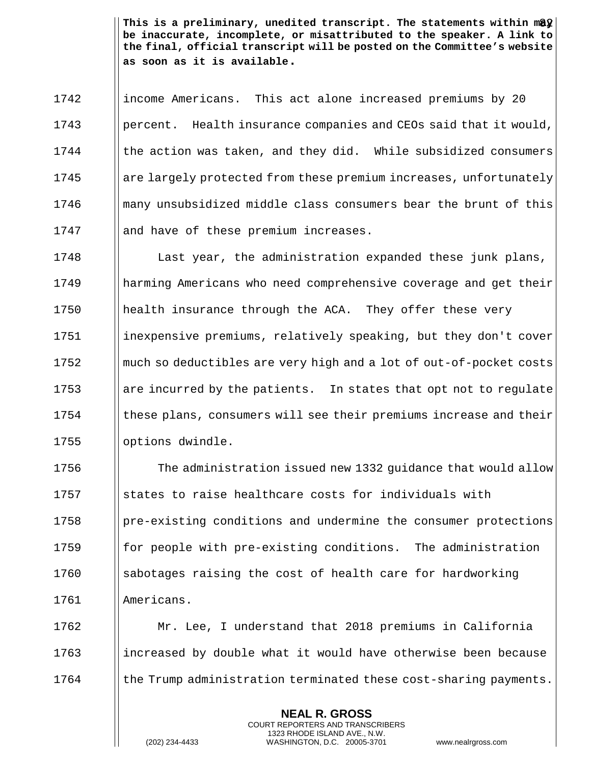This is a preliminary, unedited transcript. The statements within m**a**  $\hat{\mathbf{z}}$ **be inaccurate, incomplete, or misattributed to the speaker. A link to the final, official transcript will be posted on the Committee's website as soon as it is available.**

1742 income Americans. This act alone increased premiums by 20 1743 **percent.** Health insurance companies and CEOs said that it would,  $1744$  | the action was taken, and they did. While subsidized consumers 1745 are largely protected from these premium increases, unfortunately 1746 many unsubsidized middle class consumers bear the brunt of this 1747 || and have of these premium increases.

1748 **I** Last year, the administration expanded these junk plans, 1749 harming Americans who need comprehensive coverage and get their 1750 | health insurance through the ACA. They offer these very 1751 | inexpensive premiums, relatively speaking, but they don't cover 1752 **much so deductibles are very high and a lot of out-of-pocket costs** 1753 are incurred by the patients. In states that opt not to regulate  $1754$  | these plans, consumers will see their premiums increase and their 1755 | options dwindle.

1756 The administration issued new 1332 quidance that would allow  $\Box$  states to raise healthcare costs for individuals with | pre-existing conditions and undermine the consumer protections  $\parallel$  for people with pre-existing conditions. The administration | sabotages raising the cost of health care for hardworking Americans.

1762 Mr. Lee, I understand that 2018 premiums in California 1763 increased by double what it would have otherwise been because 1764 I the Trump administration terminated these cost-sharing payments.

> **NEAL R. GROSS** COURT REPORTERS AND TRANSCRIBERS 1323 RHODE ISLAND AVE., N.W.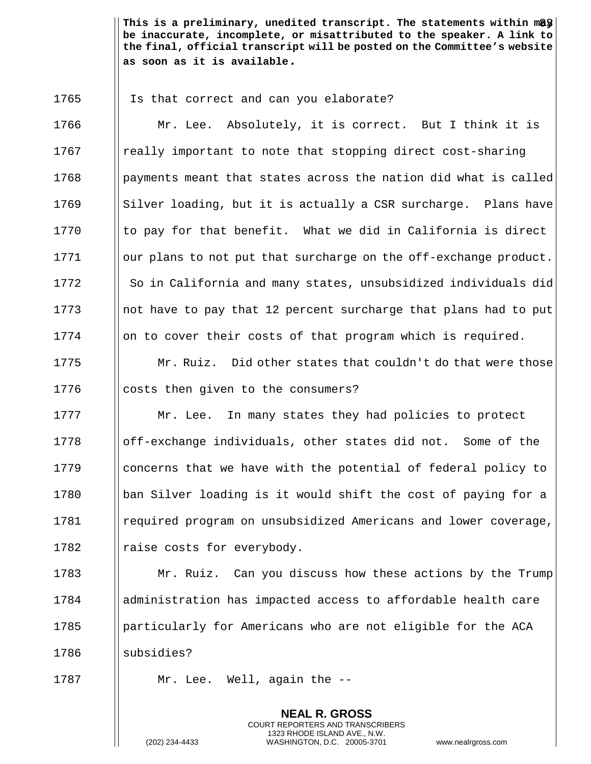This is a preliminary, unedited transcript. The statements within m**a**y | **be inaccurate, incomplete, or misattributed to the speaker. A link to the final, official transcript will be posted on the Committee's website as soon as it is available.**

1765 | Is that correct and can you elaborate?

1766 | Mr. Lee. Absolutely, it is correct. But I think it is 1767 I really important to note that stopping direct cost-sharing  $1768$  | payments meant that states across the nation did what is called  $1769$  Silver loading, but it is actually a CSR surcharge. Plans have 1770  $\parallel$  to pay for that benefit. What we did in California is direct 1771 | our plans to not put that surcharge on the off-exchange product. 1772 So in California and many states, unsubsidized individuals did 1773 **notic have to pay that 12 percent surcharge that plans had to put**  $1774$  || on to cover their costs of that program which is required.

1775  $\parallel$  Mr. Ruiz. Did other states that couldn't do that were those 1776  $\Box$  costs then given to the consumers?

**Mr.** Lee. In many states they had policies to protect off-exchange individuals, other states did not. Some of the  $\Box$  concerns that we have with the potential of federal policy to  $\parallel$  ban Silver loading is it would shift the cost of paying for a 1781 | required program on unsubsidized Americans and lower coverage,  $\parallel$  raise costs for everybody.

**Mr. Ruiz.** Can you discuss how these actions by the Trump administration has impacted access to affordable health care **particularly for Americans who are not eligible for the ACA** || subsidies?

> **NEAL R. GROSS** COURT REPORTERS AND TRANSCRIBERS 1323 RHODE ISLAND AVE., N.W.

1787 | Mr. Lee. Well, again the --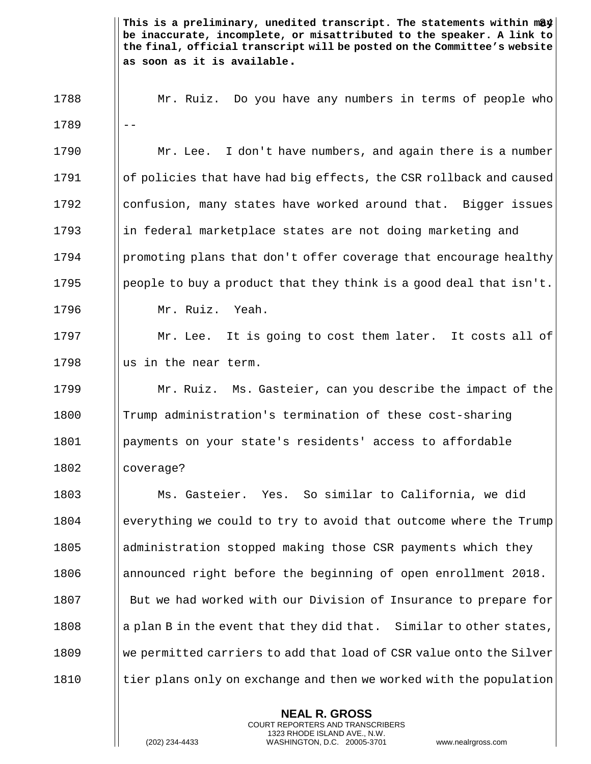This is a preliminary, unedited transcript. The statements within m**a**y **be inaccurate, incomplete, or misattributed to the speaker. A link to the final, official transcript will be posted on the Committee's website as soon as it is available.** 1788 Mr. Ruiz. Do you have any numbers in terms of people who  $1789$   $||$   $-$ 1790 **Mr.** Lee. I don't have numbers, and again there is a number 1791 of policies that have had big effects, the CSR rollback and caused 1792 | confusion, many states have worked around that. Bigger issues 1793 in federal marketplace states are not doing marketing and 1794 **promoting plans that don't offer coverage that encourage healthy** 1795 **people to buy a product that they think is a good deal that isn't.** 1796 Mr. Ruiz. Yeah. 1797 | Mr. Lee. It is going to cost them later. It costs all of 1798  $\Box$  as in the near term. 1799 Mr. Ruiz. Ms. Gasteier, can you describe the impact of the 1800 Trump administration's termination of these cost-sharing 1801 payments on your state's residents' access to affordable 1802 || coverage? 1803 Ms. Gasteier. Yes. So similar to California, we did 1804 everything we could to try to avoid that outcome where the Trump 1805 administration stopped making those CSR payments which they 1806 | announced right before the beginning of open enrollment 2018. 1807 **I** But we had worked with our Division of Insurance to prepare for 1808 a a plan B in the event that they did that. Similar to other states, 1809 We permitted carriers to add that load of CSR value onto the Silver  $1810$  | tier plans only on exchange and then we worked with the population

> **NEAL R. GROSS** COURT REPORTERS AND TRANSCRIBERS 1323 RHODE ISLAND AVE., N.W.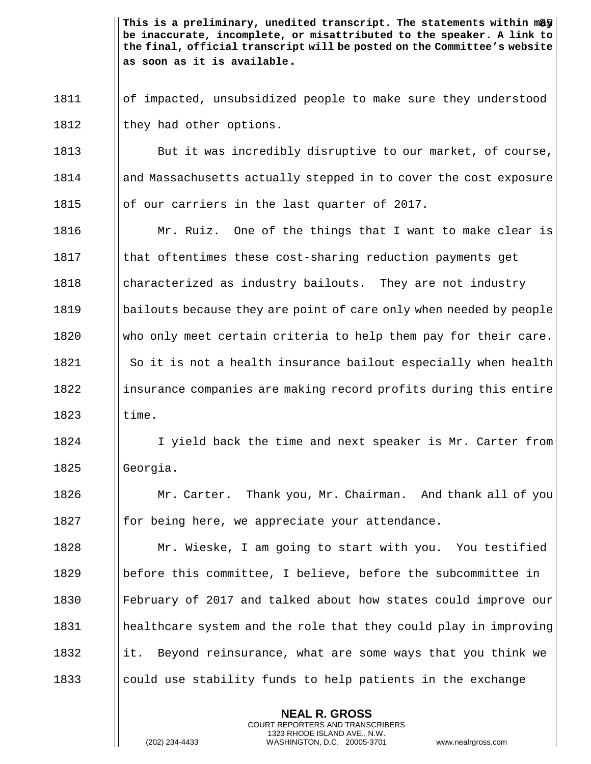This is a preliminary, unedited transcript. The statements within m**ay be inaccurate, incomplete, or misattributed to the speaker. A link to the final, official transcript will be posted on the Committee's website as soon as it is available.**

1811 of impacted, unsubsidized people to make sure they understood 1812  $\parallel$  they had other options.

1813 But it was incredibly disruptive to our market, of course, 1814 **and Massachusetts actually stepped in to cover the cost exposure** 1815  $\parallel$  of our carriers in the last quarter of 2017.

**Mr.** Ruiz. One of the things that I want to make clear is 1817 Ithat oftentimes these cost-sharing reduction payments get **characterized as industry bailouts.** They are not industry **I** bailouts because they are point of care only when needed by people 1820 Who only meet certain criteria to help them pay for their care. So it is not a health insurance bailout especially when health 1822 insurance companies are making record profits during this entire  $\qquad$   $\qquad$   $\qquad$   $\qquad$   $\qquad$   $\qquad$   $\qquad$   $\qquad$   $\qquad$   $\qquad$   $\qquad$   $\qquad$   $\qquad$   $\qquad$   $\qquad$   $\qquad$   $\qquad$   $\qquad$   $\qquad$   $\qquad$   $\qquad$   $\qquad$   $\qquad$   $\qquad$   $\qquad$   $\qquad$   $\qquad$   $\qquad$   $\qquad$   $\qquad$   $\qquad$   $\qquad$   $\qquad$   $\qquad$   $\qquad$   $\qquad$ 

1824 I I yield back the time and next speaker is Mr. Carter from 1825 | Georgia.

1826 **Mr. Carter.** Thank you, Mr. Chairman. And thank all of you 1827  $\parallel$  for being here, we appreciate your attendance.

**Mr. Wieske, I am going to start with you.** You testified before this committee, I believe, before the subcommittee in February of 2017 and talked about how states could improve our healthcare system and the role that they could play in improving 1832 it. Beyond reinsurance, what are some ways that you think we  $\Box$  could use stability funds to help patients in the exchange

> **NEAL R. GROSS** COURT REPORTERS AND TRANSCRIBERS 1323 RHODE ISLAND AVE., N.W.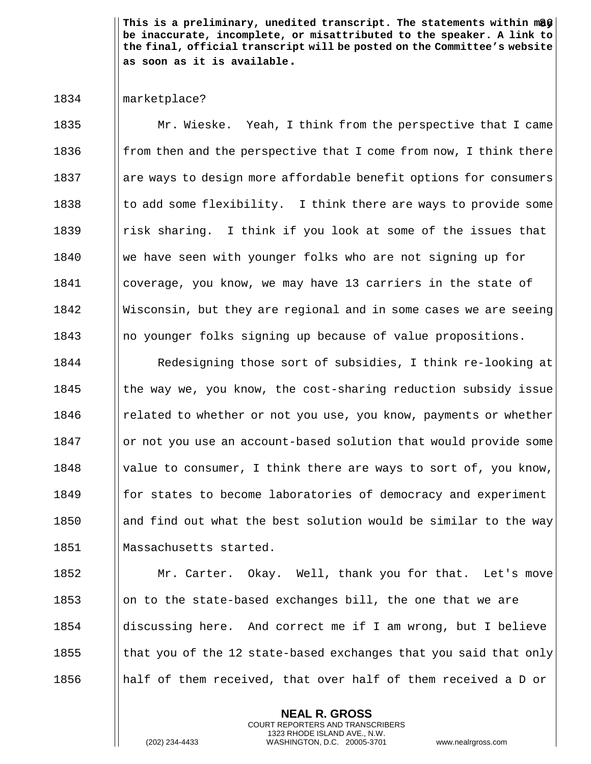This is a preliminary, unedited transcript. The statements within m**a**y **be inaccurate, incomplete, or misattributed to the speaker. A link to the final, official transcript will be posted on the Committee's website as soon as it is available.**

## 1834 marketplace?

**Mr. Wieske.** Yeah, I think from the perspective that I came **follom** from then and the perspective that I come from now, I think there 1837 are ways to design more affordable benefit options for consumers  $\parallel$  to add some flexibility. I think there are ways to provide some **Fight** risk sharing. I think if you look at some of the issues that we have seen with younger folks who are not signing up for coverage, you know, we may have 13 carriers in the state of Wisconsin, but they are regional and in some cases we are seeing  $\parallel$  no younger folks signing up because of value propositions.

1844 | Redesigning those sort of subsidies, I think re-looking at 1845 the way we, you know, the cost-sharing reduction subsidy issue **related to whether or not you use, you know, payments or whether deta I** or not you use an account-based solution that would provide some  $\parallel$  value to consumer, I think there are ways to sort of, you know, **for states to become laboratories of democracy and experiment** 1850 and find out what the best solution would be similar to the way Massachusetts started.

**Mr. Carter.** Okay. Well, thank you for that. Let's move  $\Box$  on to the state-based exchanges bill, the one that we are discussing here. And correct me if I am wrong, but I believe  $\parallel$  that you of the 12 state-based exchanges that you said that only **half** of them received, that over half of them received a D or

> **NEAL R. GROSS** COURT REPORTERS AND TRANSCRIBERS 1323 RHODE ISLAND AVE., N.W.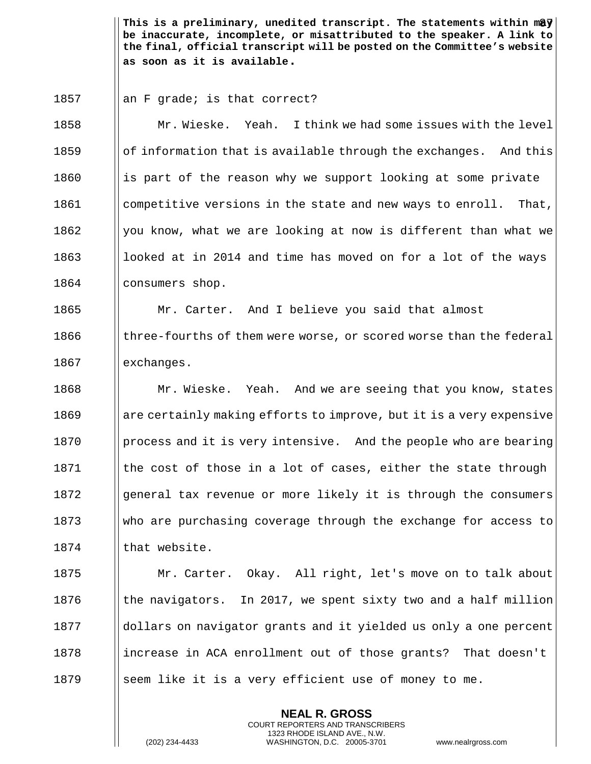This is a preliminary, unedited transcript. The statements within m**a**y $|$ **be inaccurate, incomplete, or misattributed to the speaker. A link to the final, official transcript will be posted on the Committee's website as soon as it is available.**

1857  $\parallel$  an F grade; is that correct?

1858 Mr. Wieske. Yeah. I think we had some issues with the level  $1859$  || of information that is available through the exchanges. And this  $1860$  || is part of the reason why we support looking at some private 1861 | competitive versions in the state and new ways to enroll. That, 1862  $\Box$  you know, what we are looking at now is different than what we 1863 looked at in 2014 and time has moved on for a lot of the ways 1864 | consumers shop.

1865 Mr. Carter. And I believe you said that almost  $1866$  I three-fourths of them were worse, or scored worse than the federal 1867 | exchanges.

1868 Mr. Wieske. Yeah. And we are seeing that you know, states are certainly making efforts to improve, but it is a very expensive **process and it is very intensive.** And the people who are bearing Ithe cost of those in a lot of cases, either the state through || qeneral tax revenue or more likely it is through the consumers who are purchasing coverage through the exchange for access to I that website.

1875 **Mr. Carter.** Okay. All right, let's move on to talk about 1876  $\parallel$  the navigators. In 2017, we spent sixty two and a half million 1877 and dollars on navigator grants and it yielded us only a one percent 1878 increase in ACA enrollment out of those grants? That doesn't 1879 Seem like it is a very efficient use of money to me.

> **NEAL R. GROSS** COURT REPORTERS AND TRANSCRIBERS 1323 RHODE ISLAND AVE., N.W.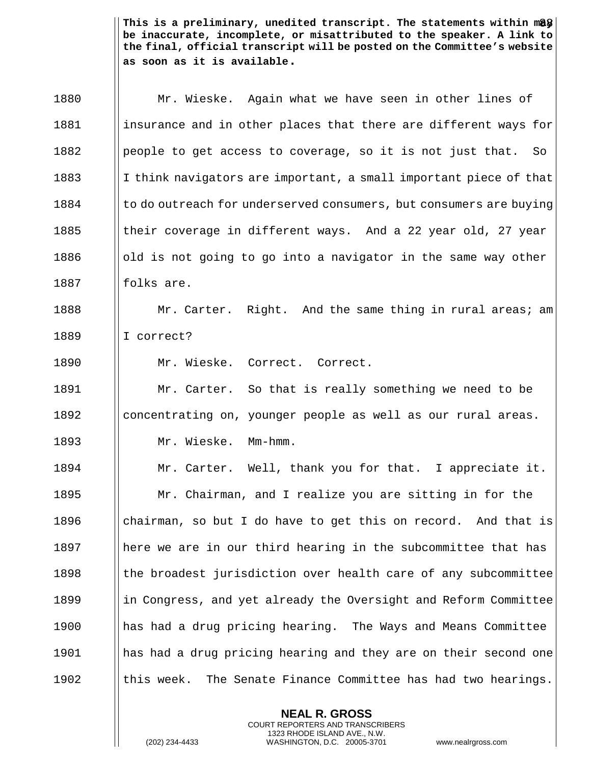This is a preliminary, unedited transcript. The statements within m**a**\$| **be inaccurate, incomplete, or misattributed to the speaker. A link to the final, official transcript will be posted on the Committee's website as soon as it is available.**

| 1880 | Mr. Wieske. Again what we have seen in other lines of              |
|------|--------------------------------------------------------------------|
| 1881 | insurance and in other places that there are different ways for    |
| 1882 | people to get access to coverage, so it is not just that. So       |
| 1883 | I think navigators are important, a small important piece of that  |
| 1884 | to do outreach for underserved consumers, but consumers are buying |
| 1885 | their coverage in different ways. And a 22 year old, 27 year       |
| 1886 | old is not going to go into a navigator in the same way other      |
| 1887 | folks are.                                                         |
| 1888 | Mr. Carter. Right. And the same thing in rural areas; am           |
| 1889 | I correct?                                                         |
| 1890 | Mr. Wieske. Correct. Correct.                                      |
| 1891 | Mr. Carter. So that is really something we need to be              |
| 1892 | concentrating on, younger people as well as our rural areas.       |
| 1893 | Mr. Wieske. Mm-hmm.                                                |
| 1894 | Mr. Carter. Well, thank you for that. I appreciate it.             |
| 1895 | Mr. Chairman, and I realize you are sitting in for the             |
| 1896 | chairman, so but I do have to get this on record. And that is      |
| 1897 | here we are in our third hearing in the subcommittee that has      |
| 1898 | the broadest jurisdiction over health care of any subcommittee     |
| 1899 | in Congress, and yet already the Oversight and Reform Committee    |
| 1900 | has had a drug pricing hearing. The Ways and Means Committee       |
| 1901 | has had a drug pricing hearing and they are on their second one    |
| 1902 | this week. The Senate Finance Committee has had two hearings.      |

**NEAL R. GROSS** COURT REPORTERS AND TRANSCRIBERS 1323 RHODE ISLAND AVE., N.W.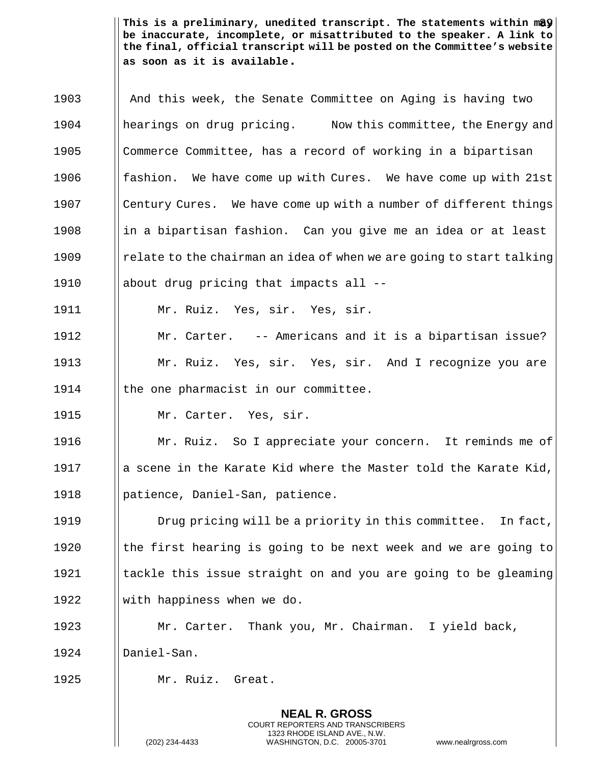This is a preliminary, unedited transcript. The statements within m**ay be inaccurate, incomplete, or misattributed to the speaker. A link to the final, official transcript will be posted on the Committee's website as soon as it is available.**

| 1903 | And this week, the Senate Committee on Aging is having two           |
|------|----------------------------------------------------------------------|
| 1904 | hearings on drug pricing. Now this committee, the Energy and         |
| 1905 | Commerce Committee, has a record of working in a bipartisan          |
| 1906 | We have come up with Cures. We have come up with 21st<br>fashion.    |
| 1907 | Century Cures. We have come up with a number of different things     |
| 1908 | in a bipartisan fashion. Can you give me an idea or at least         |
| 1909 | relate to the chairman an idea of when we are going to start talking |
| 1910 | about drug pricing that impacts all --                               |
| 1911 | Mr. Ruiz. Yes, sir. Yes, sir.                                        |
| 1912 | Mr. Carter. -- Americans and it is a bipartisan issue?               |
| 1913 | Mr. Ruiz. Yes, sir. Yes, sir. And I recognize you are                |
| 1914 | the one pharmacist in our committee.                                 |
| 1915 | Mr. Carter. Yes, sir.                                                |
| 1916 | Mr. Ruiz. So I appreciate your concern. It reminds me of             |
| 1917 | a scene in the Karate Kid where the Master told the Karate Kid,      |
| 1918 | patience, Daniel-San, patience.                                      |
| 1919 | Drug pricing will be a priority in this committee. In fact,          |
| 1920 | the first hearing is going to be next week and we are going to       |
| 1921 | tackle this issue straight on and you are going to be gleaming       |
| 1922 | with happiness when we do.                                           |
| 1923 | Mr. Carter. Thank you, Mr. Chairman. I yield back,                   |
| 1924 | Daniel-San.                                                          |
| 1925 | Mr. Ruiz. Great.                                                     |
|      | <b>NEAL R. GROSS</b><br>COURT REPORTERS AND TRANSCRIBERS             |

1323 RHODE ISLAND AVE., N.W.

 $\mathsf{l}\mathsf{l}$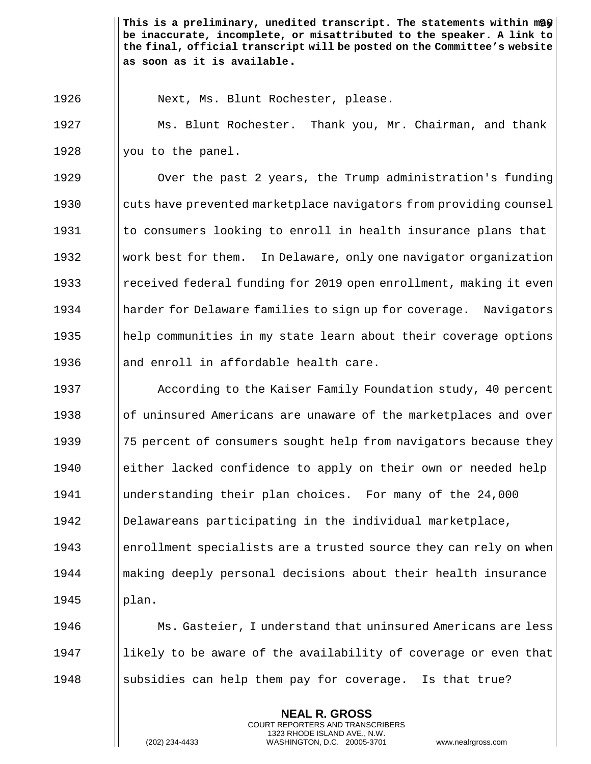This is a preliminary, unedited transcript. The statements within m@ $\bigcirc\big\vert$ **be inaccurate, incomplete, or misattributed to the speaker. A link to the final, official transcript will be posted on the Committee's website as soon as it is available.**

1926 | Next, Ms. Blunt Rochester, please.

1927 **Ms. Blunt Rochester.** Thank you, Mr. Chairman, and thank 1928 |  $\sqrt{$  you to the panel.

1929 1929 **I** Over the past 2 years, the Trump administration's funding 1930 cuts have prevented marketplace navigators from providing counsel 1931  $\parallel$  to consumers looking to enroll in health insurance plans that 1932 Work best for them. In Delaware, only one navigator organization 1933 I received federal funding for 2019 open enrollment, making it even 1934 harder for Delaware families to sign up for coverage. Navigators 1935 help communities in my state learn about their coverage options 1936  $\parallel$  and enroll in affordable health care.

**According to the Kaiser Family Foundation study, 40 percent**  $\|\circ f\|$  uninsured Americans are unaware of the marketplaces and over 1939 1939 175 percent of consumers sought help from navigators because they either lacked confidence to apply on their own or needed help understanding their plan choices. For many of the 24,000 Delawareans participating in the individual marketplace, 1943 enrollment specialists are a trusted source they can rely on when making deeply personal decisions about their health insurance  $1945$  ||plan.

1946 **Ms. Gasteier, I understand that uninsured Americans are less** 1947  $\parallel$  likely to be aware of the availability of coverage or even that 1948  $\parallel$  subsidies can help them pay for coverage. Is that true?

> **NEAL R. GROSS** COURT REPORTERS AND TRANSCRIBERS 1323 RHODE ISLAND AVE., N.W.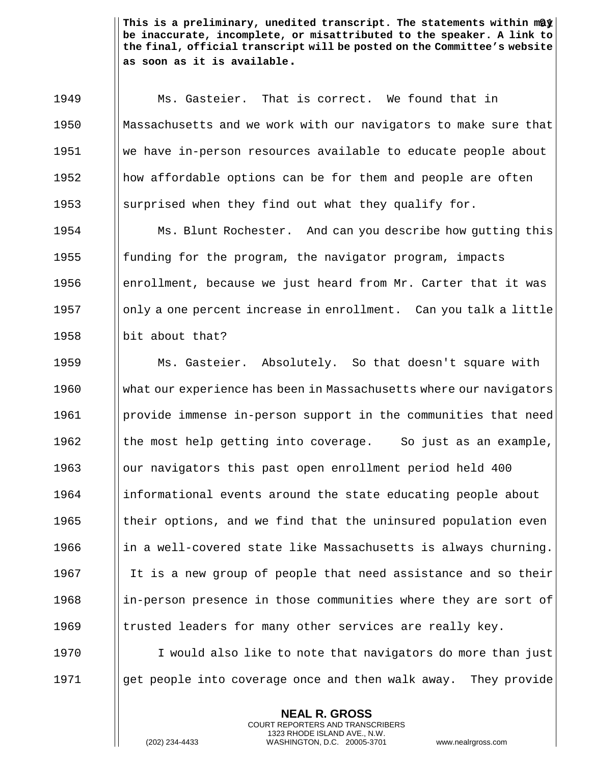This is a preliminary, unedited transcript. The statements within m& $\frac{1}{2} \Big\vert$ **be inaccurate, incomplete, or misattributed to the speaker. A link to the final, official transcript will be posted on the Committee's website as soon as it is available.**

1949 Ms. Gasteier. That is correct. We found that in 1950 Massachusetts and we work with our navigators to make sure that 1951 we have in-person resources available to educate people about 1952 || how affordable options can be for them and people are often 1953 Surprised when they find out what they qualify for.

**Ms. Blunt Rochester.** And can you describe how qutting this  $\parallel$  funding for the program, the navigator program, impacts  $\Box$  enrollment, because we just heard from Mr. Carter that it was ||only a one percent increase in enrollment. Can you talk a little **but about that?** 

 Ms. Gasteier. Absolutely. So that doesn't square with what our experience has been in Massachusetts where our navigators provide immense in-person support in the communities that need  $\parallel$  the most help getting into coverage. So just as an example, **c** | | our navigators this past open enrollment period held 400 informational events around the state educating people about  $\parallel$  their options, and we find that the uninsured population even  $\parallel$  in a well-covered state like Massachusetts is always churning. 1967 I It is a new group of people that need assistance and so their 1968 in-person presence in those communities where they are sort of  $\parallel$  trusted leaders for many other services are really key.

1970 I I would also like to note that navigators do more than just 1971 **get people into coverage once and then walk away.** They provide

> **NEAL R. GROSS** COURT REPORTERS AND TRANSCRIBERS 1323 RHODE ISLAND AVE., N.W.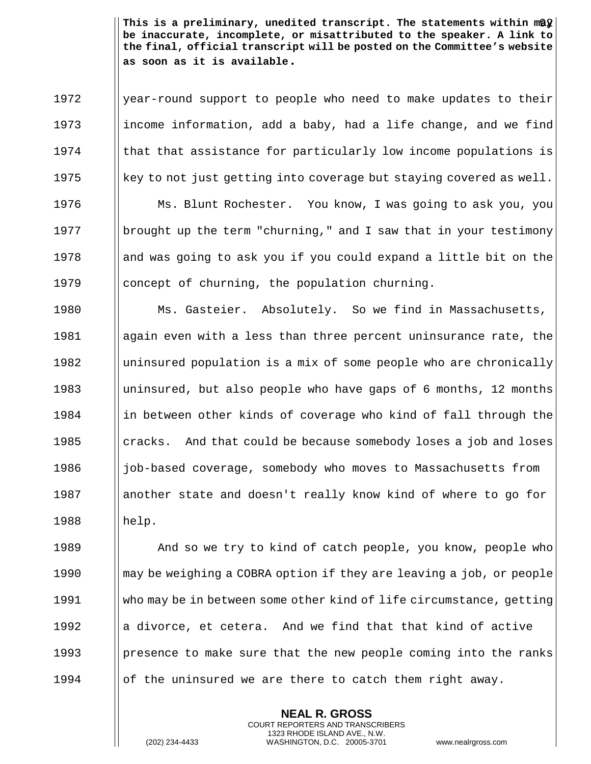This is a preliminary, unedited transcript. The statements within m@ $\hat{\bm{y}}$ | **be inaccurate, incomplete, or misattributed to the speaker. A link to the final, official transcript will be posted on the Committee's website as soon as it is available.**

1972 | year-round support to people who need to make updates to their 1973 income information, add a baby, had a life change, and we find  $1974$  || that that assistance for particularly low income populations is  $1975$  || key to not just getting into coverage but staying covered as well. 1976 | Ms. Blunt Rochester. You know, I was going to ask you, you 1977 **brought up the term "churning,"** and I saw that in your testimony 1978 and was going to ask you if you could expand a little bit on the 1979  $\parallel$  concept of churning, the population churning.

1980 **Ms. Gasteier.** Absolutely. So we find in Massachusetts, 1981 again even with a less than three percent uninsurance rate, the 1982  $\parallel$  uninsured population is a mix of some people who are chronically 1983 I uninsured, but also people who have gaps of 6 months, 12 months 1984  $\parallel$  in between other kinds of coverage who kind of fall through the 1985  $\parallel$  cracks. And that could be because somebody loses a job and loses 1986  $\parallel$  job-based coverage, somebody who moves to Massachusetts from 1987 another state and doesn't really know kind of where to go for  $1988$  ||help.

**And so we try to kind of catch people, you know, people who If the Vends** of the VOBRA option if they are leaving a job, or people who may be in between some other kind of life circumstance, getting  $\|\cdot\|$  a divorce, et cetera. And we find that that kind of active **presence to make sure that the new people coming into the ranks**  $\|\circ\|$  the uninsured we are there to catch them right away.

> **NEAL R. GROSS** COURT REPORTERS AND TRANSCRIBERS 1323 RHODE ISLAND AVE., N.W.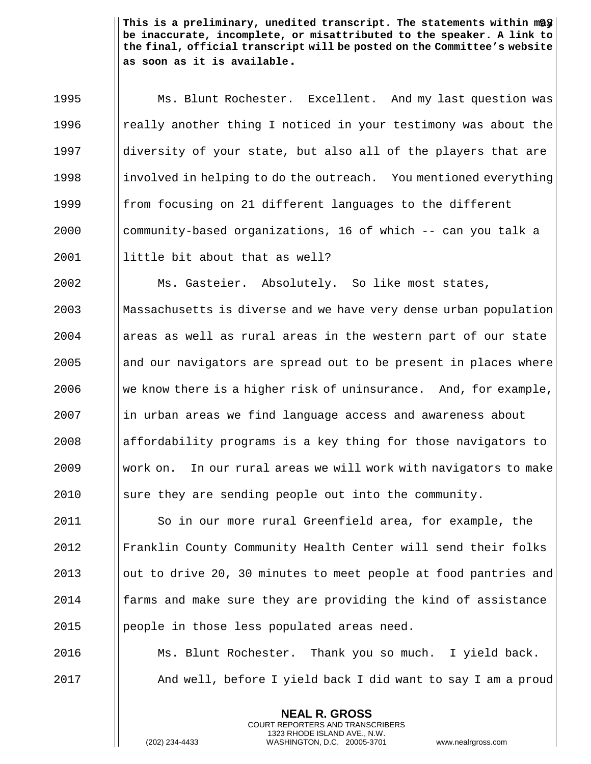This is a preliminary, unedited transcript. The statements within m@\$| **be inaccurate, incomplete, or misattributed to the speaker. A link to the final, official transcript will be posted on the Committee's website as soon as it is available.**

**Ms. Blunt Rochester.** Excellent. And my last question was **I** really another thing I noticed in your testimony was about the diversity of your state, but also all of the players that are 1998 involved in helping to do the outreach. You mentioned everything  $\parallel$  from focusing on 21 different languages to the different ||community-based organizations, 16 of which  $-$ - can you talk a | little bit about that as well?

 Ms. Gasteier. Absolutely. So like most states, Massachusetts is diverse and we have very dense urban population areas as well as rural areas in the western part of our state and our navigators are spread out to be present in places where 2006 We know there is a higher risk of uninsurance. And, for example, in urban areas we find language access and awareness about affordability programs is a key thing for those navigators to  $\blacksquare$  work on. In our rural areas we will work with navigators to make 2010 Sure they are sending people out into the community.

2011 So in our more rural Greenfield area, for example, the 2012 Franklin County Community Health Center will send their folks 2013 | out to drive 20, 30 minutes to meet people at food pantries and 2014 farms and make sure they are providing the kind of assistance 2015 | people in those less populated areas need.

2016 Ms. Blunt Rochester. Thank you so much. I yield back. 2017 And well, before I yield back I did want to say I am a proud

> **NEAL R. GROSS** COURT REPORTERS AND TRANSCRIBERS 1323 RHODE ISLAND AVE., N.W.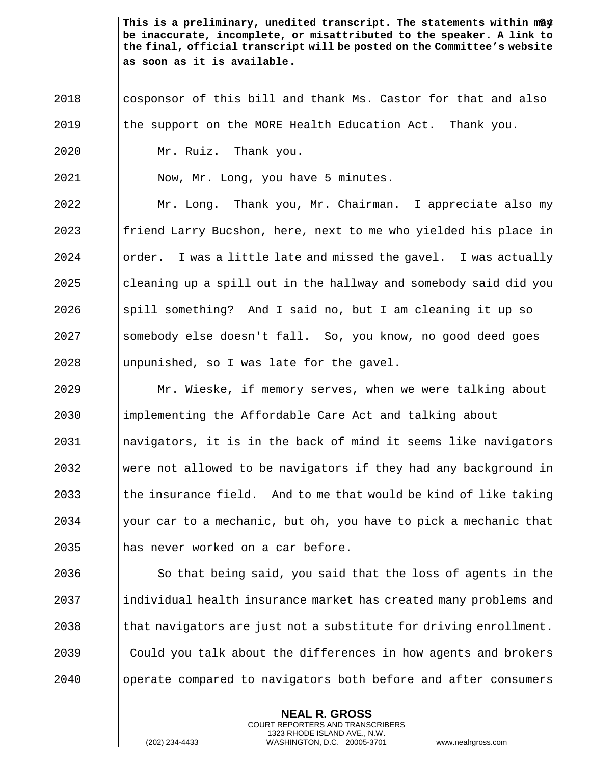This is a preliminary, unedited transcript. The statements within m@\$| **be inaccurate, incomplete, or misattributed to the speaker. A link to the final, official transcript will be posted on the Committee's website as soon as it is available.**

- 2018 I cosponsor of this bill and thank Ms. Castor for that and also
- $2019$  | the support on the MORE Health Education Act. Thank you.
- 2020 Mr. Ruiz. Thank you.

2021 Now, Mr. Long, you have 5 minutes.

 Mr. Long. Thank you, Mr. Chairman. I appreciate also my || friend Larry Bucshon, here, next to me who yielded his place in  $\blacksquare$  | order. I was a little late and missed the gavel. I was actually cleaning up a spill out in the hallway and somebody said did you  $\Box$  spill something? And I said no, but I am cleaning it up so 2027 Somebody else doesn't fall. So, you know, no good deed goes ||unpunished, so I was late for the gavel.

 Mr. Wieske, if memory serves, when we were talking about 2030 I implementing the Affordable Care Act and talking about navigators, it is in the back of mind it seems like navigators Were not allowed to be navigators if they had any background in  $\parallel$  the insurance field. And to me that would be kind of like taking  $\parallel$  your car to a mechanic, but oh, you have to pick a mechanic that 2035 has never worked on a car before.

 $\parallel$  So that being said, you said that the loss of agents in the 2037 individual health insurance market has created many problems and || that navigators are just not a substitute for driving enrollment. **Could you talk about the differences in how agents and brokers** operate compared to navigators both before and after consumers

> **NEAL R. GROSS** COURT REPORTERS AND TRANSCRIBERS 1323 RHODE ISLAND AVE., N.W.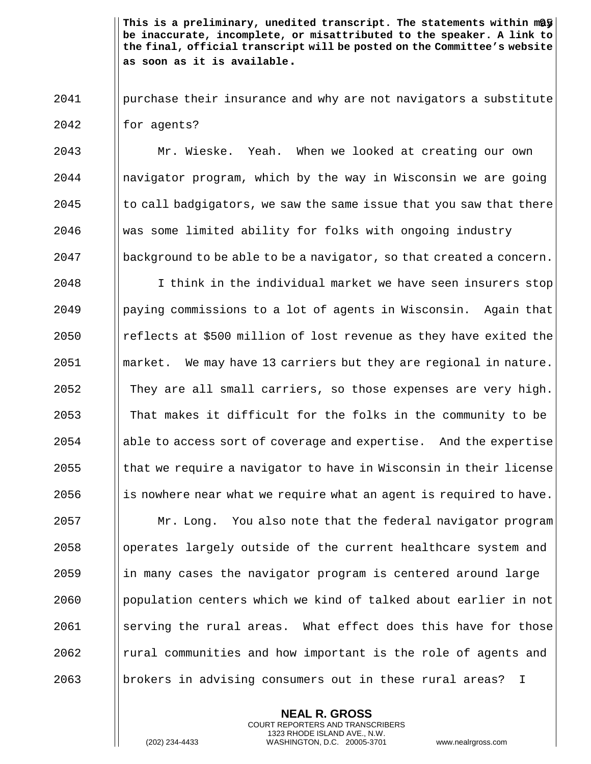This is a preliminary, unedited transcript. The statements within m**ay be inaccurate, incomplete, or misattributed to the speaker. A link to the final, official transcript will be posted on the Committee's website as soon as it is available.**

2041 purchase their insurance and why are not navigators a substitute  $2042$  | for agents?

 Mr. Wieske. Yeah. When we looked at creating our own navigator program, which by the way in Wisconsin we are going to call badgigators, we saw the same issue that you saw that there was some limited ability for folks with ongoing industry | background to be able to be a navigator, so that created a concern.

2048 I I think in the individual market we have seen insurers stop paying commissions to a lot of agents in Wisconsin. Again that **e** reflects at \$500 million of lost revenue as they have exited the ||market. We may have 13 carriers but they are regional in nature. They are all small carriers, so those expenses are very high.  $\parallel$  That makes it difficult for the folks in the community to be 2054 able to access sort of coverage and expertise. And the expertise || that we require a navigator to have in Wisconsin in their license  $\parallel$  is nowhere near what we require what an agent is required to have.  $\parallel$  Mr. Long. You also note that the federal navigator program 2058 | operates largely outside of the current healthcare system and ||in many cases the navigator program is centered around large 2060 Population centers which we kind of talked about earlier in not Serving the rural areas. What effect does this have for those | rural communities and how important is the role of agents and 2063 brokers in advising consumers out in these rural areas? I

> **NEAL R. GROSS** COURT REPORTERS AND TRANSCRIBERS 1323 RHODE ISLAND AVE., N.W.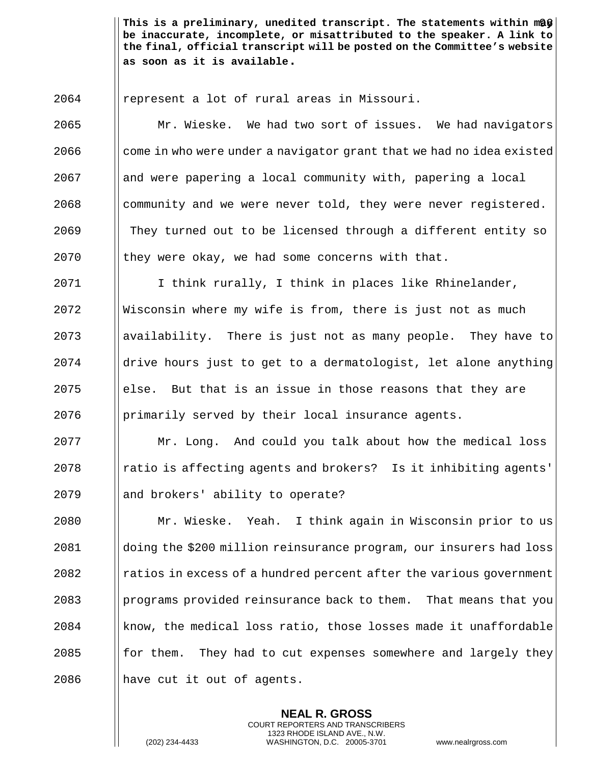This is a preliminary, unedited transcript. The statements within m $\frac{1}{2}\int_0^\infty |x-y|^{p-1} \, dy$ **be inaccurate, incomplete, or misattributed to the speaker. A link to the final, official transcript will be posted on the Committee's website as soon as it is available.**

represent a lot of rural areas in Missouri.

2065 Mr. Wieske. We had two sort of issues. We had navigators | come in who were under a navigator grant that we had no idea existed and were papering a local community with, papering a local || community and we were never told, they were never registered. 2069 They turned out to be licensed through a different entity so | they were okay, we had some concerns with that.

2071 | I think rurally, I think in places like Rhinelander, Wisconsin where my wife is from, there is just not as much ||availability. There is just not as many people. They have to | drive hours just to get to a dermatologist, let alone anything  $\Box$  else. But that is an issue in those reasons that they are **primarily served by their local insurance agents.** 

 Mr. Long. And could you talk about how the medical loss || ratio is affecting agents and brokers? Is it inhibiting agents' || and brokers' ability to operate?

 Mr. Wieske. Yeah. I think again in Wisconsin prior to us doing the \$200 million reinsurance program, our insurers had loss **I** ratios in excess of a hundred percent after the various government | programs provided reinsurance back to them. That means that you | know, the medical loss ratio, those losses made it unaffordable for them. They had to cut expenses somewhere and largely they 2086 |  $\blacksquare$  have cut it out of agents.

> **NEAL R. GROSS** COURT REPORTERS AND TRANSCRIBERS 1323 RHODE ISLAND AVE., N.W.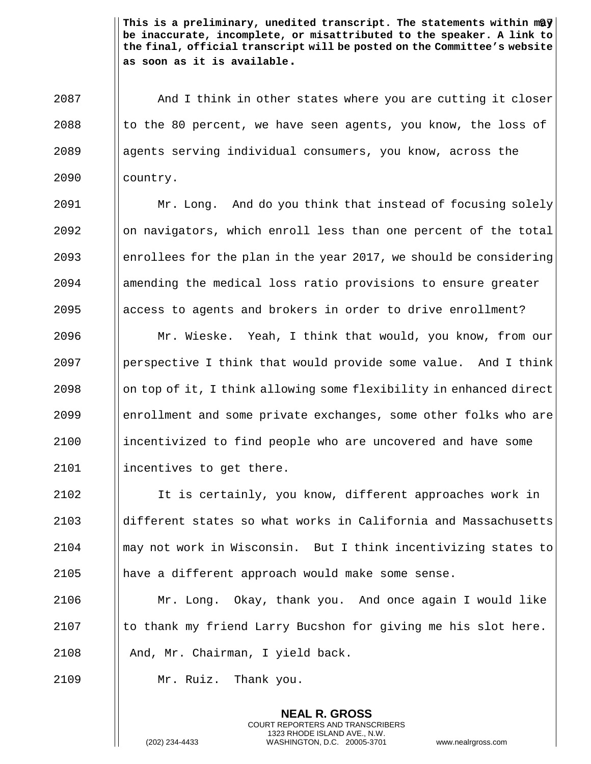This is a preliminary, unedited transcript. The statements within m@}<sup>'</sup> **be inaccurate, incomplete, or misattributed to the speaker. A link to the final, official transcript will be posted on the Committee's website as soon as it is available.**

2087 And I think in other states where you are cutting it closer 2088  $\parallel$  to the 80 percent, we have seen agents, you know, the loss of 2089 || agents serving individual consumers, you know, across the 2090 country.

 Mr. Long. And do you think that instead of focusing solely || on navigators, which enroll less than one percent of the total 2093 enrollees for the plan in the year 2017, we should be considering amending the medical loss ratio provisions to ensure greater  $\Box$  access to agents and brokers in order to drive enrollment?

 Mr. Wieske. Yeah, I think that would, you know, from our **parameler** I think that would provide some value. And I think on top of it, I think allowing some flexibility in enhanced direct **enrollment and some private exchanges, some other folks who are** 2100 incentivized to find people who are uncovered and have some 2101 | incentives to get there.

 It is certainly, you know, different approaches work in different states so what works in California and Massachusetts may not work in Wisconsin. But I think incentivizing states to have a different approach would make some sense.

2106 Mr. Long. Okay, thank you. And once again I would like  $2107$  I to thank my friend Larry Bucshon for giving me his slot here. 2108 | And, Mr. Chairman, I yield back.

> **NEAL R. GROSS** COURT REPORTERS AND TRANSCRIBERS 1323 RHODE ISLAND AVE., N.W.

2109 Mr. Ruiz. Thank you.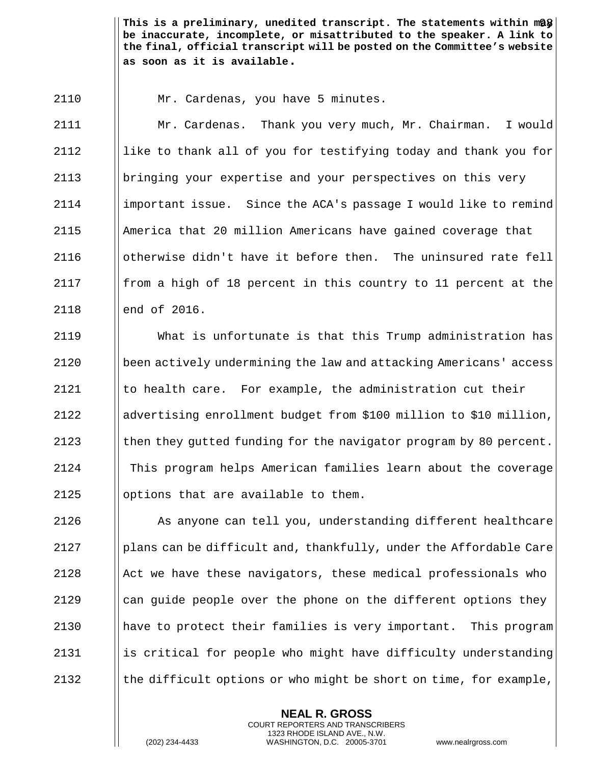This is a preliminary, unedited transcript. The statements within m**a**y | **be inaccurate, incomplete, or misattributed to the speaker. A link to the final, official transcript will be posted on the Committee's website as soon as it is available.**

Mr. Cardenas, you have 5 minutes.

 Mr. Cardenas. Thank you very much, Mr. Chairman. I would || like to thank all of you for testifying today and thank you for bringing your expertise and your perspectives on this very important issue. Since the ACA's passage I would like to remind America that 20 million Americans have gained coverage that otherwise didn't have it before then. The uninsured rate fell **follow** figh of 18 percent in this country to 11 percent at the **lend of 2016.** 

 What is unfortunate is that this Trump administration has been actively undermining the law and attacking Americans' access  $\parallel$  to health care. For example, the administration cut their advertising enrollment budget from \$100 million to \$10 million,  $\parallel$  then they gutted funding for the navigator program by 80 percent. This program helps American families learn about the coverage  $\parallel$  options that are available to them.

 As anyone can tell you, understanding different healthcare **plans can be difficult and, thankfully, under the Affordable Care**  || Act we have these navigators, these medical professionals who || can guide people over the phone on the different options they have to protect their families is very important. This program || is critical for people who might have difficulty understanding  $\|\theta\|$  the difficult options or who might be short on time, for example,

> **NEAL R. GROSS** COURT REPORTERS AND TRANSCRIBERS 1323 RHODE ISLAND AVE., N.W.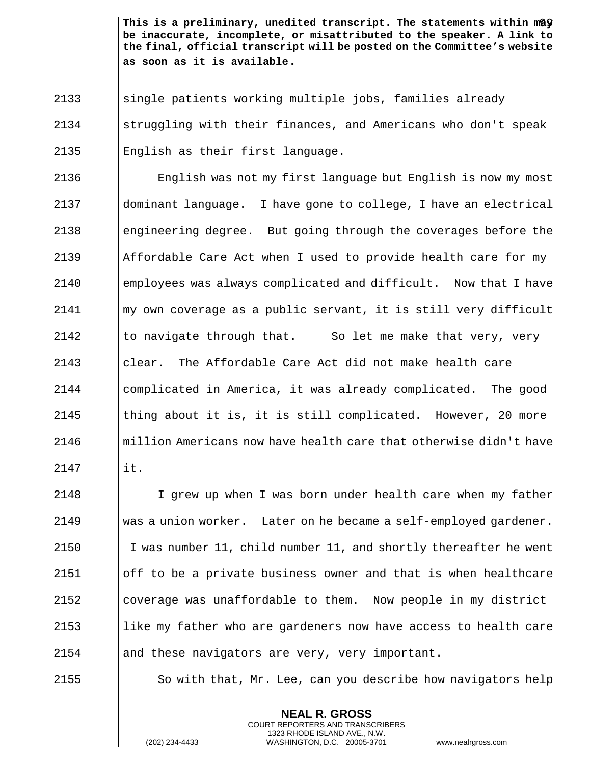This is a preliminary, unedited transcript. The statements within m@ $\mathbf{\hat{y}}\big|\,$ **be inaccurate, incomplete, or misattributed to the speaker. A link to the final, official transcript will be posted on the Committee's website as soon as it is available.**

2133 Solutions is attients working multiple jobs, families already 2134 struggling with their finances, and Americans who don't speak 2135 English as their first language.

 English was not my first language but English is now my most dominant language. I have gone to college, I have an electrical 2138 engineering degree. But going through the coverages before the  $\parallel$  Affordable Care Act when I used to provide health care for my employees was always complicated and difficult. Now that I have  $\parallel$  my own coverage as a public servant, it is still very difficult  $\parallel$  to navigate through that. So let me make that very, very clear. The Affordable Care Act did not make health care complicated in America, it was already complicated. The good  $\parallel$  thing about it is, it is still complicated. However, 20 more million Americans now have health care that otherwise didn't have  $\parallel$  it.

 I grew up when I was born under health care when my father 2149 Was a union worker. Later on he became a self-employed gardener. 2150 I I was number 11, child number 11, and shortly thereafter he went  $\|\$ off to be a private business owner and that is when healthcare  $\Box$  coverage was unaffordable to them. Now people in my district || like my father who are gardeners now have access to health care || and these navigators are very, very important.

2155  $\parallel$  So with that, Mr. Lee, can you describe how navigators help

**NEAL R. GROSS** COURT REPORTERS AND TRANSCRIBERS 1323 RHODE ISLAND AVE., N.W.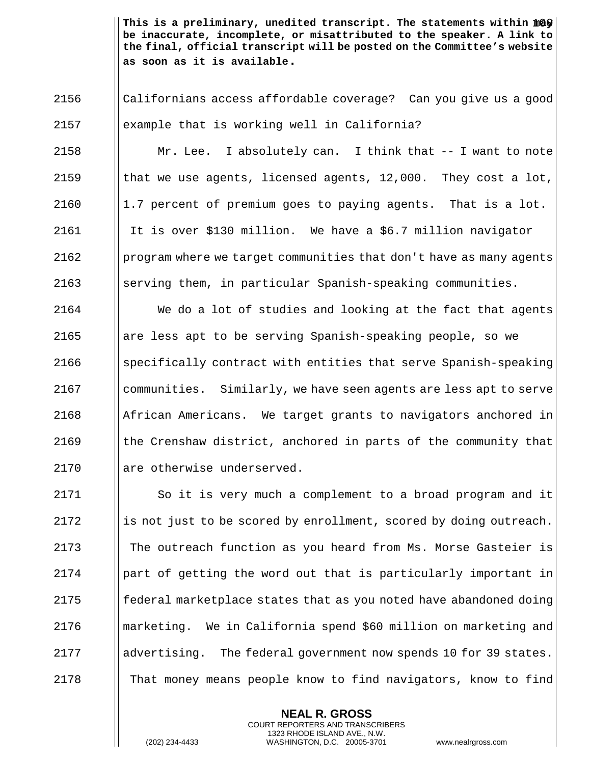This is a preliminary, unedited transcript. The statements within  $\mathtt{mQ}$ **be inaccurate, incomplete, or misattributed to the speaker. A link to the final, official transcript will be posted on the Committee's website as soon as it is available.**

2156 Californians access affordable coverage? Can you give us a good  $2157$  | example that is working well in California?

 Mr. Lee. I absolutely can. I think that -- I want to note  $\parallel$  that we use agents, licensed agents, 12,000. They cost a lot, | 1.7 percent of premium goes to paying agents. That is a lot.  $\parallel$  It is over \$130 million. We have a \$6.7 million navigator **program where we target communities that don't have as many agents** Serving them, in particular Spanish-speaking communities.

  $\parallel$  We do a lot of studies and looking at the fact that agents 2165 are less apt to be serving Spanish-speaking people, so we  $\Box$  specifically contract with entities that serve Spanish-speaking communities. Similarly, we have seen agents are less apt to serve | African Americans. We target grants to navigators anchored in  $\parallel$  the Crenshaw district, anchored in parts of the community that 2170 I are otherwise underserved.

2171 | So it is very much a complement to a broad program and it  $\parallel$  is not just to be scored by enrollment, scored by doing outreach. The outreach function as you heard from Ms. Morse Gasteier is | part of getting the word out that is particularly important in || federal marketplace states that as you noted have abandoned doing marketing. We in California spend \$60 million on marketing and 2177 advertising. The federal government now spends 10 for 39 states. That money means people know to find navigators, know to find

> **NEAL R. GROSS** COURT REPORTERS AND TRANSCRIBERS 1323 RHODE ISLAND AVE., N.W.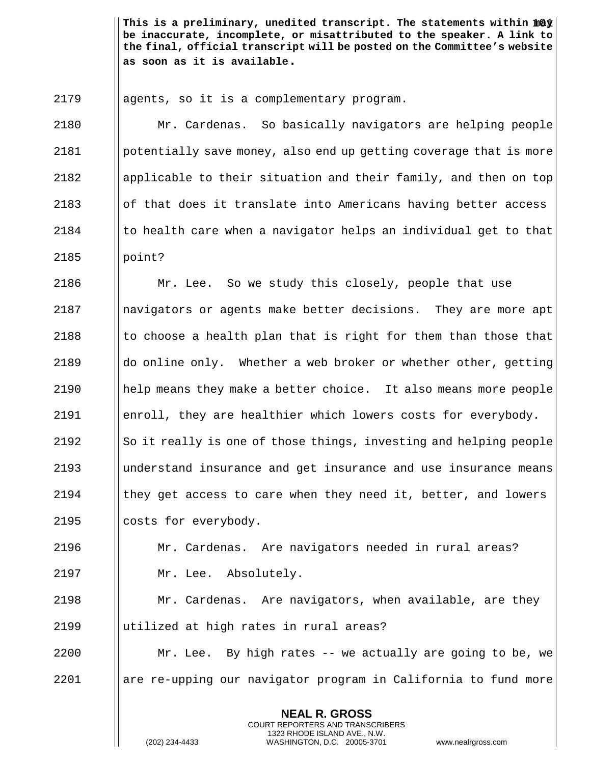This is a preliminary, unedited transcript. The statements within  $\mathtt{mQy} \big\vert$ **be inaccurate, incomplete, or misattributed to the speaker. A link to the final, official transcript will be posted on the Committee's website as soon as it is available.**

2179 agents, so it is a complementary program.

 Mr. Cardenas. So basically navigators are helping people potentially save money, also end up getting coverage that is more applicable to their situation and their family, and then on top || of that does it translate into Americans having better access I to health care when a navigator helps an individual get to that  $2185$  | point?

2186 | Mr. Lee. So we study this closely, people that use navigators or agents make better decisions. They are more apt  $\parallel$  to choose a health plan that is right for them than those that  $\parallel$  do online only. Whether a web broker or whether other, getting help means they make a better choice. It also means more people enroll, they are healthier which lowers costs for everybody.  $\|\$ So it really is one of those things, investing and helping people understand insurance and get insurance and use insurance means  $\parallel$  they get access to care when they need it, better, and lowers | costs for everybody.

2196 Mr. Cardenas. Are navigators needed in rural areas? 2197 | Mr. Lee. Absolutely.

2198 Mr. Cardenas. Are navigators, when available, are they 2199 utilized at high rates in rural areas?

2200 | Mr. Lee. By high rates -- we actually are going to be, we 2201 are re-upping our navigator program in California to fund more

> **NEAL R. GROSS** COURT REPORTERS AND TRANSCRIBERS 1323 RHODE ISLAND AVE., N.W.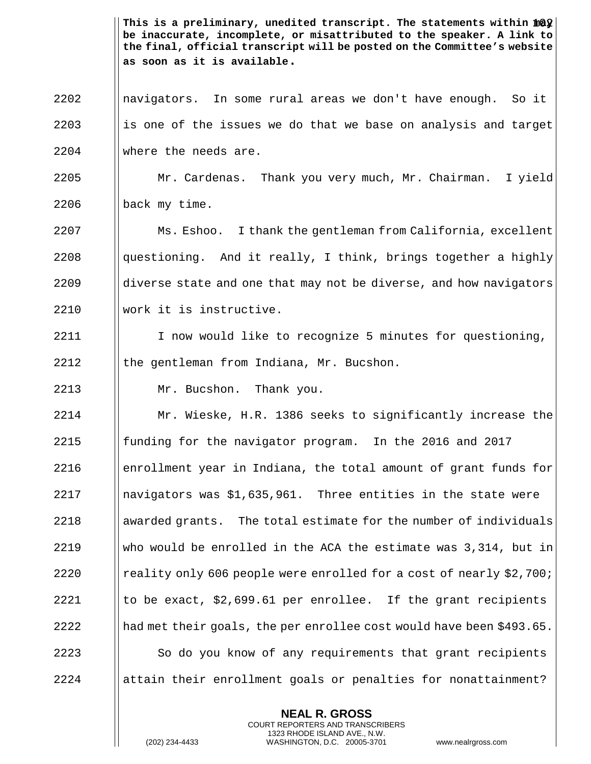This is a preliminary, unedited transcript. The statements within  $\mathtt{mQ}$ **be inaccurate, incomplete, or misattributed to the speaker. A link to the final, official transcript will be posted on the Committee's website as soon as it is available.**

2202 navigators. In some rural areas we don't have enough. So it  $2203$  is one of the issues we do that we base on analysis and target 2204 where the needs are.

2205 Mr. Cardenas. Thank you very much, Mr. Chairman. I yield  $2206$  | back my time.

 Ms. Eshoo. I thank the gentleman from California, excellent  $\parallel$  questioning. And it really, I think, brings together a highly ||diverse state and one that may not be diverse, and how navigators work it is instructive.

2211 | I now would like to recognize 5 minutes for questioning, 2212  $\parallel$  the gentleman from Indiana, Mr. Bucshon.

2213 Mr. Bucshon. Thank you.

 Mr. Wieske, H.R. 1386 seeks to significantly increase the  $\parallel$  funding for the navigator program. In the 2016 and 2017  $\blacksquare$  enrollment year in Indiana, the total amount of grant funds for  $\blacksquare$  navigators was \$1,635,961. Three entities in the state were awarded grants. The total estimate for the number of individuals  $\parallel$  who would be enrolled in the ACA the estimate was 3,314, but in **reality only 606 people were enrolled for a cost of nearly \$2,700;**  $\parallel$  to be exact, \$2,699.61 per enrollee. If the grant recipients  $\parallel$  had met their goals, the per enrollee cost would have been \$493.65. 2223 | So do you know of any requirements that grant recipients ||attain their enrollment goals or penalties for nonattainment?

> **NEAL R. GROSS** COURT REPORTERS AND TRANSCRIBERS 1323 RHODE ISLAND AVE., N.W.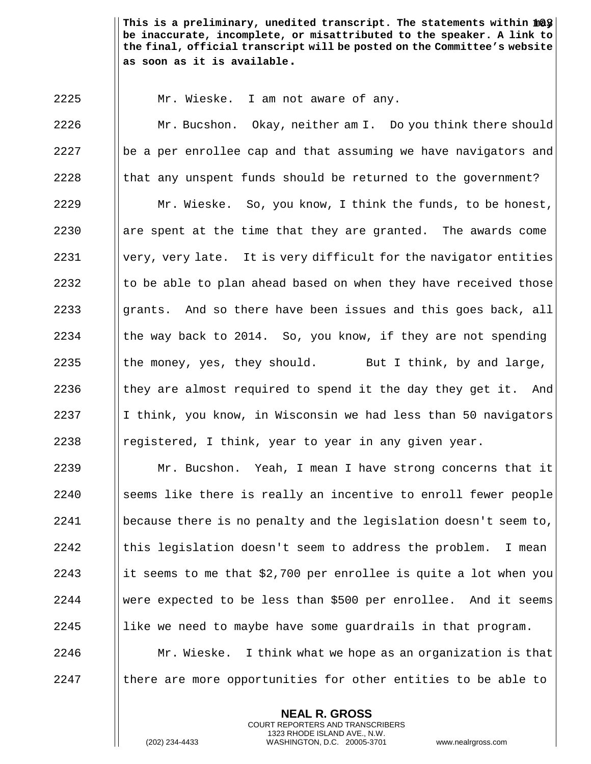This is a preliminary, unedited transcript. The statements within  $\mathtt{mQy} \big\vert$ **be inaccurate, incomplete, or misattributed to the speaker. A link to the final, official transcript will be posted on the Committee's website as soon as it is available.**

2225 | Mr. Wieske. I am not aware of any.

**Mr. Bucshon.** Okay, neither am I. Do you think there should || be a per enrollee cap and that assuming we have navigators and || that any unspent funds should be returned to the government? Mr. Wieske. So, you know, I think the funds, to be honest, **are spent at the time that they are granted.** The awards come |very, very late. It is very difficult for the navigator entities  $\parallel$  to be able to plan ahead based on when they have received those 2233 grants. And so there have been issues and this goes back, all  $\parallel$  the way back to 2014. So, you know, if they are not spending  $\parallel$  the money, yes, they should. But I think, by and large,  $\parallel$  they are almost required to spend it the day they get it. And  $\parallel$  I think, you know, in Wisconsin we had less than 50 navigators **e** registered, I think, year to year in any given year.

 $\parallel$  Mr. Bucshon. Yeah, I mean I have strong concerns that it 2240 Seems like there is really an incentive to enroll fewer people **because there is no penalty and the legislation doesn't seem to,**  ||this legislation doesn't seem to address the problem. I mean 2243 it seems to me that  $$2,700$  per enrollee is quite a lot when you were expected to be less than \$500 per enrollee. And it seems || like we need to maybe have some guardrails in that program.  $\parallel$  Mr. Wieske. I think what we hope as an organization is that | there are more opportunities for other entities to be able to

> **NEAL R. GROSS** COURT REPORTERS AND TRANSCRIBERS 1323 RHODE ISLAND AVE., N.W.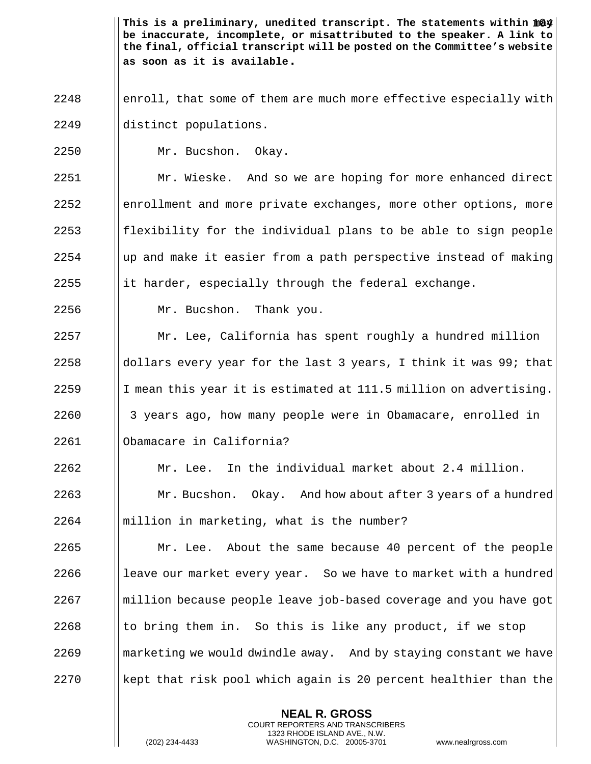This is a preliminary, unedited transcript. The statements within  $\mathtt{mQ4} \big\vert$ **be inaccurate, incomplete, or misattributed to the speaker. A link to the final, official transcript will be posted on the Committee's website as soon as it is available.**

- 2248 enroll, that some of them are much more effective especially with 2249 distinct populations.
- 2250 | Mr. Bucshon. Okay.

 Mr. Wieske. And so we are hoping for more enhanced direct 2252 enrollment and more private exchanges, more other options, more **follog fluming 1253** flexibility for the individual plans to be able to sign people  $\parallel$  up and make it easier from a path perspective instead of making  $\parallel$  it harder, especially through the federal exchange.

2256 Mr. Bucshon. Thank you.

 Mr. Lee, California has spent roughly a hundred million  $\Box$  dollars every year for the last 3 years, I think it was 99; that 2259 If mean this year it is estimated at 111.5 million on advertising. 3 years ago, how many people were in Obamacare, enrolled in Obamacare in California?

2262  $\parallel$  Mr. Lee. In the individual market about 2.4 million. 2263 **Mr. Bucshon.** Okay. And how about after 3 years of a hundred  $2264$  | million in marketing, what is the number?

**Mr.** Lee. About the same because 40 percent of the people 2266 |  $\parallel$  leave our market every year. So we have to market with a hundred million because people leave job-based coverage and you have got  $\parallel$  to bring them in. So this is like any product, if we stop || marketing we would dwindle away. And by staying constant we have kept that risk pool which again is 20 percent healthier than the

> **NEAL R. GROSS** COURT REPORTERS AND TRANSCRIBERS 1323 RHODE ISLAND AVE., N.W.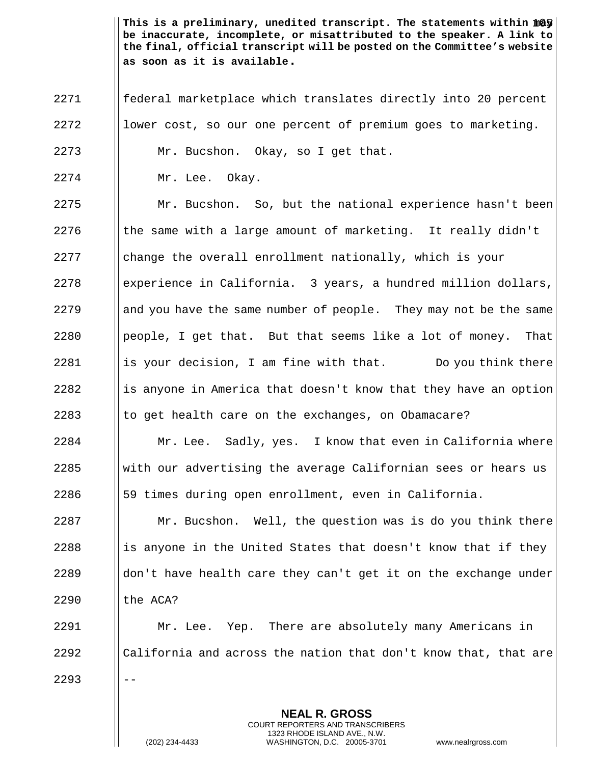This is a preliminary, unedited transcript. The statements within  $\mathtt{mQy} \big\vert$ **be inaccurate, incomplete, or misattributed to the speaker. A link to the final, official transcript will be posted on the Committee's website as soon as it is available.**

 federal marketplace which translates directly into 20 percent || lower cost, so our one percent of premium goes to marketing.

Mr. Bucshon. Okay, so I get that.

Mr. Lee. Okay.

2275 | Mr. Bucshon. So, but the national experience hasn't been  $\parallel$  the same with a large amount of marketing. It really didn't change the overall enrollment nationally, which is your experience in California. 3 years, a hundred million dollars, 2279 and you have the same number of people. They may not be the same || people, I get that. But that seems like a lot of money. That  $\parallel$  is your decision, I am fine with that. Do you think there 2282 is anyone in America that doesn't know that they have an option  $\parallel$  to get health care on the exchanges, on Obamacare?

 | Mr. Lee. Sadly, yes. I know that even in California where With our advertising the average Californian sees or hears us 59 times during open enrollment, even in California.

  $\parallel$  Mr. Bucshon. Well, the question was is do you think there 2288 is anyone in the United States that doesn't know that if they  $\parallel$  don't have health care they can't get it on the exchange under | the ACA?

 Mr. Lee. Yep. There are absolutely many Americans in  $\Box$  California and across the nation that don't know that, that are  $|| - -$ 

> **NEAL R. GROSS** COURT REPORTERS AND TRANSCRIBERS 1323 RHODE ISLAND AVE., N.W.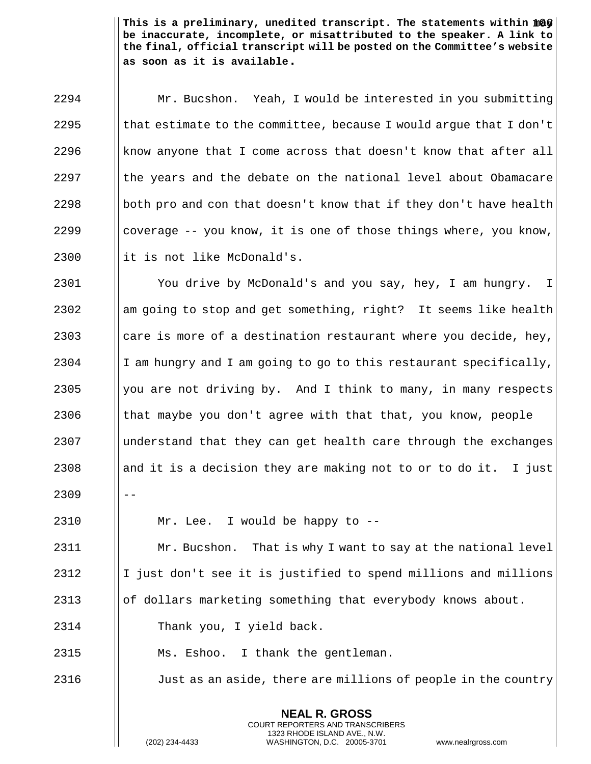This is a preliminary, unedited transcript. The statements within  $\mathtt{mQF} \big\vert$ **be inaccurate, incomplete, or misattributed to the speaker. A link to the final, official transcript will be posted on the Committee's website as soon as it is available.**

 Mr. Bucshon. Yeah, I would be interested in you submitting  $\parallel$  that estimate to the committee, because I would argue that I don't  $\parallel$  know anyone that I come across that doesn't know that after all I the years and the debate on the national level about Obamacare  $\vert\vert$  both pro and con that doesn't know that if they don't have health  $\parallel$  coverage -- you know, it is one of those things where, you know, || it is not like McDonald's.

2301 | You drive by McDonald's and you say, hey, I am hungry. I  $2302$  am going to stop and get something, right? It seems like health 2303  $\parallel$  care is more of a destination restaurant where you decide, hey, 2304 I I am hungry and I am going to go to this restaurant specifically, 2305  $\parallel$  you are not driving by. And I think to many, in many respects 2306  $\parallel$  that maybe you don't agree with that that, you know, people 2307 understand that they can get health care through the exchanges 2308 and it is a decision they are making not to or to do it. I just  $2309$   $|| - -$ 

2310 Mr. Lee. I would be happy to --

2311 | Mr. Bucshon. That is why I want to say at the national level  $2312$  | I just don't see it is justified to spend millions and millions 2313 **oraby 1** of dollars marketing something that everybody knows about.

2314 Thank you, I yield back.

2315 Ms. Eshoo. I thank the gentleman.

2316 **Just as an aside, there are millions of people in the country** 

**NEAL R. GROSS** COURT REPORTERS AND TRANSCRIBERS 1323 RHODE ISLAND AVE., N.W.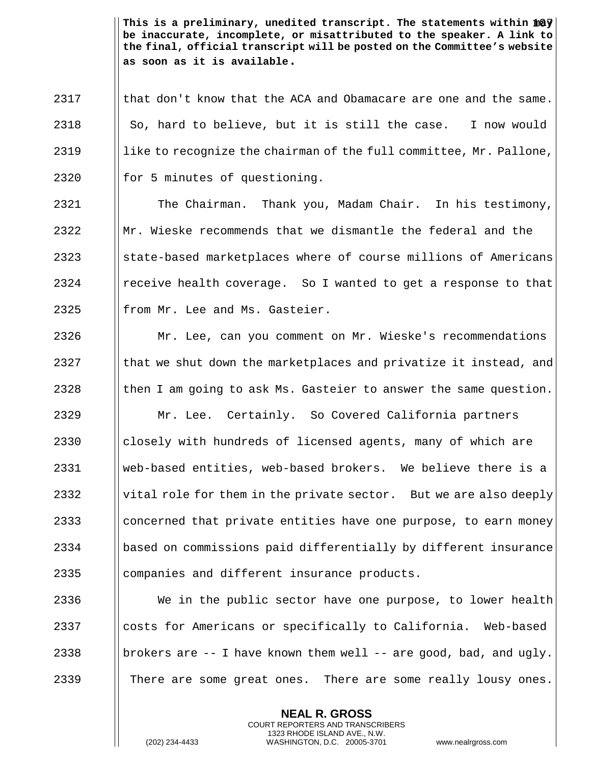This is a preliminary, unedited transcript. The statements within  $\mathtt{mQy} \big\vert$ **be inaccurate, incomplete, or misattributed to the speaker. A link to the final, official transcript will be posted on the Committee's website as soon as it is available.**

 I that don't know that the ACA and Obamacare are one and the same. | So, hard to believe, but it is still the case. I now would 2319 Ilike to recognize the chairman of the full committee, Mr. Pallone, || for 5 minutes of questioning.

2321 | The Chairman. Thank you, Madam Chair. In his testimony,  $2322$  Mr. Wieske recommends that we dismantle the federal and the 2323 State-based marketplaces where of course millions of Americans 2324 **e** receive health coverage. So I wanted to get a response to that  $2325$  || from Mr. Lee and Ms. Gasteier.

2326 Mr. Lee, can you comment on Mr. Wieske's recommendations 2327  $\parallel$  that we shut down the marketplaces and privatize it instead, and 2328  $\parallel$  then I am going to ask Ms. Gasteier to answer the same question.

 Mr. Lee. Certainly. So Covered California partners  $\Box$  closely with hundreds of licensed agents, many of which are web-based entities, web-based brokers. We believe there is a 2332 Vital role for them in the private sector. But we are also deeply  $\Box$  concerned that private entities have one purpose, to earn money based on commissions paid differentially by different insurance || companies and different insurance products.

2336  $\parallel$  We in the public sector have one purpose, to lower health 2337  $\Box$  costs for Americans or specifically to California. Web-based 2338 brokers are  $-$ - I have known them well  $-$ - are good, bad, and ugly. 2339 | There are some great ones. There are some really lousy ones.

> **NEAL R. GROSS** COURT REPORTERS AND TRANSCRIBERS 1323 RHODE ISLAND AVE., N.W.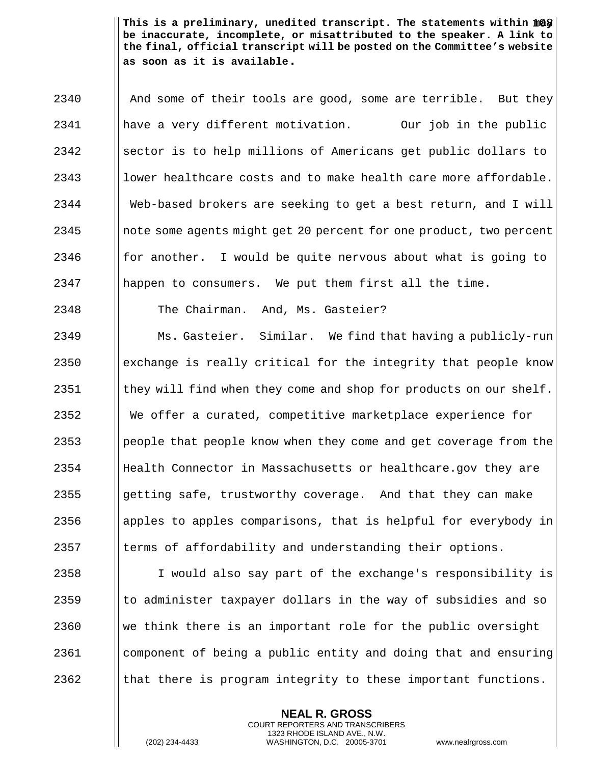This is a preliminary, unedited transcript. The statements within  $\mathtt{mQ\$}\big\vert$ **be inaccurate, incomplete, or misattributed to the speaker. A link to the final, official transcript will be posted on the Committee's website as soon as it is available.**

2340 | And some of their tools are good, some are terrible. But they have a very different motivation. Our job in the public ||sector is to help millions of Americans get public dollars to 2343 lower healthcare costs and to make health care more affordable. Web-based brokers are seeking to get a best return, and I will note some agents might get 20 percent for one product, two percent  $\parallel$  for another. I would be quite nervous about what is going to happen to consumers. We put them first all the time.

2348 The Chairman. And, Ms. Gasteier?

2349 | Ms. Gasteier. Similar. We find that having a publicly-run  $\parallel$  exchange is really critical for the integrity that people know  $\parallel$  they will find when they come and shop for products on our shelf. We offer a curated, competitive marketplace experience for **people that people know when they come and get coverage from the**  Health Connector in Massachusetts or healthcare.gov they are 2355 getting safe, trustworthy coverage. And that they can make 2356 apples to apples comparisons, that is helpful for everybody in I terms of affordability and understanding their options.

2358 I I would also say part of the exchange's responsibility is to administer taxpayer dollars in the way of subsidies and so  $\parallel$  we think there is an important role for the public oversight component of being a public entity and doing that and ensuring  $\parallel$  that there is program integrity to these important functions.

> **NEAL R. GROSS** COURT REPORTERS AND TRANSCRIBERS 1323 RHODE ISLAND AVE., N.W.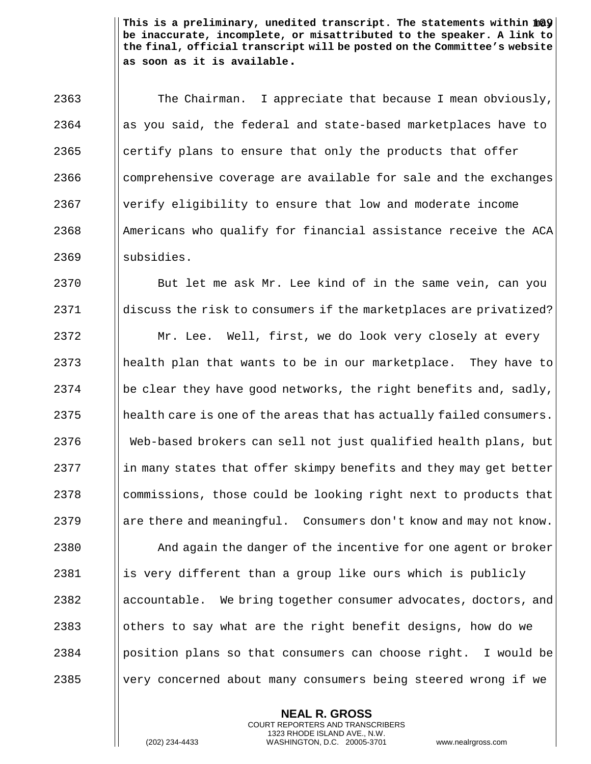This is a preliminary, unedited transcript. The statements within  $\mathtt{mQY} \big\vert$ **be inaccurate, incomplete, or misattributed to the speaker. A link to the final, official transcript will be posted on the Committee's website as soon as it is available.**

2363 The Chairman. I appreciate that because I mean obviously, as you said, the federal and state-based marketplaces have to || certify plans to ensure that only the products that offer 2366 I comprehensive coverage are available for sale and the exchanges verify eligibility to ensure that low and moderate income || Americans who qualify for financial assistance receive the ACA  $\blacksquare$  subsidies.

2370 | But let me ask Mr. Lee kind of in the same vein, can you 2371 discuss the risk to consumers if the marketplaces are privatized?

2372 | Mr. Lee. Well, first, we do look very closely at every health plan that wants to be in our marketplace. They have to 2374 be clear they have good networks, the right benefits and, sadly, || health care is one of the areas that has actually failed consumers. Web-based brokers can sell not just qualified health plans, but in many states that offer skimpy benefits and they may get better 2378 commissions, those could be looking right next to products that **are there and meaningful.** Consumers don't know and may not know.

**And again the danger of the incentive for one agent or broker**  || is very different than a group like ours which is publicly 2382 accountable. We bring together consumer advocates, doctors, and  $\Box$  others to say what are the right benefit designs, how do we | position plans so that consumers can choose right. I would be 2385 Very concerned about many consumers being steered wrong if we

> **NEAL R. GROSS** COURT REPORTERS AND TRANSCRIBERS 1323 RHODE ISLAND AVE., N.W.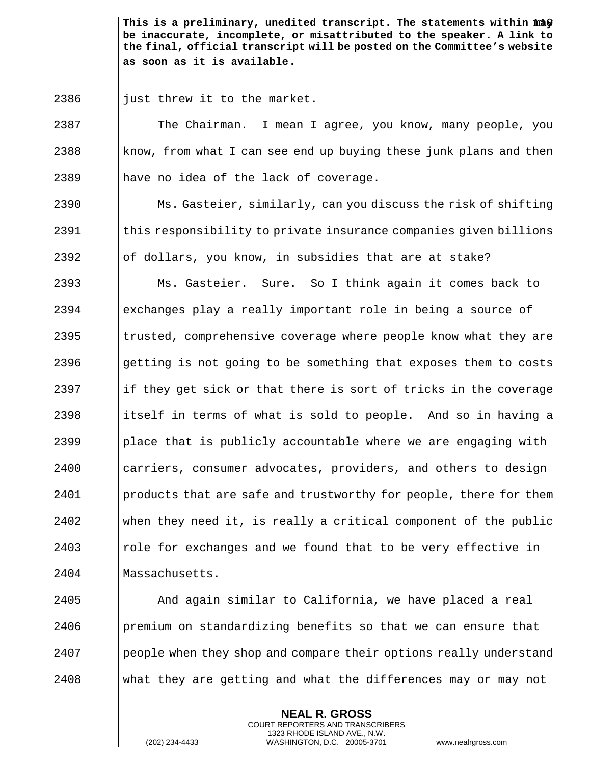This is a preliminary, unedited transcript. The statements within  $\| \mathtt{m} \mathtt{b} \mathbf{\hat{y}} \|$ **be inaccurate, incomplete, or misattributed to the speaker. A link to the final, official transcript will be posted on the Committee's website as soon as it is available.**

 $2386$  || just threw it to the market.

2387 The Chairman. I mean I agree, you know, many people, you 2388 know, from what I can see end up buying these junk plans and then  $2389$  || have no idea of the lack of coverage.

2390 Ms. Gasteier, similarly, can you discuss the risk of shifting 2391 | this responsibility to private insurance companies given billions  $2392$  || of dollars, you know, in subsidies that are at stake?

2393 Ms. Gasteier. Sure. So I think again it comes back to 2394 exchanges play a really important role in being a source of  $2395$  ||trusted, comprehensive coverage where people know what they are 2396 getting is not going to be something that exposes them to costs 2397 if they get sick or that there is sort of tricks in the coverage 2398 in itself in terms of what is sold to people. And so in having a 2399  $\Box$  place that is publicly accountable where we are engaging with 2400 carriers, consumer advocates, providers, and others to design 2401 **products that are safe and trustworthy for people, there for them** 2402 When they need it, is really a critical component of the public 2403 **Follow** role for exchanges and we found that to be very effective in 2404 | Massachusetts.

 And again similar to California, we have placed a real | premium on standardizing benefits so that we can ensure that 2407 People when they shop and compare their options really understand what they are getting and what the differences may or may not

> **NEAL R. GROSS** COURT REPORTERS AND TRANSCRIBERS 1323 RHODE ISLAND AVE., N.W.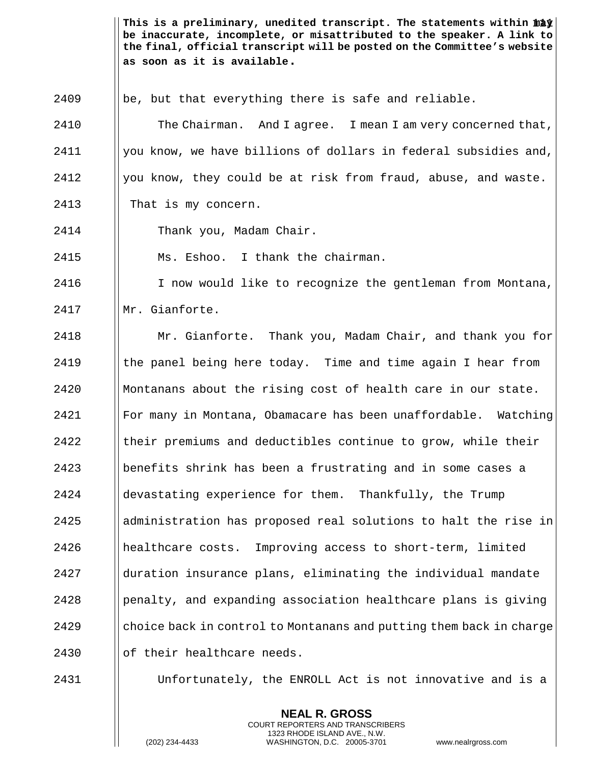This is a preliminary, unedited transcript. The statements within  $\mathtt{m\ddot a\dot y}$ **be inaccurate, incomplete, or misattributed to the speaker. A link to the final, official transcript will be posted on the Committee's website as soon as it is available.**

 $2409$  ||be, but that everything there is safe and reliable.

**The Chairman.** And I agree. I mean I am very concerned that, | you know, we have billions of dollars in federal subsidies and, | you know, they could be at risk from fraud, abuse, and waste. 2413 | That is my concern.

2414 Thank you, Madam Chair.

2415 Ms. Eshoo. I thank the chairman.

2416 | I now would like to recognize the gentleman from Montana, 2417 HMr. Gianforte.

 Mr. Gianforte. Thank you, Madam Chair, and thank you for  $\parallel$  the panel being here today. Time and time again I hear from Montanans about the rising cost of health care in our state. For many in Montana, Obamacare has been unaffordable. Watching Itheir premiums and deductibles continue to grow, while their benefits shrink has been a frustrating and in some cases a devastating experience for them. Thankfully, the Trump  $\parallel$  administration has proposed real solutions to halt the rise in healthcare costs. Improving access to short-term, limited duration insurance plans, eliminating the individual mandate | penalty, and expanding association healthcare plans is giving 2429 choice back in control to Montanans and putting them back in charge || of their healthcare needs.

2431 Unfortunately, the ENROLL Act is not innovative and is a

**NEAL R. GROSS** COURT REPORTERS AND TRANSCRIBERS 1323 RHODE ISLAND AVE., N.W.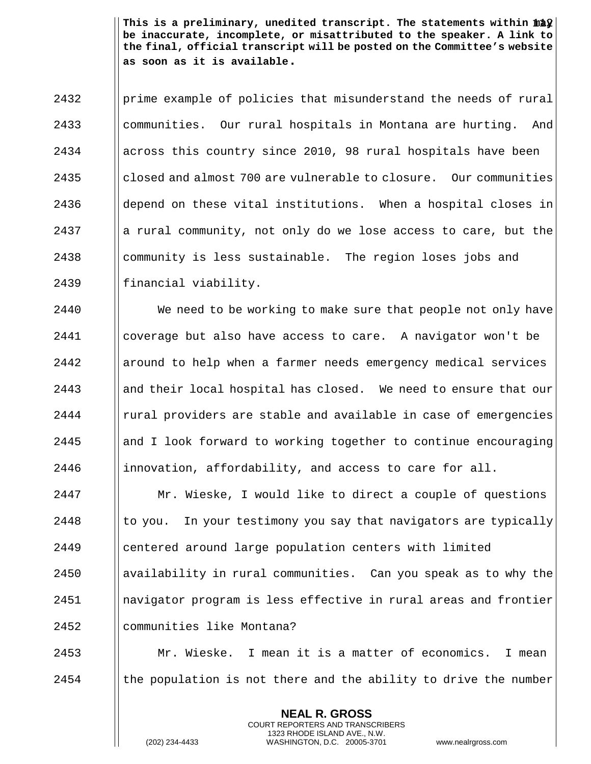This is a preliminary, unedited transcript. The statements within  $\mathtt{m\ddot a\hat y}$ **be inaccurate, incomplete, or misattributed to the speaker. A link to the final, official transcript will be posted on the Committee's website as soon as it is available.**

 $2432$  | prime example of policies that misunderstand the needs of rural 2433 communities. Our rural hospitals in Montana are hurting. And 2434 across this country since 2010, 98 rural hospitals have been 2435 closed and almost 700 are vulnerable to closure. Our communities  $2436$  ||depend on these vital institutions. When a hospital closes in 2437 a rural community, not only do we lose access to care, but the  $2438$  || community is less sustainable. The region loses jobs and 2439 || financial viability.

2440 We need to be working to make sure that people not only have coverage but also have access to care. A navigator won't be around to help when a farmer needs emergency medical services 2443 and their local hospital has closed. We need to ensure that our | rural providers are stable and available in case of emergencies  $\parallel$  and I look forward to working together to continue encouraging **innovation, affordability, and access to care for all.** 

**Mr. Wieske, I would like to direct a couple of questions**  to you. In your testimony you say that navigators are typically centered around large population centers with limited | availability in rural communities. Can you speak as to why the navigator program is less effective in rural areas and frontier communities like Montana?

2453 Mr. Wieske. I mean it is a matter of economics. I mean 2454  $\parallel$  the population is not there and the ability to drive the number

> **NEAL R. GROSS** COURT REPORTERS AND TRANSCRIBERS 1323 RHODE ISLAND AVE., N.W.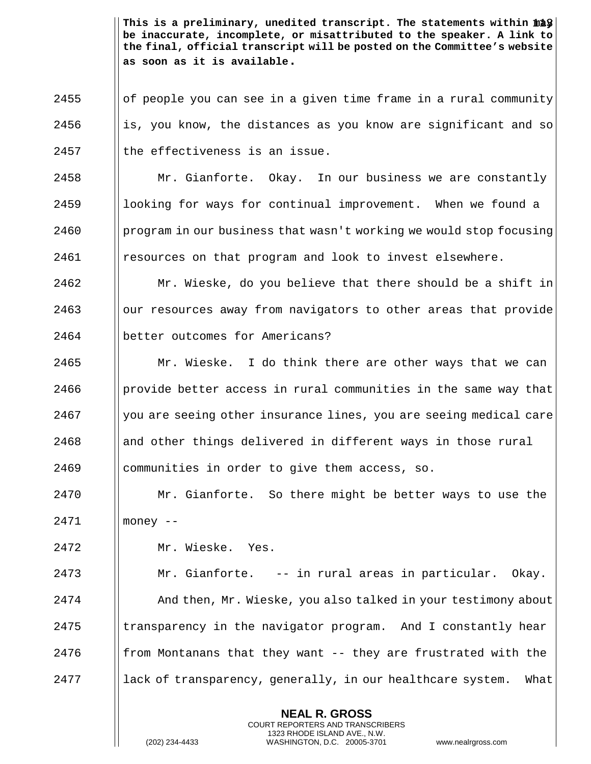This is a preliminary, unedited transcript. The statements within  $\mathtt{m\ddot a\hat y}$ **be inaccurate, incomplete, or misattributed to the speaker. A link to the final, official transcript will be posted on the Committee's website as soon as it is available.**

 || of people you can see in a given time frame in a rural community ||is, you know, the distances as you know are significant and so || the effectiveness is an issue.

 Mr. Gianforte. Okay. In our business we are constantly **let** looking for ways for continual improvement. When we found a 2460 program in our business that wasn't working we would stop focusing resources on that program and look to invest elsewhere.

 | Mr. Wieske, do you believe that there should be a shift in || our resources away from navigators to other areas that provide **better** outcomes for Americans?

  $\parallel$  Mr. Wieske. I do think there are other ways that we can | provide better access in rural communities in the same way that | you are seeing other insurance lines, you are seeing medical care and other things delivered in different ways in those rural communities in order to give them access, so.

 Mr. Gianforte. So there might be better ways to use the money --

Mr. Wieske. Yes.

 Mr. Gianforte. -- in rural areas in particular. Okay. **And then, Mr. Wieske, you also talked in your testimony about**  | transparency in the navigator program. And I constantly hear **follom** Montanans that they want  $-$  they are frustrated with the || lack of transparency, generally, in our healthcare system. What

> **NEAL R. GROSS** COURT REPORTERS AND TRANSCRIBERS 1323 RHODE ISLAND AVE., N.W.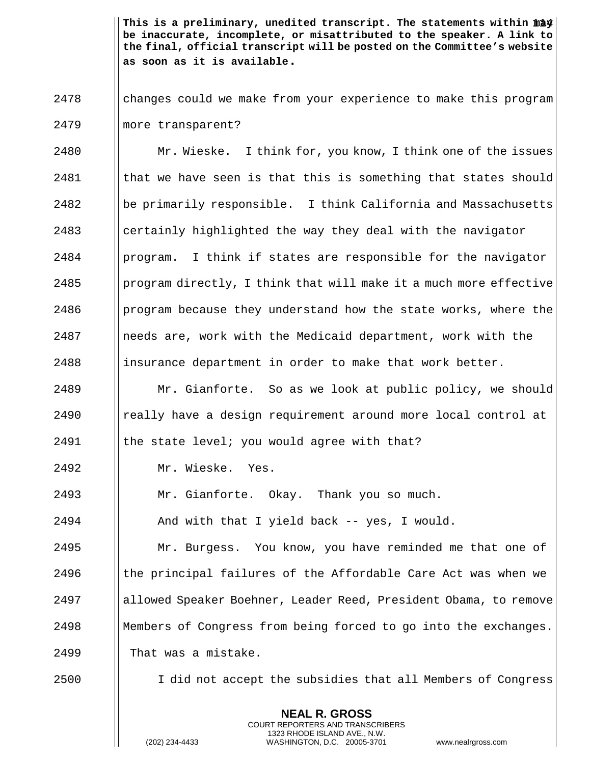This is a preliminary, unedited transcript. The statements within  $\mathtt{m\ddot a\dot y}$ **be inaccurate, incomplete, or misattributed to the speaker. A link to the final, official transcript will be posted on the Committee's website as soon as it is available.**

2478 changes could we make from your experience to make this program 2479 more transparent?

**Mr. Wieske.** I think for, you know, I think one of the issues I that we have seen is that this is something that states should || be primarily responsible. I think California and Massachusetts || certainly highlighted the way they deal with the navigator | program. I think if states are responsible for the navigator **program directly, I think that will make it a much more effective program because they understand how the state works, where the**  | needs are, work with the Medicaid department, work with the 2488 insurance department in order to make that work better.

2489 **Mr.** Gianforte. So as we look at public policy, we should  $2490$  | really have a design requirement around more local control at 2491  $\parallel$  the state level; you would agree with that?

2492 Mr. Wieske. Yes.

2493 Mr. Gianforte. Okay. Thank you so much.

2494  $\parallel$  And with that I yield back -- yes, I would.

**Mr. Burgess.** You know, you have reminded me that one of || the principal failures of the Affordable Care Act was when we allowed Speaker Boehner, Leader Reed, President Obama, to remove Members of Congress from being forced to go into the exchanges. 2499 | That was a mistake.

2500 | I did not accept the subsidies that all Members of Congress

**NEAL R. GROSS** COURT REPORTERS AND TRANSCRIBERS 1323 RHODE ISLAND AVE., N.W.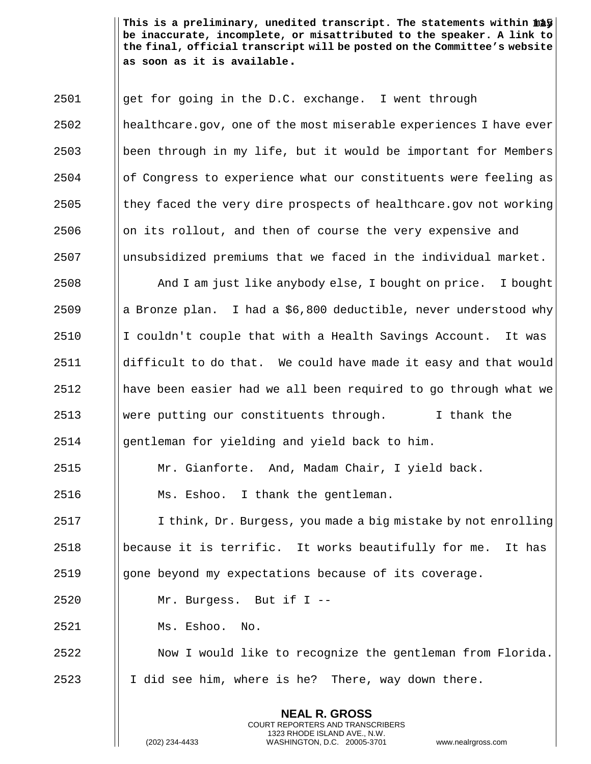This is a preliminary, unedited transcript. The statements within  $\mathtt{m\ddot a\ddot y}$ **be inaccurate, incomplete, or misattributed to the speaker. A link to the final, official transcript will be posted on the Committee's website as soon as it is available.**

 get for going in the D.C. exchange. I went through healthcare.gov, one of the most miserable experiences I have ever been through in my life, but it would be important for Members of Congress to experience what our constituents were feeling as || they faced the very dire prospects of healthcare.gov not working || on its rollout, and then of course the very expensive and unsubsidized premiums that we faced in the individual market. And I am just like anybody else, I bought on price. I bought 2509 a Bronze plan. I had a  $$6,800$  deductible, never understood why I couldn't couple that with a Health Savings Account. It was | difficult to do that. We could have made it easy and that would || have been easier had we all been required to go through what we were putting our constituents through. I thank the || gentleman for yielding and yield back to him. Mr. Gianforte. And, Madam Chair, I yield back. Ms. Eshoo. I thank the gentleman. 2517 I I think, Dr. Burgess, you made a big mistake by not enrolling  $\Box$  because it is terrific. It works beautifully for me. It has 2519 | gone beyond my expectations because of its coverage. Mr. Burgess. But if I --

Ms. Eshoo. No.

 Now I would like to recognize the gentleman from Florida. || I did see him, where is he? There, way down there.

> **NEAL R. GROSS** COURT REPORTERS AND TRANSCRIBERS 1323 RHODE ISLAND AVE., N.W.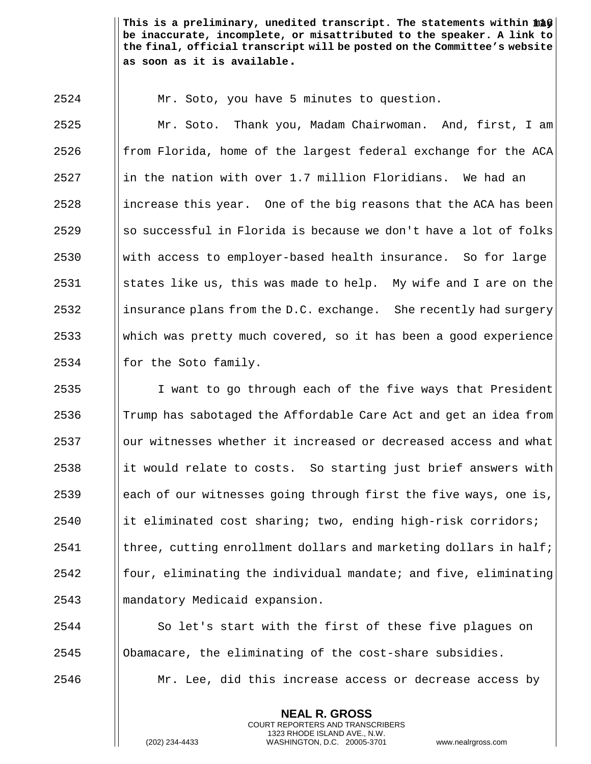This is a preliminary, unedited transcript. The statements within  $\mathtt{m\ddot a\ddot y}$ **be inaccurate, incomplete, or misattributed to the speaker. A link to the final, official transcript will be posted on the Committee's website as soon as it is available.**

Mr. Soto, you have 5 minutes to question.

 Mr. Soto. Thank you, Madam Chairwoman. And, first, I am || from Florida, home of the largest federal exchange for the ACA in the nation with over 1.7 million Floridians. We had an ||increase this year. One of the big reasons that the ACA has been ||so successful in Florida is because we don't have a lot of folks with access to employer-based health insurance. So for large 2531 States like us, this was made to help. My wife and I are on the **insurance plans from the D.C. exchange.** She recently had surgery which was pretty much covered, so it has been a good experience || for the Soto family.

 I want to go through each of the five ways that President  $\parallel$  Trump has sabotaged the Affordable Care Act and get an idea from **b** our witnesses whether it increased or decreased access and what it would relate to costs. So starting just brief answers with  $\Box$  each of our witnesses going through first the five ways, one is, it eliminated cost sharing; two, ending high-risk corridors; I three, cutting enrollment dollars and marketing dollars in half; | four, eliminating the individual mandate; and five, eliminating mandatory Medicaid expansion.

2544 | So let's start with the first of these five plagues on Obamacare, the eliminating of the cost-share subsidies.  $\parallel$  Mr. Lee, did this increase access or decrease access by

> **NEAL R. GROSS** COURT REPORTERS AND TRANSCRIBERS 1323 RHODE ISLAND AVE., N.W.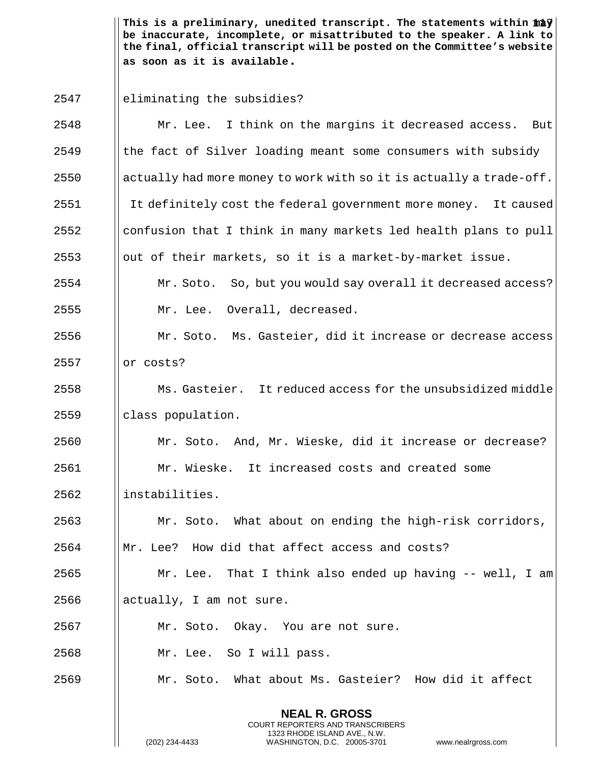This is a preliminary, unedited transcript. The statements within  $\mathtt{m\ddot{a}y} \big\vert$ **be inaccurate, incomplete, or misattributed to the speaker. A link to the final, official transcript will be posted on the Committee's website as soon as it is available.**

eliminating the subsidies?

| 2548 | Mr. Lee. I think on the margins it decreased access. But            |  |  |  |  |  |
|------|---------------------------------------------------------------------|--|--|--|--|--|
| 2549 | the fact of Silver loading meant some consumers with subsidy        |  |  |  |  |  |
| 2550 | actually had more money to work with so it is actually a trade-off. |  |  |  |  |  |
| 2551 | It definitely cost the federal government more money. It caused     |  |  |  |  |  |
| 2552 | confusion that I think in many markets led health plans to pull     |  |  |  |  |  |
| 2553 | out of their markets, so it is a market-by-market issue.            |  |  |  |  |  |
| 2554 | Mr. Soto. So, but you would say overall it decreased access?        |  |  |  |  |  |
| 2555 | Mr. Lee. Overall, decreased.                                        |  |  |  |  |  |
| 2556 | Mr. Soto. Ms. Gasteier, did it increase or decrease access          |  |  |  |  |  |
| 2557 | or costs?                                                           |  |  |  |  |  |
| 2558 | Ms. Gasteier. It reduced access for the unsubsidized middle         |  |  |  |  |  |
| 2559 | class population.                                                   |  |  |  |  |  |
| 2560 | Mr. Soto. And, Mr. Wieske, did it increase or decrease?             |  |  |  |  |  |
| 2561 | Mr. Wieske. It increased costs and created some                     |  |  |  |  |  |
| 2562 | instabilities.                                                      |  |  |  |  |  |
| 2563 | Mr. Soto. What about on ending the high-risk corridors,             |  |  |  |  |  |
| 2564 | Mr. Lee? How did that affect access and costs?                      |  |  |  |  |  |
| 2565 | Mr. Lee. That I think also ended up having $--$ well, I am          |  |  |  |  |  |
| 2566 | actually, I am not sure.                                            |  |  |  |  |  |
| 2567 | Mr. Soto. Okay. You are not sure.                                   |  |  |  |  |  |
| 2568 | Mr. Lee. So I will pass.                                            |  |  |  |  |  |
| 2569 | Mr. Soto. What about Ms. Gasteier? How did it affect                |  |  |  |  |  |
|      | <b>NEAL R. GROSS</b><br>COURT REPORTERS AND TRANSCRIBERS            |  |  |  |  |  |

1323 RHODE ISLAND AVE., N.W.

 $\parallel$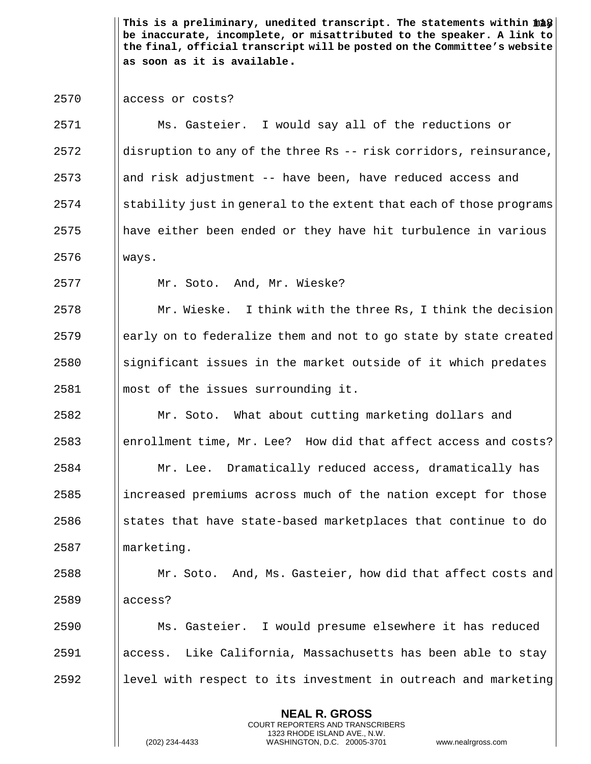This is a preliminary, unedited transcript. The statements within  $\mathtt{m\ddot a\hat y}$ **be inaccurate, incomplete, or misattributed to the speaker. A link to the final, official transcript will be posted on the Committee's website as soon as it is available.**

## 2570 | access or costs?

 Ms. Gasteier. I would say all of the reductions or ||disruption to any of the three Rs -- risk corridors, reinsurance, and risk adjustment -- have been, have reduced access and ||stability just in general to the extent that each of those programs || have either been ended or they have hit turbulence in various ways.

Mr. Soto. And, Mr. Wieske?

  $\parallel$  Mr. Wieske. I think with the three Rs, I think the decision | early on to federalize them and not to go state by state created Significant issues in the market outside of it which predates most of the issues surrounding it.

**Mr.** Soto. What about cutting marketing dollars and 2583 enrollment time, Mr. Lee? How did that affect access and costs? Mr. Lee. Dramatically reduced access, dramatically has ||increased premiums across much of the nation except for those states that have state-based marketplaces that continue to do 2587 | marketing.

 Mr. Soto. And, Ms. Gasteier, how did that affect costs and 2589 || access?

 Ms. Gasteier. I would presume elsewhere it has reduced access. Like California, Massachusetts has been able to stay level with respect to its investment in outreach and marketing

> **NEAL R. GROSS** COURT REPORTERS AND TRANSCRIBERS 1323 RHODE ISLAND AVE., N.W.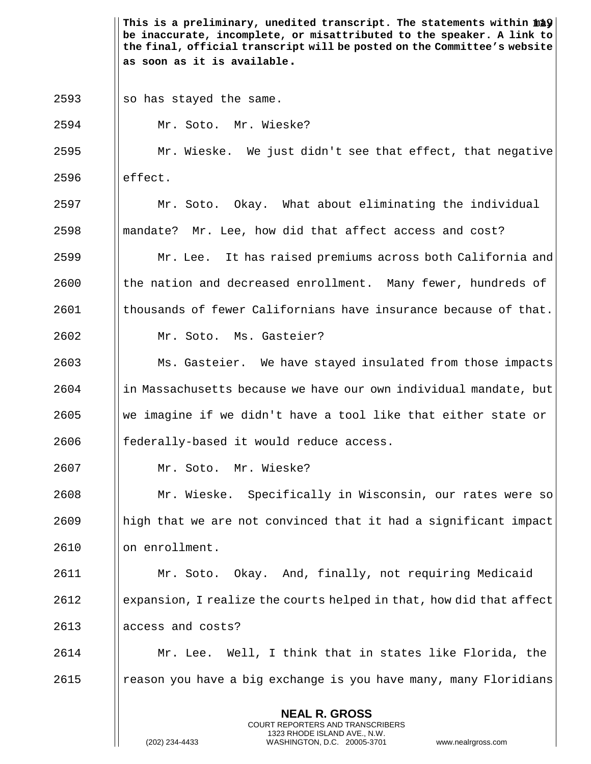This is a preliminary, unedited transcript. The statements within  $\mathtt{m\ddot{a}\hat{y}}|$ **be inaccurate, incomplete, or misattributed to the speaker. A link to the final, official transcript will be posted on the Committee's website as soon as it is available.** ||so has stayed the same. Mr. Soto. Mr. Wieske? Mr. Wieske. We just didn't see that effect, that negative  $\qquad$   $\qquad$  effect. Mr. Soto. Okay. What about eliminating the individual ||mandate? Mr. Lee, how did that affect access and cost? Mr. Lee. It has raised premiums across both California and **the nation and decreased enrollment.** Many fewer, hundreds of I thousands of fewer Californians have insurance because of that. Mr. Soto. Ms. Gasteier? Ms. Gasteier. We have stayed insulated from those impacts in Massachusetts because we have our own individual mandate, but  $\Box$  We imagine if we didn't have a tool like that either state or || federally-based it would reduce access. Mr. Soto. Mr. Wieske? Mr. Wieske. Specifically in Wisconsin, our rates were so || high that we are not convinced that it had a significant impact 2610 | on enrollment. Mr. Soto. Okay. And, finally, not requiring Medicaid expansion, I realize the courts helped in that, how did that affect 2613 || access and costs? Mr. Lee. Well, I think that in states like Florida, the | reason you have a big exchange is you have many, many Floridians

> **NEAL R. GROSS** COURT REPORTERS AND TRANSCRIBERS 1323 RHODE ISLAND AVE., N.W.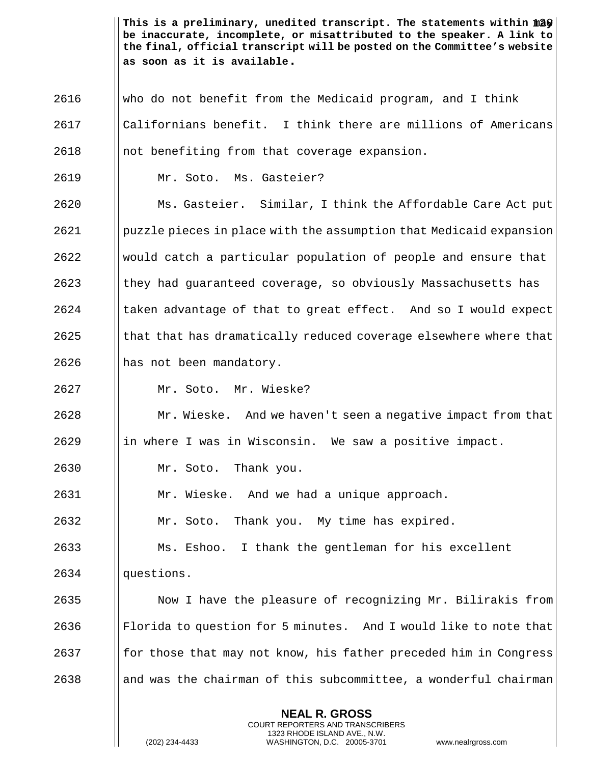This is a preliminary, unedited transcript. The statements within  $\|2\hat{y}\|$ **be inaccurate, incomplete, or misattributed to the speaker. A link to the final, official transcript will be posted on the Committee's website as soon as it is available.**

 who do not benefit from the Medicaid program, and I think Californians benefit. I think there are millions of Americans ||not benefiting from that coverage expansion. Mr. Soto. Ms. Gasteier?

 Ms. Gasteier. Similar, I think the Affordable Care Act put puzzle pieces in place with the assumption that Medicaid expansion would catch a particular population of people and ensure that they had guaranteed coverage, so obviously Massachusetts has | taken advantage of that to great effect. And so I would expect I that that has dramatically reduced coverage elsewhere where that 2626 || has not been mandatory.

Mr. Soto. Mr. Wieske?

 Mr. Wieske. And we haven't seen a negative impact from that ||in where I was in Wisconsin. We saw a positive impact.

Mr. Soto. Thank you.

Mr. Wieske. And we had a unique approach.

Mr. Soto. Thank you. My time has expired.

Ms. Eshoo. I thank the gentleman for his excellent

2634 || questions.

 $\parallel$  Now I have the pleasure of recognizing Mr. Bilirakis from 2636 Florida to question for 5 minutes. And I would like to note that || for those that may not know, his father preceded him in Congress || and was the chairman of this subcommittee, a wonderful chairman

> **NEAL R. GROSS** COURT REPORTERS AND TRANSCRIBERS 1323 RHODE ISLAND AVE., N.W.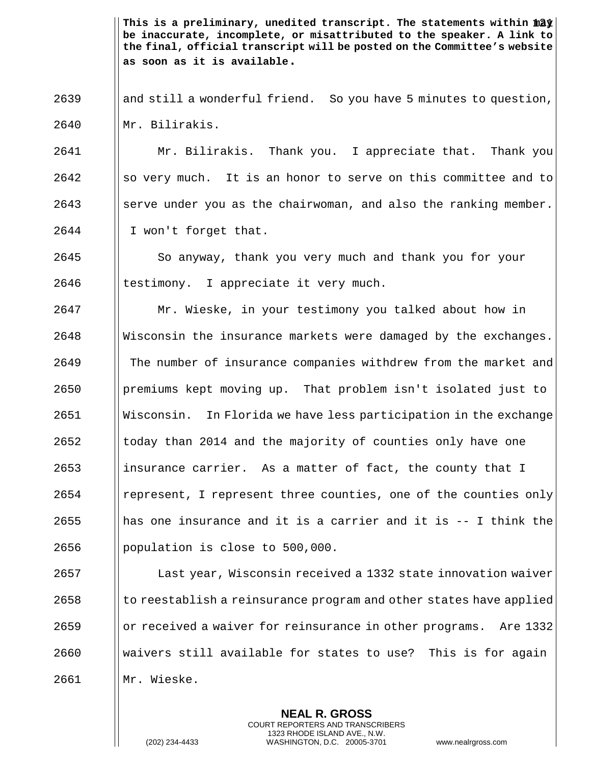This is a preliminary, unedited transcript. The statements within  $\mathtt{m2y} \big\vert$ **be inaccurate, incomplete, or misattributed to the speaker. A link to the final, official transcript will be posted on the Committee's website as soon as it is available.**

 || and still a wonderful friend. So you have 5 minutes to question, Mr. Bilirakis.

 Mr. Bilirakis. Thank you. I appreciate that. Thank you So very much. It is an honor to serve on this committee and to Serve under you as the chairwoman, and also the ranking member. I won't forget that.

  $\parallel$  So anyway, thank you very much and thank you for your || testimony. I appreciate it very much.

 Mr. Wieske, in your testimony you talked about how in Wisconsin the insurance markets were damaged by the exchanges. The number of insurance companies withdrew from the market and premiums kept moving up. That problem isn't isolated just to Wisconsin. In Florida we have less participation in the exchange I today than 2014 and the majority of counties only have one insurance carrier. As a matter of fact, the county that I | represent, I represent three counties, one of the counties only **h** has one insurance and it is a carrier and it is  $-$  I think the 2656 | population is close to  $500,000$ .

**Last year, Wisconsin received a 1332 state innovation waiver**  I to reestablish a reinsurance program and other states have applied or received a waiver for reinsurance in other programs. Are 1332 waivers still available for states to use? This is for again Mr. Wieske.

> **NEAL R. GROSS** COURT REPORTERS AND TRANSCRIBERS 1323 RHODE ISLAND AVE., N.W.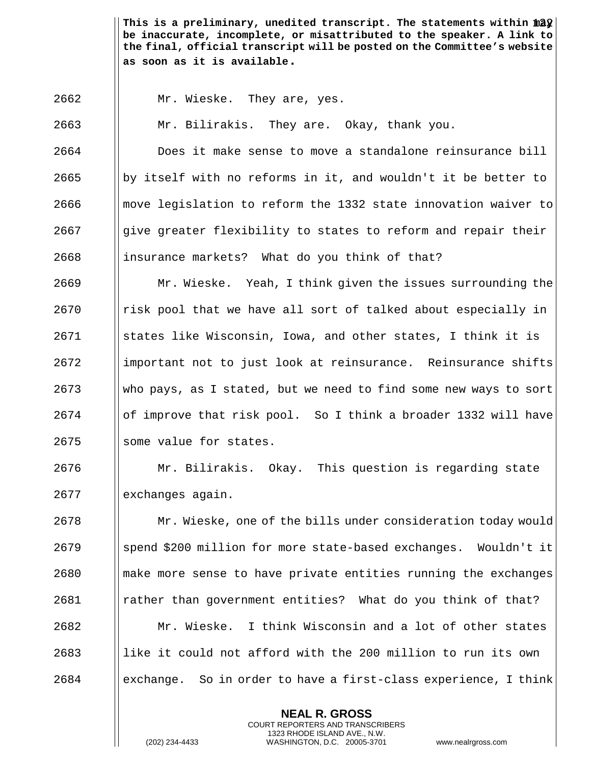This is a preliminary, unedited transcript. The statements within  $\|2\hat{y}\|$ **be inaccurate, incomplete, or misattributed to the speaker. A link to the final, official transcript will be posted on the Committee's website as soon as it is available.**

Mr. Wieske. They are, yes.

Mr. Bilirakis. They are. Okay, thank you.

 Does it make sense to move a standalone reinsurance bill 2665 by itself with no reforms in it, and wouldn't it be better to || move legislation to reform the 1332 state innovation waiver to give greater flexibility to states to reform and repair their ||insurance markets? What do you think of that?

 Mr. Wieske. Yeah, I think given the issues surrounding the | risk pool that we have all sort of talked about especially in States like Wisconsin, Iowa, and other states, I think it is 2672 important not to just look at reinsurance. Reinsurance shifts who pays, as I stated, but we need to find some new ways to sort of improve that risk pool. So I think a broader 1332 will have 2675 Some value for states.

 Mr. Bilirakis. Okay. This question is regarding state 2677 | exchanges again.

 Mr. Wieske, one of the bills under consideration today would spend \$200 million for more state-based exchanges. Wouldn't it make more sense to have private entities running the exchanges rather than government entities? What do you think of that? Mr. Wieske. I think Wisconsin and a lot of other states like it could not afford with the 200 million to run its own | exchange. So in order to have a first-class experience, I think

> **NEAL R. GROSS** COURT REPORTERS AND TRANSCRIBERS 1323 RHODE ISLAND AVE., N.W.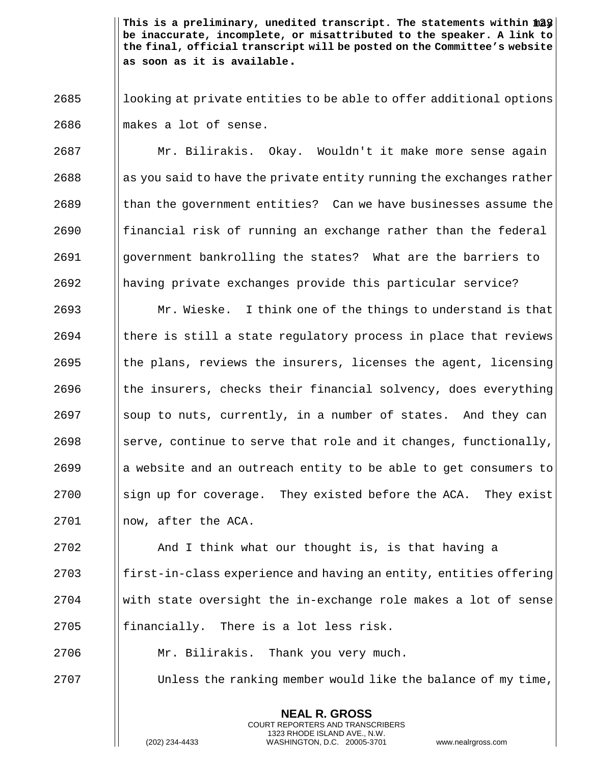This is a preliminary, unedited transcript. The statements within  $\|2\hat{y}\|$ **be inaccurate, incomplete, or misattributed to the speaker. A link to the final, official transcript will be posted on the Committee's website as soon as it is available.**

 looking at private entities to be able to offer additional options 2686 M makes a lot of sense.

 Mr. Bilirakis. Okay. Wouldn't it make more sense again || as you said to have the private entity running the exchanges rather || than the government entities? Can we have businesses assume the || financial risk of running an exchange rather than the federal government bankrolling the states? What are the barriers to having private exchanges provide this particular service?

 $\parallel$  Mr. Wieske. I think one of the things to understand is that || there is still a state regulatory process in place that reviews  $\parallel$  the plans, reviews the insurers, licenses the agent, licensing || the insurers, checks their financial solvency, does everything Soup to nuts, currently, in a number of states. And they can 2698 Serve, continue to serve that role and it changes, functionally, a website and an outreach entity to be able to get consumers to | sign up for coverage. They existed before the ACA. They exist 2701 | now, after the ACA.

 $\parallel$  And I think what our thought is, is that having a || first-in-class experience and having an entity, entities offering | with state oversight the in-exchange role makes a lot of sense || financially. There is a lot less risk.

Mr. Bilirakis. Thank you very much.

 $\parallel$  Unless the ranking member would like the balance of my time,

**NEAL R. GROSS** COURT REPORTERS AND TRANSCRIBERS 1323 RHODE ISLAND AVE., N.W.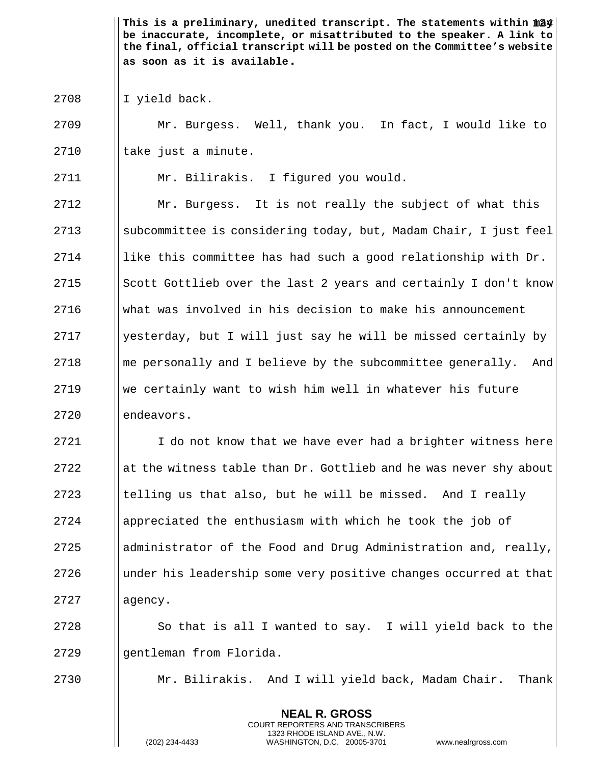This is a preliminary, unedited transcript. The statements within  $\|24\|$ **be inaccurate, incomplete, or misattributed to the speaker. A link to the final, official transcript will be posted on the Committee's website as soon as it is available.**

 $2708$  || I yield back.

2709 Mr. Burgess. Well, thank you. In fact, I would like to  $2710$  || take just a minute.

2711 Mr. Bilirakis. I figured you would.

 Mr. Burgess. It is not really the subject of what this 2713 Subcommittee is considering today, but, Madam Chair, I just feel  $\parallel$  like this committee has had such a good relationship with Dr.  $\parallel$  Scott Gottlieb over the last 2 years and certainly I don't know what was involved in his decision to make his announcement | yesterday, but I will just say he will be missed certainly by ||me personally and I believe by the subcommittee generally. And We certainly want to wish him well in whatever his future  $\blacksquare$  endeavors.

 $2721$  I do not know that we have ever had a brighter witness here 2722 at the witness table than Dr. Gottlieb and he was never shy about  $2723$  Itelling us that also, but he will be missed. And I really 2724  $\blacksquare$  appreciated the enthusiasm with which he took the job of 2725  $\Box$  administrator of the Food and Drug Administration and, really, 2726 I under his leadership some very positive changes occurred at that 2727 | | agency.

 $2728$  | So that is all I wanted to say. I will yield back to the 2729 gentleman from Florida.

2730 Mr. Bilirakis. And I will yield back, Madam Chair. Thank

**NEAL R. GROSS** COURT REPORTERS AND TRANSCRIBERS 1323 RHODE ISLAND AVE., N.W.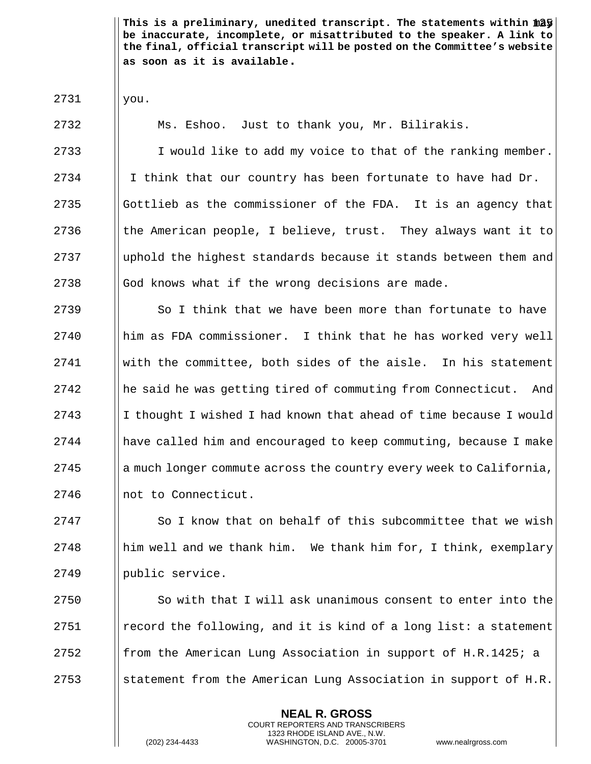This is a preliminary, unedited transcript. The statements within  $\| \hat{\boldsymbol{a}} \textbf{y} \|$ **be inaccurate, incomplete, or misattributed to the speaker. A link to the final, official transcript will be posted on the Committee's website as soon as it is available.**

2731 you.

2732 | Ms. Eshoo. Just to thank you, Mr. Bilirakis.  $\parallel$  I would like to add my voice to that of the ranking member.  $\parallel$  I think that our country has been fortunate to have had Dr. Gottlieb as the commissioner of the FDA. It is an agency that  $\parallel$  the American people, I believe, trust. They always want it to 2737 I uphold the highest standards because it stands between them and God knows what if the wrong decisions are made.

 $\Box$  So I think that we have been more than fortunate to have him as FDA commissioner. I think that he has worked very well With the committee, both sides of the aisle. In his statement 2742 he said he was getting tired of commuting from Connecticut. And 2743 I I thought I wished I had known that ahead of time because I would || have called him and encouraged to keep commuting, because I make a much longer commute across the country every week to California, 2746 | not to Connecticut.

 $2747$   $\parallel$  So I know that on behalf of this subcommittee that we wish 2748 **h** him well and we thank him. We thank him for, I think, exemplary 2749 | public service.

  $\parallel$  So with that I will ask unanimous consent to enter into the **example 1** record the following, and it is kind of a long list: a statement **follom** the American Lung Association in support of H.R.1425; a  $\parallel$  statement from the American Lung Association in support of H.R.

> **NEAL R. GROSS** COURT REPORTERS AND TRANSCRIBERS 1323 RHODE ISLAND AVE., N.W.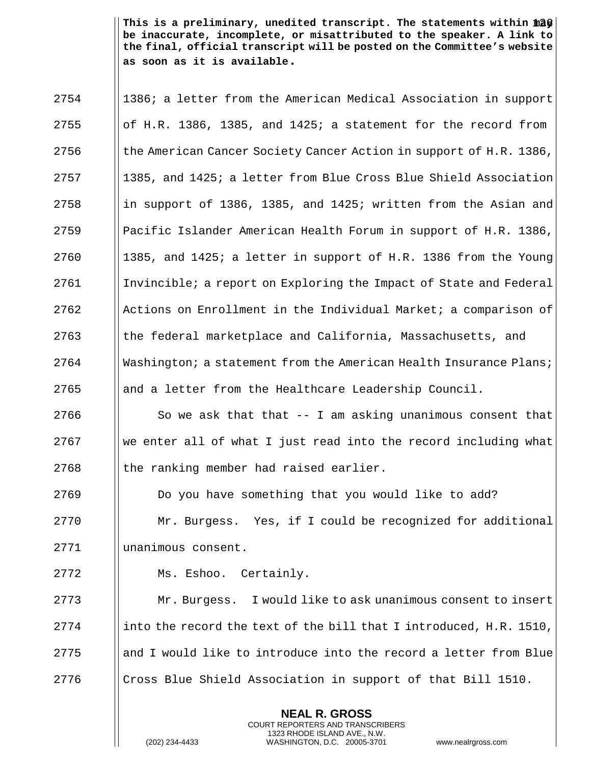This is a preliminary, unedited transcript. The statements within  $\|a\mathbf{\hat{y}}\|$ **be inaccurate, incomplete, or misattributed to the speaker. A link to the final, official transcript will be posted on the Committee's website as soon as it is available.**

|      | <b>NEAL R. GROSS</b>                                               |  |  |  |  |
|------|--------------------------------------------------------------------|--|--|--|--|
| 2776 | Cross Blue Shield Association in support of that Bill 1510.        |  |  |  |  |
| 2775 | and I would like to introduce into the record a letter from Blue   |  |  |  |  |
| 2774 | into the record the text of the bill that I introduced, H.R. 1510, |  |  |  |  |
| 2773 | I would like to ask unanimous consent to insert<br>Mr. Burgess.    |  |  |  |  |
| 2772 | Ms. Eshoo.<br>Certainly.                                           |  |  |  |  |
| 2771 | unanimous consent.                                                 |  |  |  |  |
| 2770 | Mr. Burgess. Yes, if I could be recognized for additional          |  |  |  |  |
| 2769 | Do you have something that you would like to add?                  |  |  |  |  |
| 2768 | the ranking member had raised earlier.                             |  |  |  |  |
| 2767 | we enter all of what I just read into the record including what    |  |  |  |  |
| 2766 | So we ask that that -- I am asking unanimous consent that          |  |  |  |  |
| 2765 | and a letter from the Healthcare Leadership Council.               |  |  |  |  |
| 2764 | Washington; a statement from the American Health Insurance Plans;  |  |  |  |  |
| 2763 | the federal marketplace and California, Massachusetts, and         |  |  |  |  |
| 2762 | Actions on Enrollment in the Individual Market; a comparison of    |  |  |  |  |
| 2761 | Invincible; a report on Exploring the Impact of State and Federal  |  |  |  |  |
| 2760 | 1385, and 1425; a letter in support of H.R. 1386 from the Young    |  |  |  |  |
| 2759 | Pacific Islander American Health Forum in support of H.R. 1386,    |  |  |  |  |
| 2758 | in support of 1386, 1385, and 1425; written from the Asian and     |  |  |  |  |
| 2757 | 1385, and 1425; a letter from Blue Cross Blue Shield Association   |  |  |  |  |
| 2756 | the American Cancer Society Cancer Action in support of H.R. 1386, |  |  |  |  |
| 2755 | of H.R. 1386, 1385, and 1425; a statement for the record from      |  |  |  |  |
| 2754 | 1386; a letter from the American Medical Association in support    |  |  |  |  |

COURT REPORTERS AND TRANSCRIBERS 1323 RHODE ISLAND AVE., N.W.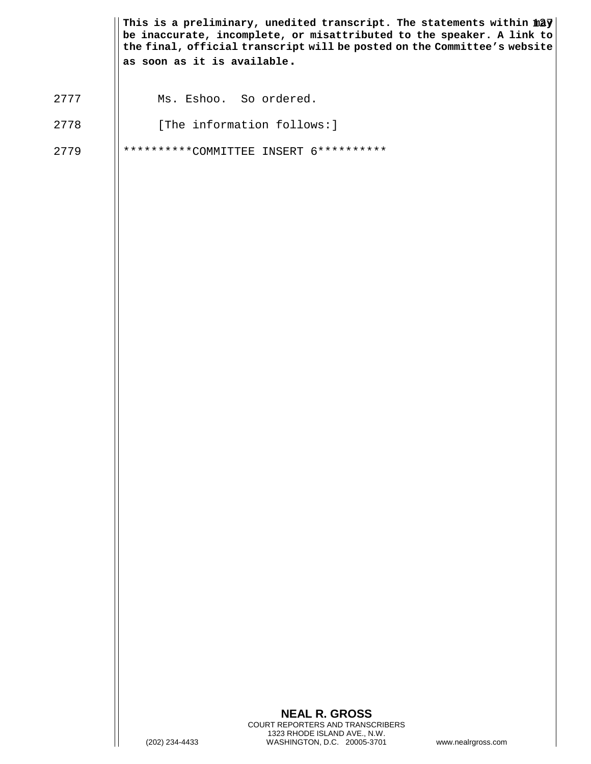|      | as soon as it is available. | This is a preliminary, unedited transcript. The statements within $\hat{m} \hat{a} \hat{y}$<br>be inaccurate, incomplete, or misattributed to the speaker. A link to<br>the final, official transcript will be posted on the Committee's website |                    |
|------|-----------------------------|--------------------------------------------------------------------------------------------------------------------------------------------------------------------------------------------------------------------------------------------------|--------------------|
| 2777 | Ms. Eshoo. So ordered.      |                                                                                                                                                                                                                                                  |                    |
| 2778 | [The information follows:]  |                                                                                                                                                                                                                                                  |                    |
| 2779 |                             | **********COMMITTEE INSERT 6**********                                                                                                                                                                                                           |                    |
|      | (202) 234-4433              | <b>NEAL R. GROSS</b><br>COURT REPORTERS AND TRANSCRIBERS<br>1323 RHODE ISLAND AVE., N.W.<br>WASHINGTON, D.C. 20005-3701                                                                                                                          | www.nealrgross.com |